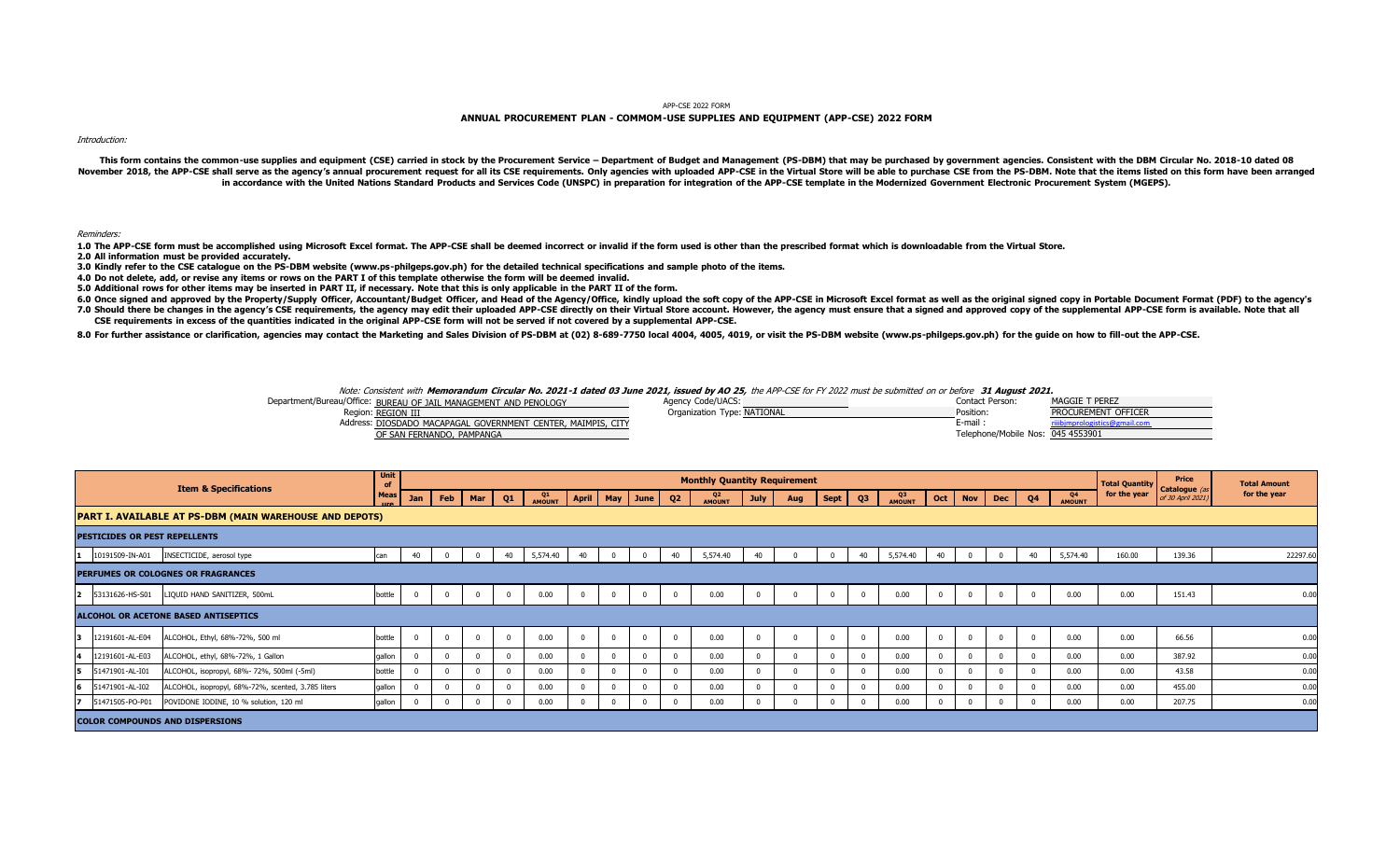APP-CSE 2022 FORM

## **ANNUAL PROCUREMENT PLAN - COMMOM-USE SUPPLIES AND EQUIPMENT (APP-CSE) 2022 FORM**

Introduction:

This form contains the common-use supplies and equipment (CSE) carried in stock by the Procurement Service - Department of Budget and Management (PS-DBM) that may be purchased by government agencies. Consistent with the DB November 2018, the APP-CSE shall serve as the agency's annual procurement request for all its CSE requirements. Only agencies with uploaded APP-CSE in the Virtual Store will be able to purchase CSE from the PS-DBM. Note th in accordance with the United Nations Standard Products and Services Code (UNSPC) in preparation for integration of the APP-CSE template in the Modernized Government Electronic Procurement System (MGEPS).

Reminders:

1.0 The APP-CSE form must be accomplished using Microsoft Excel format. The APP-CSE shall be deemed incorrect or invalid if the form used is other than the prescribed format which is downloadable from the Virtual Store.<br>2.

3.0 Kindly refer to the CSE catalogue on the PS-DBM website (www.ps-philgeps.gov.ph) for the detailed technical specifications and sample photo of the items.

4.0 Do not delete, add, or revise any items or rows on the PART I of this template otherwise the form will be deemed invalid.<br>5.0 Additional rows for other items may be inserted in PART II, if necessary. Note that this is

6.0 Once signed and approved by the Property/Supply Officer, Accountant/Budget Officer, and Head of the Agency/Office, aindly upload the soft copy of the APP-CSE in Microsoft Excel format as well as the original signed cop 7.0 Should there be changes in the agency's CSE requirements, the agency may edit their uploaded APP-CSE directly on their Virtual Store account. However, the agency must ensure that a signed and approved copy of the suppl CSE requirements in excess of the quantities indicated in the original APP-CSE form will not be served if not covered by a supplemental APP-CSE.

8.0 For further assistance or clarification, agencies may contact the Marketing and Sales Division of PS-DBM at (02) 8-689-7750 local 4004, 4005, 4019, or visit the PS-DBM website (www.ps-philgeps.gov.ph) for the guide on

Note: Consistent with Memorandum Circular No. 2021-1 dated 03 June 2021, issued by AO 25, the APP-CSE for FY 2022 must be submitted on or before 31 August 2021.

| Department/Bureau/Office: BUREAU OF JAIL MANAGEMENT AND PENOLOGY | <b>Agency Code/UACS:</b>    | Contact Person:                   | <b>MAGGIE T PEREZ</b> |
|------------------------------------------------------------------|-----------------------------|-----------------------------------|-----------------------|
| Region: REGION III                                               | Organization Type: NATIONAL | Position:                         | PROCUREMENT OFFICER   |
| Address: DIOSDADO MACAPAGAL GOVERNMENT CENTER, MAIMPIS, CITY     |                             | E-man                             |                       |
| OF SAN FERNANDO, PAMPANGA                                        |                             | Telephone/Mobile Nos: 045 4553901 |                       |

| Q4<br>AMOUNT<br>Q4 | Oct   Nov   Dec | for the year | Catalogue<br>of 30 April 2021) | for the year           |
|--------------------|-----------------|--------------|--------------------------------|------------------------|
|                    |                 |              |                                |                        |
|                    |                 |              |                                |                        |
|                    |                 |              |                                |                        |
| 5,574.40<br>40     | $\Omega$        | 160.00       | 139.36                         | 22297.60               |
|                    |                 |              |                                |                        |
| 0.00               |                 | 0.00         | 151.43                         | 0.00                   |
|                    |                 |              |                                |                        |
|                    |                 | 0.00         | 66.56                          | 0.00                   |
|                    |                 | 0.00         | 387.92                         | 0.00                   |
|                    |                 | 0.00         | 43.58                          |                        |
|                    |                 | 0.00         | 455.00                         |                        |
|                    |                 |              |                                | n nn                   |
|                    |                 |              | 0.00<br>0.00<br>0.00<br>0.00   | 0.00<br>0.00<br>207.75 |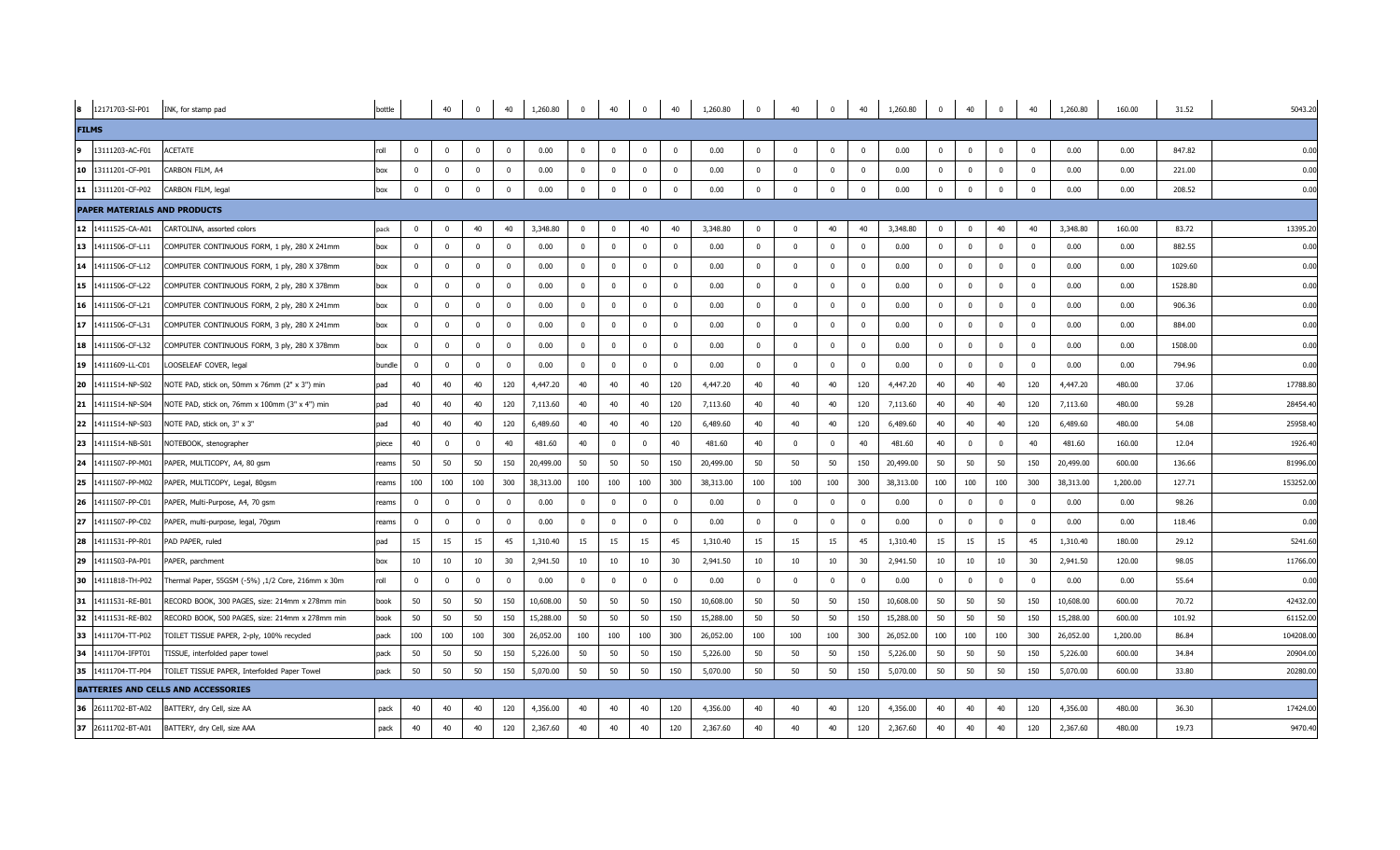|              | 8 12171703-SI-P01 INK, for stamp pad |                                                   | bottle |                         | 40           | $\overline{0}$          | 40             | 1,260.80  | $\overline{0}$ | 40             | $\overline{0}$ | 40                      | 1,260.80  | $\overline{0}$ | 40           | $\mathbf{0}$ | 40                      | 1,260.80  | $\overline{0}$          | 40                      | $\overline{0}$          | 40                      | 1,260.80  | 160.00   | 31.52   | 5043.20   |
|--------------|--------------------------------------|---------------------------------------------------|--------|-------------------------|--------------|-------------------------|----------------|-----------|----------------|----------------|----------------|-------------------------|-----------|----------------|--------------|--------------|-------------------------|-----------|-------------------------|-------------------------|-------------------------|-------------------------|-----------|----------|---------|-----------|
| <b>FILMS</b> |                                      |                                                   |        |                         |              |                         |                |           |                |                |                |                         |           |                |              |              |                         |           |                         |                         |                         |                         |           |          |         |           |
| و ا          | 13111203-AC-F01                      | <b>ACETATE</b>                                    | roll   | $\overline{0}$          | $^{\circ}$   | $\overline{0}$          | $\mathbf{0}$   | 0.00      | $\mathbf{0}$   | $\mathbf 0$    | $\overline{0}$ | $\overline{0}$          | 0.00      | $\mathbf 0$    | $\Omega$     | $^{\circ}$   | $\mathbf{0}$            | 0.00      | $\overline{0}$          | $\overline{0}$          | $\overline{0}$          | $\overline{\mathbf{0}}$ | 0.00      | 0.00     | 847.82  | 0.00      |
|              | 10 13111201-CF-P01                   | CARBON FILM, A4                                   | box    | $\overline{0}$          | $\Omega$     | $\overline{0}$          | $\overline{0}$ | 0.00      | $\overline{0}$ | $\Omega$       | $\overline{0}$ | $\Omega$                | 0.00      | $\Omega$       | $\Omega$     | $\Omega$     | $\Omega$                | 0.00      | $\overline{0}$          | $\mathbf{0}$            | $\Omega$                | $\overline{0}$          | 0.00      | 0.00     | 221.00  | 0.00      |
|              | 11 13111201-CF-P02                   | CARBON FILM, legal                                | box    | $\overline{\mathbf{0}}$ | $\Omega$     | $\overline{0}$          | $\mathbf 0$    | 0.00      | $\mathbf 0$    | $\mathbf 0$    | $\overline{0}$ | $\overline{0}$          | 0.00      | $^{\circ}$     | $\Omega$     | $\Omega$     | $\overline{0}$          | 0.00      | $\overline{0}$          | $\mathbf 0$             | $\mathbf 0$             | $\overline{\mathbf{0}}$ | 0.00      | 0.00     | 208.52  | 0.00      |
|              | <b>PAPER MATERIALS AND PRODUCTS</b>  |                                                   |        |                         |              |                         |                |           |                |                |                |                         |           |                |              |              |                         |           |                         |                         |                         |                         |           |          |         |           |
|              | 12 14111525-CA-A01                   | CARTOLINA, assorted colors                        | pack   | $\mathbf{0}$            |              | 40                      | 40             | 3,348.80  | $\overline{0}$ | $^{\circ}$     | 40             | 40                      | 3,348.80  | $\Omega$       | $\Omega$     | 40           | 40                      | 3,348.80  | $\overline{0}$          | $\mathbf 0$             | 40                      | 40                      | 3,348.80  | 160.00   | 83.72   | 13395.20  |
|              | 13 14111506-CF-L11                   | COMPUTER CONTINUOUS FORM, 1 ply, 280 X 241mm      | box    | $\overline{\mathbf{0}}$ | $\Omega$     | $\overline{0}$          | $\mathbf 0$    | 0.00      | $\mathbf 0$    | $\mathbf{0}$   | $\mathbf 0$    | $\overline{0}$          | 0.00      | $\mathbf 0$    | $\mathbf{0}$ | $\mathbf{0}$ | $\overline{0}$          | 0.00      | $\overline{0}$          | $\mathbf{0}$            | $\mathbf{0}$            | $\overline{\mathbf{0}}$ | 0.00      | 0.00     | 882.55  | 0.00      |
|              | 14 14111506-CF-L12                   | COMPUTER CONTINUOUS FORM, 1 ply, 280 X 378mm      | box    | $\overline{\mathbf{0}}$ | $^{\circ}$   | $\overline{\mathbf{0}}$ | $\mathbf 0$    | 0.00      | $\mathbf{0}$   | $\mathbf{0}$   | $\mathbf{0}$   | $\overline{0}$          | 0.00      | $\mathbf{0}$   | $^{\circ}$   | $\mathbf{0}$ | $\overline{\mathbf{0}}$ | 0.00      | $\overline{\mathbf{0}}$ | $\overline{0}$          | $\overline{\mathbf{0}}$ | $\overline{\mathbf{0}}$ | 0.00      | 0.00     | 1029.60 | 0.00      |
|              | 15 14111506-CF-L22                   | COMPUTER CONTINUOUS FORM, 2 ply, 280 X 378mm      | box    | $\overline{\mathbf{0}}$ | $\Omega$     | $^{\circ}$              | $\mathbf{0}$   | 0.00      | $\overline{0}$ | $\mathbf{0}$   | $\mathbf{0}$   | $\mathbf{0}$            | 0.00      | $\mathbf 0$    | $\mathbf 0$  | $\mathbf{0}$ | $\overline{\mathbf{0}}$ | 0.00      | $\overline{\mathbf{0}}$ | $\mathbf 0$             | $^{\circ}$              | $\overline{\mathbf{0}}$ | 0.00      | 0.00     | 1528.80 | 0.00      |
|              | 16 14111506-CF-L21                   | COMPUTER CONTINUOUS FORM, 2 ply, 280 X 241mm      | box    | $\overline{\mathbf{0}}$ | $\Omega$     | $\overline{\mathbf{0}}$ | $\mathbf{0}$   | 0.00      | $\overline{0}$ | $\mathbf 0$    | $\Omega$       | $\overline{\mathbf{0}}$ | 0.00      | $\Omega$       | $\Omega$     | $\Omega$     | $\mathbf{0}$            | 0.00      | $\overline{\mathbf{0}}$ | $\overline{\mathbf{0}}$ | $\overline{0}$          | $\overline{0}$          | 0.00      | 0.00     | 906.36  | 0.00      |
|              | 17 14111506-CF-L31                   | COMPUTER CONTINUOUS FORM, 3 ply, 280 X 241mm      | box    | $\overline{\mathbf{0}}$ | $\Omega$     | $\overline{0}$          | $\mathbf 0$    | 0.00      | $\overline{0}$ | $\mathbf{0}$   | $\overline{0}$ | $\overline{0}$          | 0.00      | $\mathbf 0$    | $\Omega$     | $\Omega$     | $\Omega$                | 0.00      | $\overline{0}$          | $\mathbf{0}$            | $\mathbf 0$             | $\overline{0}$          | 0.00      | 0.00     | 884.00  | 0.00      |
|              | 18 14111506-CF-L32                   | COMPUTER CONTINUOUS FORM, 3 ply, 280 X 378mm      | box    | $\overline{\mathbf{0}}$ | $\Omega$     | $\overline{0}$          | $\overline{0}$ | 0.00      | $\overline{0}$ | $\mathbf{0}$   | $\overline{0}$ | $\overline{0}$          | 0.00      | $^{\circ}$     | $\Omega$     | $^{\circ}$   | $\overline{0}$          | 0.00      | $\overline{\mathbf{0}}$ | $\mathbf{0}$            | $\Omega$                | $\overline{0}$          | 0.00      | 0.00     | 1508.00 | 0.00      |
|              | 19 14111609-LL-C01                   | LOOSELEAF COVER, legal                            | bundle | $\overline{\mathbf{0}}$ | $\Omega$     | $\overline{0}$          | $\mathbf 0$    | 0.00      | $\mathbf{0}$   | $\overline{0}$ | $\overline{0}$ | $\overline{0}$          | 0.00      | $\mathbf 0$    | $^{\circ}$   | $^{\circ}$   | $\mathbf{0}$            | 0.00      | $\overline{0}$          | $\mathbf{0}$            | $\pmb{0}$               | $\overline{\mathbf{0}}$ | 0.00      | 0.00     | 794.96  | 0.00      |
|              | 20 14111514-NP-S02                   | NOTE PAD, stick on, 50mm x 76mm (2" x 3") min     | pad    | 40                      | 40           | 40                      | 120            | 4,447.20  | 40             | 40             | 40             | 120                     | 4,447.20  | 40             | 40           | 40           | 120                     | 4,447.20  | 40                      | 40                      | 40                      | 120                     | 4,447.20  | 480.00   | 37.06   | 17788.80  |
|              | 21 14111514-NP-S04                   | NOTE PAD, stick on, 76mm x 100mm (3" x 4") min    | pad    | 40                      | 40           | 40                      | 120            | 7,113.60  | 40             | 40             | 40             | 120                     | 7,113.60  | 40             | 40           | 40           | 120                     | 7,113.60  | 40                      | 40                      | 40                      | 120                     | 7,113.60  | 480.00   | 59.28   | 28454.40  |
|              | 22 14111514-NP-S03                   | NOTE PAD, stick on, 3" x 3"                       | pad    | 40                      | 40           | 40                      | 120            | 6,489.60  | 40             | 40             | 40             | 120                     | 6,489.60  | 40             | 40           | 40           | 120                     | 6,489.60  | 40                      | 40                      | 40                      | 120                     | 6,489.60  | 480.00   | 54.08   | 25958.40  |
|              | 23 14111514-NB-S01                   | NOTEBOOK, stenographer                            | piece  | 40                      |              | $\overline{0}$          | 40             | 481.60    | 40             | $\mathbf{0}$   | $\Omega$       | 40                      | 481.60    | 40             | $\Omega$     | $\Omega$     | 40                      | 481.60    | 40                      | $\overline{0}$          | $\Omega$                | 40                      | 481.60    | 160.00   | 12.04   | 1926.40   |
|              | 24 14111507-PP-M01                   | PAPER, MULTICOPY, A4, 80 gsm                      | reams  | 50                      | 50           | 50                      | 150            | 20,499.00 | 50             | 50             | 50             | 150                     | 20,499.00 | 50             | 50           | 50           | 150                     | 20,499.00 | 50                      | 50                      | 50                      | 150                     | 20,499.00 | 600.00   | 136.66  | 81996.00  |
|              | 25 14111507-PP-M02                   | PAPER, MULTICOPY, Legal, 80gsm                    | reams  | 100                     | 100          | 100                     | 300            | 38,313.00 | 100            | 100            | 100            | 300                     | 38,313.00 | 100            | 100          | 100          | 300                     | 38,313.00 | 100                     | 100                     | 100                     | 300                     | 38,313.00 | 1,200.00 | 127.71  | 153252.00 |
|              | 26 14111507-PP-C01                   | PAPER, Multi-Purpose, A4, 70 gsm                  | reams  | $\overline{\mathbf{0}}$ | $\mathbf{0}$ | $\overline{0}$          | $\mathbf 0$    | 0.00      | $\mathbf{0}$   | $\overline{0}$ | $^{\circ}$     | $\overline{0}$          | 0.00      | $\mathbf 0$    | $\mathbf 0$  | $^{\circ}$   | $^{\circ}$              | 0.00      | $\overline{0}$          | $\mathbf 0$             | 0                       | $\overline{\mathbf{0}}$ | 0.00      | 0.00     | 98.26   | 0.00      |
|              | 27 14111507-PP-C02                   | PAPER, multi-purpose, legal, 70gsm                | reams  | $\overline{\mathbf{0}}$ | $\Omega$     | $\overline{0}$          | $\mathbf 0$    | 0.00      | $\mathbf 0$    | $\mathbf{0}$   | $\overline{0}$ | $\overline{0}$          | 0.00      | $\Omega$       | $\mathbf{0}$ | $\mathbf{0}$ | $\Omega$                | 0.00      | $\overline{\mathbf{0}}$ | $\mathbf{0}$            | $\Omega$                | $\overline{0}$          | 0.00      | 0.00     | 118.46  | 0.00      |
|              | 28 14111531-PP-R01                   | PAD PAPER, ruled                                  | pad    | 15                      | 15           | 15                      | 45             | 1,310.40  | 15             | 15             | 15             | 45                      | 1,310.40  | 15             | 15           | 15           | 45                      | 1,310.40  | 15                      | 15                      | 15                      | 45                      | 1,310.40  | 180.00   | 29.12   | 5241.60   |
|              | 29 14111503-PA-P01                   | PAPER, parchment                                  | box    | 10                      | 10           | 10                      | 30             | 2,941.50  | 10             | 10             | 10             | 30                      | 2,941.50  | 10             | 10           | 10           | 30                      | 2,941.50  | 10                      | 10                      | 10                      | 30                      | 2,941.50  | 120.00   | 98.05   | 11766.00  |
|              | 30 14111818-TH-P02                   | Thermal Paper, 55GSM (-5%) ,1/2 Core, 216mm x 30m | roll   | $\overline{0}$          | $\Omega$     | $\Omega$                | $\overline{0}$ | 0.00      | $\overline{0}$ | $\overline{0}$ | $\Omega$       | $\overline{0}$          | 0.00      | $\Omega$       | $\Omega$     | $\Omega$     | $\Omega$                | 0.00      | $\Omega$                | $\mathbf{0}$            | $\Omega$                | $\Omega$                | 0.00      | 0.00     | 55.64   | 0.00      |
|              | 31 14111531-RE-B01                   | RECORD BOOK, 300 PAGES, size: 214mm x 278mm min   | book   | 50                      | 50           | 50                      | 150            | 10,608.00 | 50             | 50             | 50             | 150                     | 10,608.00 | 50             | 50           | 50           | 150                     | 10,608.00 | 50                      | 50                      | 50                      | 150                     | 10,608.00 | 600.00   | 70.72   | 42432.00  |
|              | 32 14111531-RE-B02                   | RECORD BOOK, 500 PAGES, size: 214mm x 278mm min   | book   | 50                      | 50           | 50                      | 150            | 15,288.00 | 50             | 50             | 50             | 150                     | 15,288.00 | 50             | 50           | 50           | 150                     | 15,288.00 | 50                      | 50                      | 50                      | 150                     | 15,288.00 | 600.00   | 101.92  | 61152.00  |
|              | 33 14111704-TT-P02                   | TOILET TISSUE PAPER, 2-ply, 100% recycled         | pack   | 100                     | 100          | 100                     | 300            | 26,052.00 | 100            | 100            | 100            | 300                     | 26,052.00 | 100            | 100          | 100          | 300                     | 26,052.00 | 100                     | 100                     | 100                     | 300                     | 26,052.00 | 1,200.00 | 86.84   | 104208.00 |
|              | 34 14111704-IFPT01                   | TISSUE, interfolded paper towel                   | pack   | 50                      | 50           | 50                      | 150            | 5,226.00  | 50             | 50             | 50             | 150                     | 5,226.00  | 50             | 50           | 50           | 150                     | 5,226.00  | 50                      | 50                      | 50                      | 150                     | 5,226.00  | 600.00   | 34.84   | 20904.00  |
|              | 35 14111704-TT-P04                   | TOILET TISSUE PAPER, Interfolded Paper Towel      | pack   | 50                      | 50           | 50                      | 150            | 5,070.00  | 50             | 50             | 50             | 150                     | 5,070.00  | 50             | 50           | 50           | 150                     | 5,070.00  | 50                      | 50                      | 50                      | 150                     | 5,070.00  | 600.00   | 33.80   | 20280.00  |
|              |                                      | <b>BATTERIES AND CELLS AND ACCESSORIES</b>        |        |                         |              |                         |                |           |                |                |                |                         |           |                |              |              |                         |           |                         |                         |                         |                         |           |          |         |           |
|              | 36 26111702-BT-A02                   | BATTERY, dry Cell, size AA                        | pack   | 40                      | 40           | 40                      | 120            | 4,356.00  | 40             | 40             | 40             | 120                     | 4,356.00  | 40             | 40           | 40           | 120                     | 4,356.00  | 40                      | 40                      | 40                      | 120                     | 4,356.00  | 480.00   | 36.30   | 17424.00  |
|              | 37 26111702-BT-A01                   | BATTERY, dry Cell, size AAA                       | pack   | 40                      | 40           | 40                      | 120            | 2,367.60  | 40             | 40             | 40             | 120                     | 2,367.60  | 40             | 40           | 40           | 120                     | 2,367.60  | 40                      | 40                      | 40                      | 120                     | 2,367.60  | 480.00   | 19.73   | 9470.40   |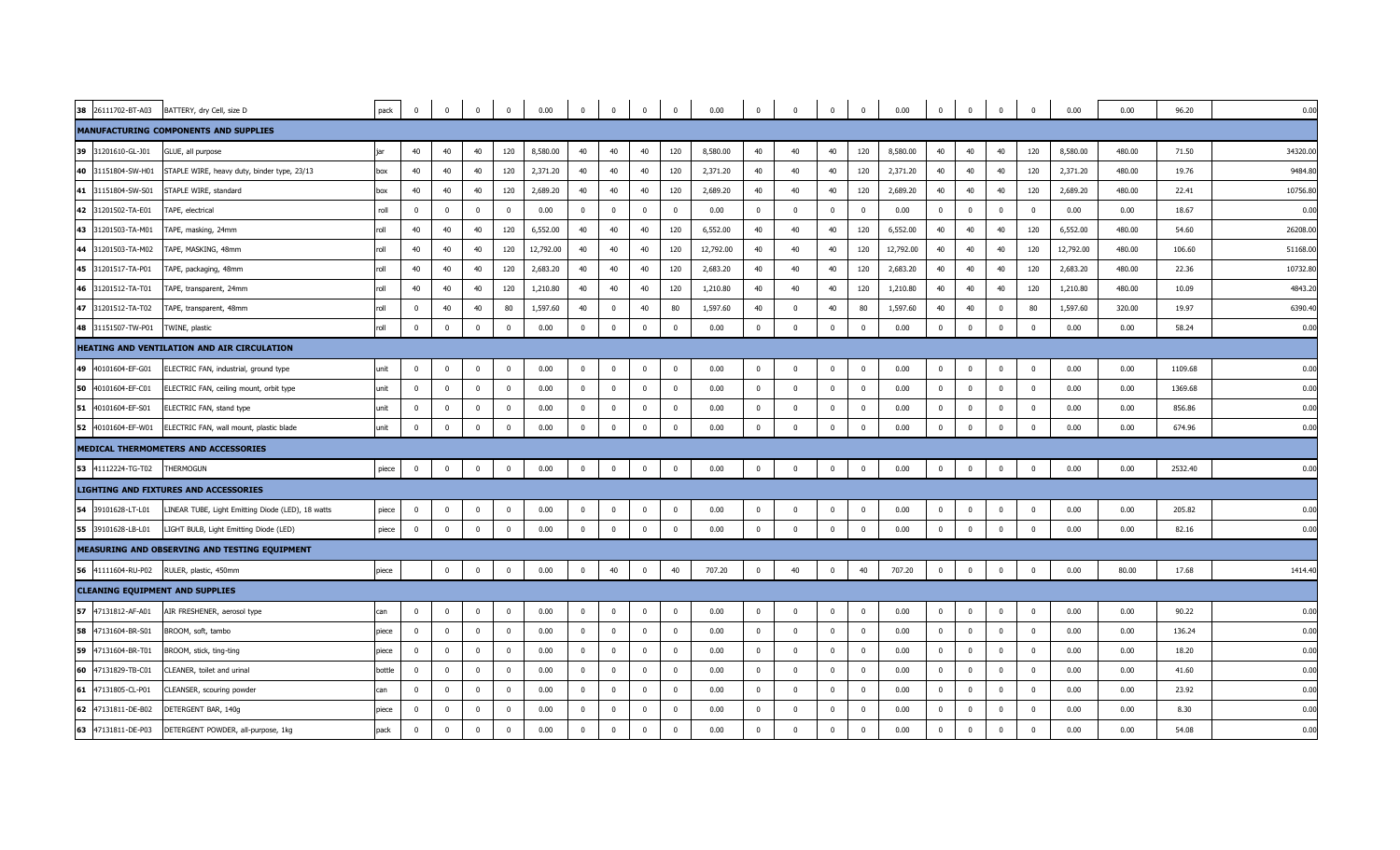|    | 38 26111702-BT-A03 | BATTERY, dry Cell, size D                         | pack             | $\overline{\mathbf{0}}$ | $\bf{0}$     | $\overline{0}$          | $\bf{0}$                | 0.00      | $\overline{0}$          | $\bf{0}$    | $\overline{\mathbf{0}}$ | $\overline{\mathbf{0}}$ | 0.00      | $\mathbf 0$    | $\overline{0}$          | $\overline{0}$ | $\overline{0}$ | 0.00      | $\overline{0}$          | $\overline{0}$ | $\overline{0}$ | $\overline{\mathbf{0}}$ | 0.00      | 0.00   | 96.20   | 0.00     |
|----|--------------------|---------------------------------------------------|------------------|-------------------------|--------------|-------------------------|-------------------------|-----------|-------------------------|-------------|-------------------------|-------------------------|-----------|----------------|-------------------------|----------------|----------------|-----------|-------------------------|----------------|----------------|-------------------------|-----------|--------|---------|----------|
|    |                    | MANUFACTURING COMPONENTS AND SUPPLIES             |                  |                         |              |                         |                         |           |                         |             |                         |                         |           |                |                         |                |                |           |                         |                |                |                         |           |        |         |          |
| 39 | 31201610-GL-J01    | GLUE, all purpose                                 |                  | 40                      | 40           | 40                      | 120                     | 8,580.00  | 40                      | 40          | 40                      | 120                     | 8,580.00  | 40             | 40                      | 40             | 120            | 8,580.00  | 40                      | 40             | 40             | 120                     | 8,580.00  | 480.00 | 71.50   | 34320.00 |
|    | 40 31151804-SW-H01 | STAPLE WIRE, heavy duty, binder type, 23/13       | box              | 40                      | 40           | 40                      | 120                     | 2,371.20  | 40                      | 40          | 40                      | 120                     | 2,371.20  | 40             | 40                      | 40             | 120            | 2,371.20  | 40                      | 40             | 40             | 120                     | 2,371.20  | 480.00 | 19.76   | 9484.80  |
|    | 41 31151804-SW-S01 | STAPLE WIRE, standard                             | box              | 40                      | 40           | 40                      | 120                     | 2,689.20  | 40                      | 40          | 40                      | 120                     | 2,689.20  | 40             | 40                      | 40             | 120            | 2,689.20  | 40                      | 40             | 40             | 120                     | 2,689.20  | 480.00 | 22.41   | 10756.80 |
|    | 42 31201502-TA-E01 | TAPE, electrical                                  | roll             | $\overline{0}$          | $\Omega$     | $\overline{0}$          | $\overline{0}$          | 0.00      | $\overline{\mathbf{0}}$ | $\Omega$    | $\overline{\mathbf{0}}$ | $\mathbf 0$             | 0.00      | $\mathbf 0$    | $\overline{0}$          | $\Omega$       | $\mathbf{0}$   | 0.00      | $\overline{0}$          | $\overline{0}$ | $\mathbf 0$    | $\overline{\mathbf{0}}$ | 0.00      | 0.00   | 18.67   | 0.00     |
|    | 43 31201503-TA-M01 | TAPE, masking, 24mm                               | llo              | 40                      | 40           | 40                      | 120                     | 6,552.00  | 40                      | 40          | 40                      | 120                     | 6,552.00  | 40             | 40                      | 40             | 120            | 6,552.00  | 40                      | 40             | 40             | 120                     | 6,552.00  | 480.00 | 54.60   | 26208.00 |
|    | 44 31201503-TA-M02 | TAPE, MASKING, 48mm                               | Ilo <sup>.</sup> | 40                      | 40           | 40                      | 120                     | 12,792.00 | 40                      | 40          | 40                      | 120                     | 12,792.00 | 40             | 40                      | 40             | 120            | 12,792.00 | 40                      | 40             | 40             | 120                     | 12,792.00 | 480.00 | 106.60  | 51168.00 |
|    | 45 31201517-TA-P01 | TAPE, packaging, 48mm                             | llo              | 40                      | 40           | 40                      | 120                     | 2,683.20  | 40                      | 40          | 40                      | 120                     | 2,683.20  | 40             | 40                      | 40             | 120            | 2,683.20  | 40                      | 40             | 40             | 120                     | 2,683.20  | 480.00 | 22.36   | 10732.80 |
|    | 46 31201512-TA-T01 | TAPE, transparent, 24mm                           | llo <sup>.</sup> | 40                      | 40           | 40                      | 120                     | 1,210.80  | 40                      | 40          | 40                      | 120                     | 1,210.80  | 40             | 40                      | 40             | 120            | 1,210.80  | 40                      | 40             | 40             | 120                     | 1,210.80  | 480.00 | 10.09   | 4843.20  |
|    | 47 31201512-TA-T02 | TAPE, transparent, 48mm                           | roll             | $\overline{\mathbf{0}}$ | 40           | 40                      | 80                      | 1,597.60  | 40                      | $\mathbf 0$ | 40                      | 80                      | 1,597.60  | 40             | $\overline{\mathbf{0}}$ | 40             | 80             | 1,597.60  | 40                      | 40             | $\mathbf 0$    | 80                      | 1,597.60  | 320.00 | 19.97   | 6390.40  |
|    | 48 31151507-TW-P01 | TWINE, plastic                                    | llo <sup>.</sup> | $\overline{0}$          | $\Omega$     | $\overline{0}$          | $\overline{0}$          | 0.00      | $\overline{\mathbf{0}}$ | $\Omega$    | $\mathbf{0}$            | $\mathbf 0$             | 0.00      | $\overline{0}$ | $\Omega$                | $\mathbf{0}$   | $\mathbf 0$    | 0.00      | $\overline{0}$          | $\mathbf 0$    | $\mathbf 0$    | $\mathbf 0$             | 0.00      | 0.00   | 58.24   | 0.00     |
|    |                    | HEATING AND VENTILATION AND AIR CIRCULATION       |                  |                         |              |                         |                         |           |                         |             |                         |                         |           |                |                         |                |                |           |                         |                |                |                         |           |        |         |          |
|    | 49 40101604-EF-G01 | ELECTRIC FAN, industrial, ground type             | unit             | $\mathbf 0$             | $\Omega$     | $\overline{0}$          | $\overline{0}$          | 0.00      | $\overline{\mathbf{0}}$ | $^{\circ}$  | $\overline{\mathbf{0}}$ | $\mathbf 0$             | 0.00      | $\overline{0}$ | $\overline{0}$          | $^{\circ}$     | $\mathbf{0}$   | 0.00      | $\overline{0}$          | $\overline{0}$ | $\mathbf 0$    | $\overline{\mathbf{0}}$ | 0.00      | 0.00   | 1109.68 | 0.00     |
| 50 | 40101604-EF-C01    | ELECTRIC FAN, ceiling mount, orbit type           | unit             | $\overline{0}$          | $\Omega$     | $\Omega$                | $\overline{\mathbf{0}}$ | 0.00      | $\overline{\mathbf{0}}$ | $^{\circ}$  | $\mathbf 0$             | $\mathbf 0$             | 0.00      | $\mathbf 0$    | $\overline{0}$          | $\mathbf 0$    | $\mathbf{0}$   | 0.00      | $\overline{0}$          | $\mathbf 0$    | $\mathbf 0$    | $\Omega$                | 0.00      | 0.00   | 1369.68 | 0.00     |
|    | 51 40101604-EF-S01 | ELECTRIC FAN, stand type                          | unit             | $\mathbf 0$             | $\mathbf{0}$ | $\mathbf 0$             | $\overline{0}$          | 0.00      | $\overline{\mathbf{0}}$ | $\Omega$    | $\overline{\mathbf{0}}$ | $\mathbf 0$             | 0.00      | $\mathbf 0$    | $\Omega$                | $\mathbf{0}$   | $\Omega$       | 0.00      | $\overline{0}$          | $\mathbf{0}$   | $\Omega$       | $\Omega$                | 0.00      | 0.00   | 856.86  | 0.00     |
|    | 52 40101604-EF-W01 | ELECTRIC FAN, wall mount, plastic blade           | unit             | $\overline{0}$          | $\Omega$     | $\Omega$                | $\overline{\mathbf{0}}$ | 0.00      | $\overline{\mathbf{0}}$ | $\Omega$    | $\overline{\mathbf{0}}$ | $\overline{0}$          | 0.00      | $\mathbf{0}$   | $\Omega$                | $\Omega$       | $\mathbf{0}$   | 0.00      | $\overline{\mathbf{0}}$ | $\overline{0}$ | $\Omega$       | $\overline{0}$          | 0.00      | 0.00   | 674.96  | 0.00     |
|    |                    | MEDICAL THERMOMETERS AND ACCESSORIES              |                  |                         |              |                         |                         |           |                         |             |                         |                         |           |                |                         |                |                |           |                         |                |                |                         |           |        |         |          |
|    | 53 41112224-TG-T02 | THERMOGUN                                         | piece            | $\overline{\mathbf{0}}$ | $\mathbf 0$  | $\overline{0}$          | $\overline{0}$          | 0.00      | $\overline{0}$          | $\mathbf 0$ | $\mathbf{0}$            | $\overline{\mathbf{0}}$ | 0.00      | $\bf{0}$       | $\Omega$                | $\overline{0}$ | $\bf{0}$       | 0.00      | $\overline{0}$          | $\overline{0}$ | $\mathbf 0$    | $\overline{\mathbf{0}}$ | 0.00      | 0.00   | 2532.40 | 0.00     |
|    |                    | <b>LIGHTING AND FIXTURES AND ACCESSORIES</b>      |                  |                         |              |                         |                         |           |                         |             |                         |                         |           |                |                         |                |                |           |                         |                |                |                         |           |        |         |          |
|    | 54 39101628-LT-L01 | LINEAR TUBE, Light Emitting Diode (LED), 18 watts | piece            | $\overline{\mathbf{0}}$ | $\mathbf 0$  | $\overline{\mathbf{0}}$ | $\overline{\mathbf{0}}$ | 0.00      | $\overline{0}$          | $\mathbf 0$ | $\overline{\mathbf{0}}$ | $\mathbf 0$             | 0.00      | $\mathbf{0}$   | $\overline{\mathbf{0}}$ | $\mathbf 0$    | $\overline{0}$ | 0.00      | $\overline{\mathbf{0}}$ | $\overline{0}$ | $\pmb{0}$      | $\overline{\mathbf{0}}$ | 0.00      | 0.00   | 205.82  | 0.00     |
|    | 55 39101628-LB-L01 | LIGHT BULB, Light Emitting Diode (LED)            | piece            | $\overline{\mathbf{0}}$ | $\Omega$     | $\overline{0}$          | $\overline{0}$          | 0.00      | $\overline{\mathbf{0}}$ | $\Omega$    | $\overline{0}$          | $\mathbf 0$             | 0.00      | $\mathbf 0$    | $\Omega$                | $\mathbf{0}$   | $\mathbf 0$    | 0.00      | $\overline{0}$          | $\mathbf 0$    | $\mathbf{0}$   | $\overline{0}$          | 0.00      | 0.00   | 82.16   | 0.00     |
|    |                    | MEASURING AND OBSERVING AND TESTING EQUIPMENT     |                  |                         |              |                         |                         |           |                         |             |                         |                         |           |                |                         |                |                |           |                         |                |                |                         |           |        |         |          |
|    | 56 41111604-RU-P02 | RULER, plastic, 450mm                             | piece            |                         | $\mathbf 0$  | $\overline{\mathbf{0}}$ | $\overline{0}$          | 0.00      | $\overline{0}$          | 40          | $\overline{0}$          | 40                      | 707.20    | $\mathbf 0$    | 40                      | $\overline{0}$ | 40             | 707.20    | $\overline{0}$          | $\overline{0}$ | $\overline{0}$ | $\overline{\mathbf{0}}$ | 0.00      | 80.00  | 17.68   | 1414.40  |
|    |                    | <b>CLEANING EQUIPMENT AND SUPPLIES</b>            |                  |                         |              |                         |                         |           |                         |             |                         |                         |           |                |                         |                |                |           |                         |                |                |                         |           |        |         |          |
|    | 57 47131812-AF-A01 | AIR FRESHENER, aerosol type                       | can              | $\mathbf 0$             | $^{\circ}$   | $\overline{0}$          | $\mathbf 0$             | 0.00      | $\overline{\mathbf{0}}$ | $^{\circ}$  | $\overline{\mathbf{0}}$ | $\mathbf 0$             | 0.00      | $\bf{0}$       | $\overline{0}$          | $\mathbf{0}$   | $\mathbf 0$    | 0.00      | $\overline{0}$          | $\mathbf 0$    | $\pmb{0}$      | $\overline{\mathbf{0}}$ | 0.00      | 0.00   | 90.22   | 0.00     |
|    | 58 47131604-BR-S01 | BROOM, soft, tambo                                | piece            | $\overline{0}$          | $\Omega$     | $\overline{\mathbf{0}}$ | $\overline{0}$          | 0.00      | $\overline{\mathbf{0}}$ | $\Omega$    | $\mathbf 0$             | $\mathbf 0$             | 0.00      | $\mathbf 0$    | $\Omega$                | $\mathbf 0$    | $\mathbf{0}$   | 0.00      | $\overline{0}$          | $\mathbf{0}$   | $\mathbf 0$    | $\overline{0}$          | 0.00      | 0.00   | 136.24  | 0.00     |
|    | 59 47131604-BR-T01 | BROOM, stick, ting-ting                           | piece            | $\overline{\mathbf{0}}$ | $\Omega$     | $\overline{\mathbf{0}}$ | $\overline{0}$          | 0.00      | $\overline{0}$          | $\mathbf 0$ | $\mathbf 0$             | $\mathbf{0}$            | 0.00      | $\mathbf 0$    | $\overline{\mathbf{0}}$ | $\overline{0}$ | $\mathbf 0$    | 0.00      | $\overline{0}$          | $\overline{0}$ | $\pmb{0}$      | $\overline{\mathbf{0}}$ | 0.00      | 0.00   | 18.20   | 0.00     |
|    | 60 47131829-TB-C01 | CLEANER, toilet and urinal                        | bottle           | $\overline{\mathbf{0}}$ | $\Omega$     | $\overline{0}$          | $\overline{0}$          | 0.00      | $\overline{\mathbf{0}}$ | $\Omega$    | $\overline{\mathbf{0}}$ | $\overline{0}$          | 0.00      | $\mathbf 0$    | $\overline{0}$          | $\mathbf 0$    | $\mathbf 0$    | 0.00      | $\overline{0}$          | $\mathbf 0$    | $\mathbf 0$    | $\overline{\mathbf{0}}$ | 0.00      | 0.00   | 41.60   | 0.00     |
|    | 61 47131805-CL-P01 | CLEANSER, scouring powder                         | can              | $\overline{0}$          | $\Omega$     | $\overline{\mathbf{0}}$ | $\overline{0}$          | 0.00      | $\overline{\mathbf{0}}$ | $\mathbf 0$ | $\overline{\mathbf{0}}$ | $\mathbf 0$             | 0.00      | $\mathbf 0$    | $\overline{0}$          | $^{\circ}$     | $\mathbf{0}$   | 0.00      | $\overline{0}$          | $\mathbf 0$    | $\mathbf 0$    | $\overline{\mathbf{0}}$ | 0.00      | 0.00   | 23.92   | 0.00     |
|    | 62 47131811-DE-B02 | DETERGENT BAR, 140g                               | piece            | $\Omega$                | $\Omega$     | $\Omega$                | $\overline{0}$          | 0.00      | $\overline{\mathbf{0}}$ | $\Omega$    | $\overline{\mathbf{0}}$ | $\mathbf 0$             | 0.00      | $\mathbf{0}$   | $\Omega$                | $\Omega$       | $\mathbf 0$    | 0.00      | $\overline{0}$          | $\Omega$       | $\Omega$       | $\Omega$                | 0.00      | 0.00   | 8.30    | 0.00     |
|    | 63 47131811-DE-P03 | DETERGENT POWDER, all-purpose, 1kg                | pack             | $\overline{\mathbf{0}}$ | $\mathbf{0}$ | $\overline{0}$          | $\overline{0}$          | 0.00      | $\overline{\mathbf{0}}$ | $\Omega$    | $\mathbf 0$             | $\mathbf 0$             | 0.00      | $\mathbf{0}$   | $\Omega$                | $\mathbf 0$    | $\mathbf{0}$   | 0.00      | $\overline{0}$          | $\mathbf{0}$   | $\mathbf{0}$   | $\Omega$                | 0.00      | 0.00   | 54.08   | 0.00     |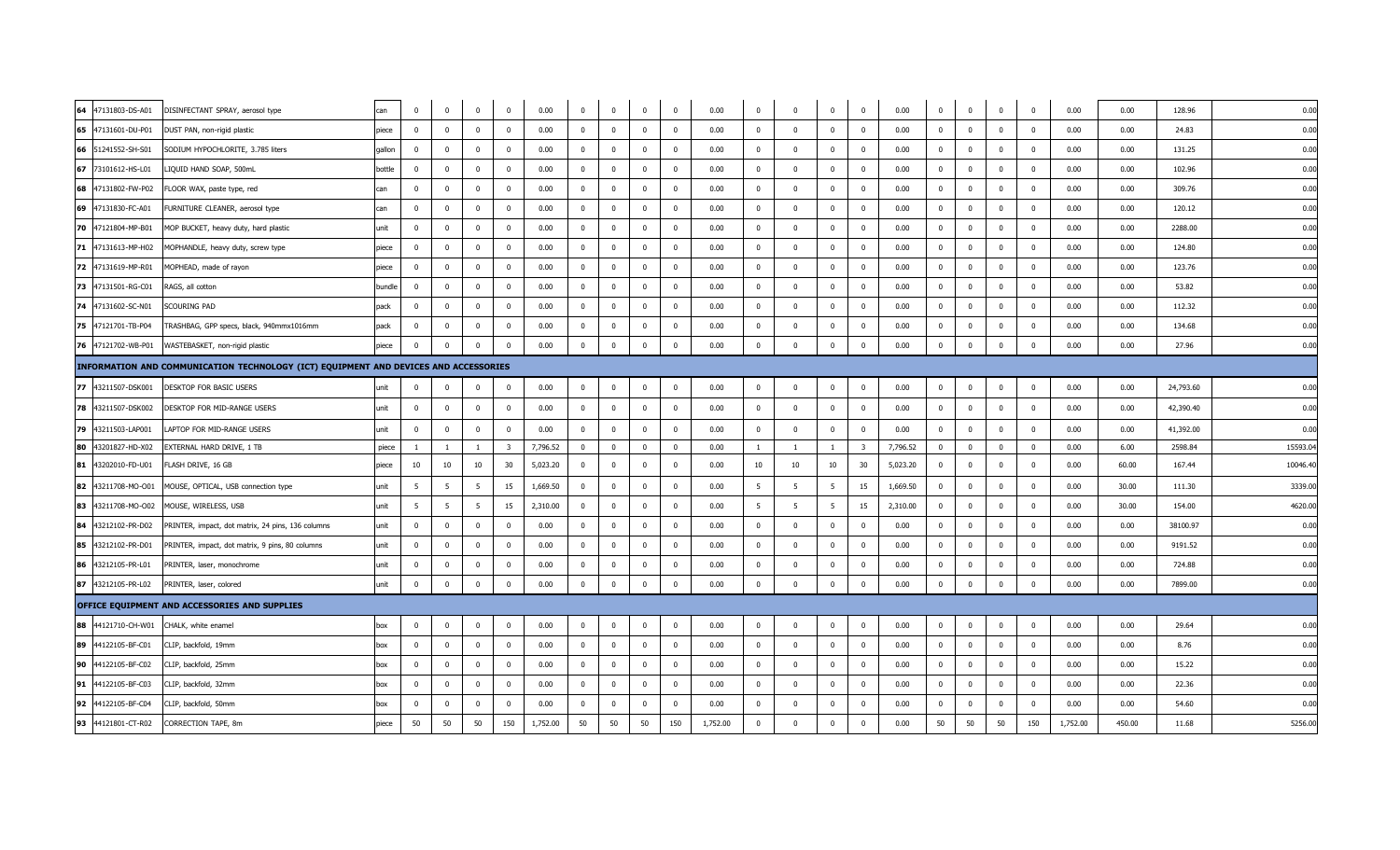| 64 47131803-DS-A01                      | DISINFECTANT SPRAY, aerosol type                                                     | can    | $\overline{0}$          | $\mathbf 0$    | $\mathbf{0}$   | $\overline{0}$          | 0.00     | $\overline{0}$          | $\overline{0}$ | $\overline{0}$           | $\overline{0}$          | 0.00     | $\overline{0}$ | $\Omega$                | $\overline{0}$ | $\overline{0}$          | 0.00     | $\overline{0}$          | $\mathbf{0}$ | $\mathbf 0$    | $\overline{\mathbf{0}}$ | 0.00     | 0.00   | 128.96    | 0.00     |
|-----------------------------------------|--------------------------------------------------------------------------------------|--------|-------------------------|----------------|----------------|-------------------------|----------|-------------------------|----------------|--------------------------|-------------------------|----------|----------------|-------------------------|----------------|-------------------------|----------|-------------------------|--------------|----------------|-------------------------|----------|--------|-----------|----------|
| 65 47131601-DU-P01                      | DUST PAN, non-rigid plastic                                                          | piece  | $\overline{\mathbf{0}}$ | $\mathbf 0$    | $\overline{0}$ | $\overline{0}$          | 0.00     | $\overline{0}$          | $\overline{0}$ | $\overline{\mathbf{0}}$  | $\mathbf 0$             | 0.00     | $\mathbf 0$    | $\overline{\mathbf{0}}$ | $\mathbf{0}$   | $\overline{0}$          | 0.00     | $\overline{0}$          | $\mathbf 0$  | $\overline{0}$ | $\overline{\mathbf{0}}$ | 0.00     | 0.00   | 24.83     | 0.00     |
| 66 51241552-SH-S01                      | SODIUM HYPOCHLORITE, 3.785 liters                                                    | gallon | $\overline{0}$          | $\mathbf{0}$   | $\mathbf 0$    | $\overline{\mathbf{0}}$ | 0.00     | $\overline{0}$          | $\Omega$       | $\overline{0}$           | $\overline{0}$          | 0.00     | $^{\circ}$     | $\Omega$                | $\mathbf 0$    | $\mathbf 0$             | 0.00     | $\mathbf 0$             | $\mathbf 0$  | $\mathbf 0$    | $\overline{0}$          | 0.00     | 0.00   | 131.25    | 0.00     |
| 67 73101612-HS-L01                      | LIQUID HAND SOAP, 500mL                                                              | bottle | $\overline{0}$          | $\overline{0}$ | $\overline{0}$ | $\overline{0}$          | 0.00     | $\Omega$                | $\Omega$       | $\overline{0}$           | $\overline{0}$          | 0.00     | $\mathbf 0$    | $\Omega$                | $\overline{0}$ | $\mathbf{0}$            | 0.00     | $\Omega$                | $\mathbf{0}$ | $\Omega$       | $\Omega$                | 0.00     | 0.00   | 102.96    | 0.00     |
| 68 47131802-FW-P02                      | FLOOR WAX, paste type, red                                                           | can    | $\overline{\mathbf{0}}$ | $\overline{0}$ | $\mathbf 0$    | $\overline{\mathbf{0}}$ | 0.00     | $\overline{\mathbf{0}}$ | $\overline{0}$ | $\overline{\mathbf{0}}$  | $\overline{0}$          | 0.00     | $\mathbf 0$    | $\Omega$                | $\mathbf 0$    | $\mathbf{0}$            | 0.00     | $\overline{\mathbf{0}}$ | $\mathbf 0$  | $\mathbf{0}$   | $\overline{\mathbf{0}}$ | 0.00     | 0.00   | 309.76    | 0.00     |
| 69 47131830-FC-A01                      | FURNITURE CLEANER, aerosol type                                                      | can    | $\overline{0}$          | $\Omega$       | $\mathbf{0}$   | $\overline{0}$          | 0.00     | $\overline{0}$          | $\Omega$       | $\overline{0}$           | $\overline{\mathbf{0}}$ | 0.00     | $\mathbf{0}$   | $\Omega$                | $\mathbf{0}$   | $\mathbf 0$             | 0.00     | $\mathbf 0$             | $\mathbf 0$  | $^{\circ}$     | $\overline{0}$          | 0.00     | 0.00   | 120.12    | 0.00     |
| 70 47121804-MP-B01                      | MOP BUCKET, heavy duty, hard plastic                                                 | unit   | $\overline{0}$          | $\overline{0}$ | $\mathbf 0$    | $\overline{0}$          | 0.00     | $\overline{0}$          | $\mathbf{0}$   | $\overline{0}$           | $\overline{0}$          | 0.00     | $\mathbf 0$    | $\Omega$                | $\mathbf 0$    | $\mathbf 0$             | 0.00     | $\overline{0}$          | $\mathbf 0$  | $\overline{0}$ | $\overline{0}$          | 0.00     | 0.00   | 2288.00   | 0.00     |
| 71 47131613-MP-H02                      | MOPHANDLE, heavy duty, screw type                                                    | piece  | $\overline{0}$          | $\Omega$       | $\Omega$       | $\overline{0}$          | 0.00     | $\mathbf 0$             | $\Omega$       | $\Omega$                 | $\overline{0}$          | 0.00     | $\mathbf 0$    | $\Omega$                | $\Omega$       | $\mathbf 0$             | 0.00     | $\overline{0}$          | $\mathbf{0}$ | $\mathbf 0$    | $\Omega$                | 0.00     | 0.00   | 124.80    | 0.00     |
| 72 47131619-MP-R01                      | MOPHEAD, made of rayon                                                               | piece  | $\overline{0}$          | $\Omega$       | $^{\circ}$     | $\Omega$                | 0.00     | $\overline{0}$          | $\Omega$       | $\Omega$                 | $\overline{0}$          | 0.00     | $\overline{0}$ | $\Omega$                | $\overline{0}$ | $\Omega$                | 0.00     | $\Omega$                | $\mathbf{0}$ | $\Omega$       | $\Omega$                | 0.00     | 0.00   | 123.76    | 0.00     |
| 73 47131501-RG-C01                      | RAGS, all cotton                                                                     | bundle | $\mathbf 0$             | $\overline{0}$ | $^{\circ}$     | $\overline{\mathbf{0}}$ | 0.00     | $\overline{0}$          | $^{\circ}$     | $\overline{\phantom{0}}$ | $\overline{0}$          | 0.00     | $\mathbf{0}$   | $\Omega$                | $\mathbf{0}$   | $\mathbf 0$             | 0.00     | $\overline{\mathbf{0}}$ | $\mathbf 0$  | $\mathbf 0$    | $\mathbf{0}$            | 0.00     | 0.00   | 53.82     | 0.00     |
| 74 47131602-SC-N01                      | SCOURING PAD                                                                         | pack   | $\overline{0}$          | $\mathbf{0}$   | $\mathbf 0$    | $\overline{0}$          | 0.00     | $\mathbf 0$             | $\Omega$       | $\overline{0}$           | $\mathbf 0$             | 0.00     | $\mathbf 0$    |                         | $\mathbf{0}$   | $\mathbf 0$             | 0.00     | $\mathbf 0$             | $\mathbf 0$  | $\mathbf 0$    | $\mathbf{0}$            | 0.00     | 0.00   | 112.32    | 0.00     |
| 75 47121701-TB-P04                      | TRASHBAG, GPP specs, black, 940mmx1016mm                                             | pack   | $\overline{0}$          | $\overline{0}$ | $\mathbf{0}$   | $\overline{0}$          | 0.00     | $\Omega$                | $\Omega$       | $\overline{0}$           | $\overline{0}$          | 0.00     | $\mathbf{0}$   | $\Omega$                | $\overline{0}$ | $\mathbf{0}$            | 0.00     | $\Omega$                | $\mathbf{0}$ | $\Omega$       | $\Omega$                | 0.00     | 0.00   | 134.68    | 0.00     |
| 76 47121702-WB-P01                      | WASTEBASKET, non-rigid plastic                                                       | piece  | $\overline{\mathbf{0}}$ | $\Omega$       | $\mathbf 0$    | $\mathbf 0$             | 0.00     | $\overline{\mathbf{0}}$ | $\mathbf{0}$   | $\overline{0}$           | $\overline{0}$          | 0.00     | $\overline{0}$ | $\Omega$                | $\mathbf 0$    | $\mathbf{0}$            | 0.00     | $\overline{\mathbf{0}}$ | $\mathbf 0$  | $\mathbf 0$    | $\mathbf 0$             | 0.00     | 0.00   | 27.96     | 0.00     |
|                                         | INFORMATION AND COMMUNICATION TECHNOLOGY (ICT) EQUIPMENT AND DEVICES AND ACCESSORIES |        |                         |                |                |                         |          |                         |                |                          |                         |          |                |                         |                |                         |          |                         |              |                |                         |          |        |           |          |
| 77 43211507-DSK001                      | <b>DESKTOP FOR BASIC USERS</b>                                                       | unit   | $\overline{0}$          | $\mathbf{0}$   | $\mathbf 0$    | $\overline{\mathbf{0}}$ | 0.00     | $\mathbf 0$             | $\mathbf{0}$   | $\overline{0}$           | $\overline{0}$          | 0.00     | $\overline{0}$ | $\overline{0}$          | $\bf{0}$       | $\mathbf{0}$            | 0.00     | $\mathbf{0}$            | $\mathbf 0$  | $\mathbf 0$    | $\mathbf 0$             | 0.00     | 0.00   | 24,793.60 | 0.00     |
| 78 43211507-DSK002                      | DESKTOP FOR MID-RANGE USERS                                                          | unit   | $\Omega$                | $\Omega$       | $\Omega$       | $\Omega$                | 0.00     | $\Omega$                | $\Omega$       | $\overline{0}$           | $\overline{0}$          | 0.00     | $\overline{0}$ | $\Omega$                | $\overline{0}$ | $^{\circ}$              | 0.00     | $\Omega$                | $\mathbf{0}$ | $\Omega$       | $\Omega$                | 0.00     | 0.00   | 42,390.40 | 0.00     |
| 79 43211503-LAP001                      | LAPTOP FOR MID-RANGE USERS                                                           | unit   | $\overline{0}$          | $\Omega$       | $\mathbf{0}$   | $\overline{0}$          | 0.00     | $\overline{0}$          | $\Omega$       | $\overline{0}$           | $\overline{0}$          | 0.00     | $\mathbf 0$    | $\Omega$                | $\mathbf 0$    | $\mathbf 0$             | 0.00     | $\overline{0}$          | $\mathbf 0$  | $\mathbf 0$    | $\overline{0}$          | 0.00     | 0.00   | 41,392.00 | 0.00     |
| 80 43201827-HD-X02                      | EXTERNAL HARD DRIVE, 1 TB                                                            | piece  | <sup>1</sup>            | $\overline{1}$ | $\overline{1}$ | $\overline{\mathbf{3}}$ | 7,796.52 | $\overline{0}$          | $^{\circ}$     | $\overline{0}$           | $\overline{0}$          | 0.00     |                | $\overline{1}$          |                | $\overline{\mathbf{3}}$ | 7,796.52 | $\overline{\mathbf{0}}$ | $\mathbf{0}$ | $\mathbf 0$    | $\Omega$                | 0.00     | 6.00   | 2598.84   | 15593.04 |
| 81 43202010-FD-U01                      | FLASH DRIVE, 16 GB                                                                   | piece  | 10                      | 10             | 10             | 30                      | 5,023.20 | $\overline{\mathbf{0}}$ | $\Omega$       | $\overline{\mathbf{0}}$  | $\overline{0}$          | 0.00     | 10             | 10                      | 10             | 30                      | 5,023.20 | $\overline{\mathbf{0}}$ | $\mathbf 0$  | $\mathbf 0$    | $\overline{\mathbf{0}}$ | 0.00     | 60.00  | 167.44    | 10046.40 |
| 82 43211708-MO-O01                      | MOUSE, OPTICAL, USB connection type                                                  | unit   | 5                       | -5             | -5             | 15                      | 1,669.50 | $\overline{\mathbf{0}}$ | $\mathbf{0}$   | $\overline{\mathbf{0}}$  | $\overline{0}$          | 0.00     | 5              | - 5                     | 5              | 15                      | 1,669.50 | $\overline{0}$          | $\mathbf 0$  | $\overline{0}$ | $\overline{0}$          | 0.00     | 30.00  | 111.30    | 3339.00  |
| 83 43211708-MO-O02 MOUSE, WIRELESS, USB |                                                                                      | unit   | 5                       | 5              | 5              | 15                      | 2,310.00 | $\overline{\mathbf{0}}$ | $\Omega$       | $\overline{0}$           | $\overline{\mathbf{0}}$ | 0.00     | 5              | 5                       | 5              | 15                      | 2,310.00 | $\overline{0}$          | $\mathbf 0$  | $^{\circ}$     | $\overline{0}$          | 0.00     | 30.00  | 154.00    | 4620.00  |
| 84 43212102-PR-D02                      | PRINTER, impact, dot matrix, 24 pins, 136 columns                                    | unit   | $\overline{0}$          | $\mathbf 0$    | $\mathbf{0}$   | $\overline{\mathbf{0}}$ | 0.00     | $\overline{0}$          | $^{\circ}$     | $\overline{\mathbf{0}}$  | $\overline{\mathbf{0}}$ | 0.00     | $\mathbf{0}$   | $\Omega$                | $\mathbf{0}$   | $\mathbf 0$             | 0.00     | $\overline{\mathbf{0}}$ | $\mathbf 0$  | $\overline{0}$ | $\overline{\mathbf{0}}$ | 0.00     | 0.00   | 38100.97  | 0.00     |
| 85 43212102-PR-D01                      | PRINTER, impact, dot matrix, 9 pins, 80 columns                                      | unit   | $\overline{\mathbf{0}}$ | $\Omega$       | $\mathbf 0$    | $\overline{\mathbf{0}}$ | 0.00     | $\overline{\mathbf{0}}$ | $\mathbf{0}$   | $\overline{\mathbf{0}}$  | $\overline{0}$          | 0.00     | $\mathbf 0$    | $\Omega$                | $\mathbf 0$    | $\mathbf{0}$            | 0.00     | $\overline{\mathbf{0}}$ | $\mathbf 0$  | $\mathbf 0$    | $\overline{0}$          | 0.00     | 0.00   | 9191.52   | 0.00     |
| 86 43212105-PR-L01                      | PRINTER, laser, monochrome                                                           | unit   | $\overline{0}$          | $\overline{0}$ | $\mathbf{0}$   | $\Omega$                | 0.00     | $\Omega$                | $\Omega$       | $\overline{0}$           | $\overline{0}$          | 0.00     | $\overline{0}$ | $\Omega$                | $\overline{0}$ | $\mathbf 0$             | 0.00     | $\mathbf 0$             | $\mathbf{0}$ | $\Omega$       | $\Omega$                | 0.00     | 0.00   | 724.88    | 0.00     |
| 87 43212105-PR-L02                      | PRINTER, laser, colored                                                              | unit   | $\overline{\mathbf{0}}$ | $\mathbf 0$    | $\overline{0}$ | $\overline{\mathbf{0}}$ | 0.00     | $\overline{\mathbf{0}}$ | $\overline{0}$ | $\overline{0}$           | $\overline{0}$          | 0.00     | $\overline{0}$ | $\overline{0}$          | $\bf{0}$       | $\mathbf{0}$            | 0.00     | $\overline{\mathbf{0}}$ | $\mathbf{0}$ | $\mathbf{0}$   | $\overline{0}$          | 0.00     | 0.00   | 7899.00   | 0.00     |
|                                         | OFFICE EQUIPMENT AND ACCESSORIES AND SUPPLIES                                        |        |                         |                |                |                         |          |                         |                |                          |                         |          |                |                         |                |                         |          |                         |              |                |                         |          |        |           |          |
| 88 44121710-CH-W01                      | CHALK, white enamel                                                                  | box    | $\overline{0}$          | $\mathbf{0}$   | $\mathbf 0$    | $\overline{0}$          | 0.00     | $\overline{\mathbf{0}}$ | $\mathbf{0}$   | $\overline{\mathbf{0}}$  | $\overline{0}$          | 0.00     | $\overline{0}$ | $\overline{0}$          | $\mathbf 0$    | $\mathbf 0$             | 0.00     | $\mathbf{0}$            | $\mathbf 0$  | $\mathbf 0$    | $\overline{0}$          | 0.00     | 0.00   | 29.64     | 0.00     |
| 89 44122105-BF-C01                      | CLIP, backfold, 19mm                                                                 | hox    | $\Omega$                | $\Omega$       | $\mathbf{0}$   | $\Omega$                | 0.00     | $\overline{0}$          | $\mathbf{0}$   | $\overline{0}$           | $\overline{0}$          | 0.00     | $\overline{0}$ | $\Omega$                | $\overline{0}$ | $\mathbf{0}$            | 0.00     | $\overline{0}$          | $\mathbf{0}$ | $\Omega$       | $\overline{0}$          | 0.00     | 0.00   | 8.76      | 0.00     |
| 90 44122105-BF-C02                      | CLIP, backfold, 25mm                                                                 | box    | $\overline{\mathbf{0}}$ | $\mathbf 0$    | $\mathbf 0$    | $\overline{\mathbf{0}}$ | 0.00     | $\overline{0}$          | $\overline{0}$ | $\overline{0}$           | $\overline{0}$          | 0.00     | $\mathbf 0$    | $\overline{0}$          | $\mathbf 0$    | $\overline{0}$          | 0.00     | $\overline{\mathbf{0}}$ | $\mathbf 0$  | $\mathbf 0$    | $\overline{\mathbf{0}}$ | 0.00     | 0.00   | 15.22     | 0.00     |
| 91 44122105-BF-C03                      | CLIP, backfold, 32mm                                                                 | box    | $\overline{0}$          | $\Omega$       | $^{\circ}$     | $\overline{\mathbf{0}}$ | 0.00     | $\mathbf{0}$            | $\mathbf{0}$   | $\overline{0}$           | $\overline{0}$          | 0.00     | $\mathbf 0$    | $\mathbf{0}$            | $\mathbf{0}$   | $\mathbf{0}$            | 0.00     | $\overline{0}$          | $\mathbf 0$  | $\mathbf 0$    | $\mathbf{0}$            | 0.00     | 0.00   | 22.36     | 0.00     |
| 92 44122105-BF-C04                      | CLIP, backfold, 50mm                                                                 | box    | $\Omega$                | $\Omega$       | $\Omega$       | $\Omega$                | 0.00     | $\Omega$                | $\Omega$       | $\overline{0}$           | $\overline{\mathbf{0}}$ | 0.00     | $\mathbf 0$    | $\Omega$                | $\mathbf{0}$   | $\mathbf 0$             | 0.00     | $\Omega$                | $\mathbf 0$  | $\Omega$       | $\overline{0}$          | 0.00     | 0.00   | 54.60     | 0.00     |
| 93 44121801-CT-R02                      | CORRECTION TAPE, 8m                                                                  | piece  | 50                      | 50             | 50             | 150                     | 1,752.00 | 50                      | 50             | 50                       | 150                     | 1,752.00 | $\mathbf 0$    | $\Omega$                | $\mathbf{0}$   | $\mathbf{0}$            | 0.00     | 50                      | 50           | 50             | 150                     | 1,752.00 | 450.00 | 11.68     | 5256.00  |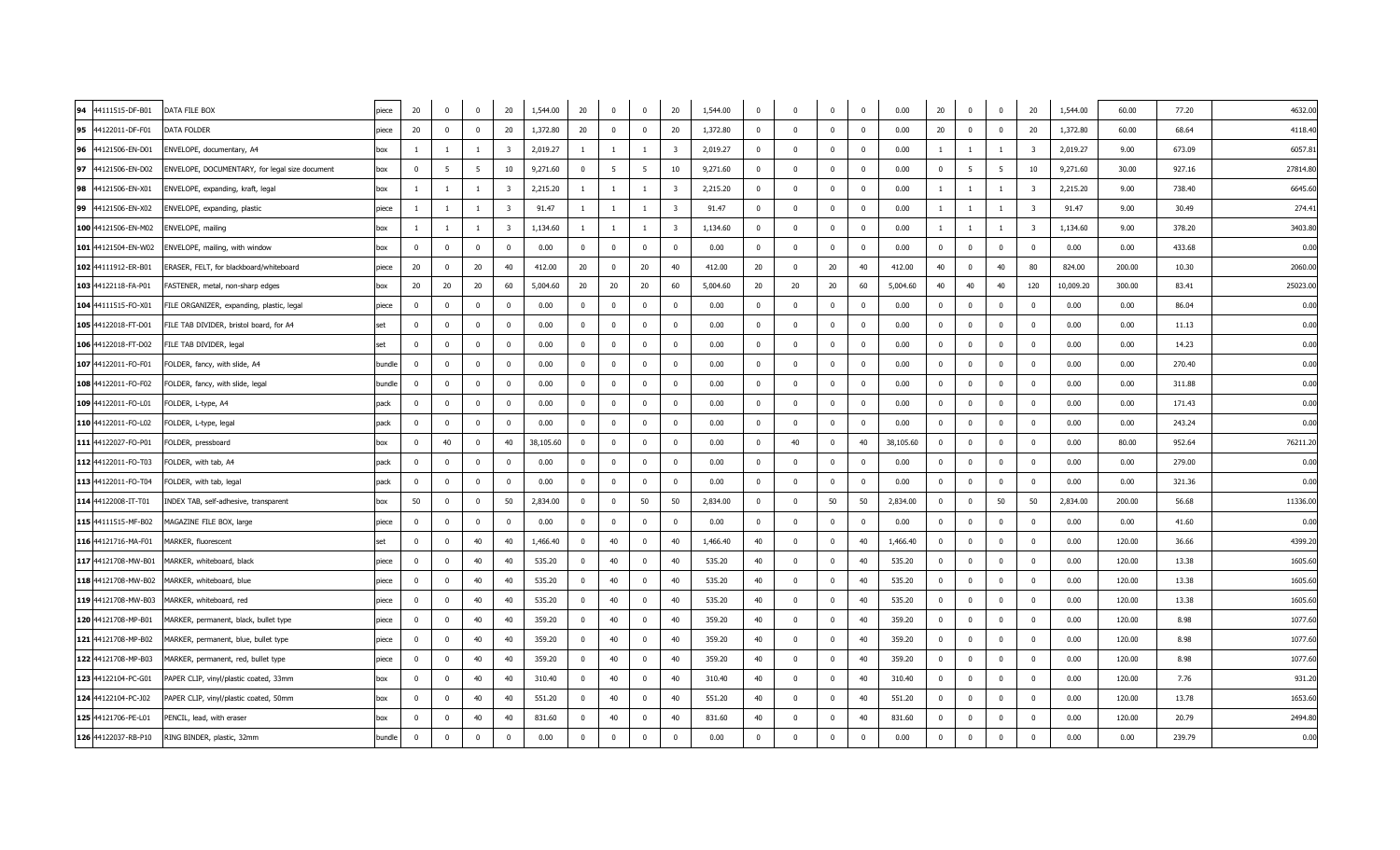| 94 44111515-DF-B01  | DATA FILE BOX                                  | piece  | 20                      | $\mathbf{0}$   | $\overline{\mathbf{0}}$ | 20                      | 1,544.00  | 20                      | $\mathbf 0$    | $\overline{0}$          | 20                      | 1,544.00 | $\overline{0}$ | $\overline{0}$ | $\mathbf{0}$ | $\overline{0}$          | 0.00      | 20                      | $\mathbf{0}$            | $\overline{0}$ | 20                      | 1,544.00  | 60.00  | 77.20  | 4632.00  |
|---------------------|------------------------------------------------|--------|-------------------------|----------------|-------------------------|-------------------------|-----------|-------------------------|----------------|-------------------------|-------------------------|----------|----------------|----------------|--------------|-------------------------|-----------|-------------------------|-------------------------|----------------|-------------------------|-----------|--------|--------|----------|
| 95 44122011-DF-F01  | DATA FOLDER                                    | piece  | 20                      | $\mathbf 0$    | $\overline{0}$          | 20                      | 1,372.80  | 20                      | $\mathbf{0}$   | $\overline{0}$          | 20                      | 1,372.80 | $\mathbf 0$    | $\mathbf 0$    | $\mathbf 0$  | $\overline{0}$          | 0.00      | 20                      | $\overline{0}$          | $\mathbf 0$    | 20                      | 1,372.80  | 60.00  | 68.64  | 4118.40  |
| 96 44121506-EN-D01  | ENVELOPE, documentary, A4                      | box    | $\mathbf{1}$            | $\overline{1}$ | $\mathbf{1}$            | $\overline{\mathbf{3}}$ | 2,019.27  | $\mathbf{1}$            | $\mathbf{1}$   | <sup>1</sup>            | $\overline{\mathbf{3}}$ | 2,019.27 | $\mathbf{0}$   | $\mathbf{0}$   | $\mathbf 0$  | $\mathbf{0}$            | 0.00      | $\overline{1}$          | $\overline{1}$          |                | $\overline{\mathbf{3}}$ | 2,019.27  | 9.00   | 673.09 | 6057.81  |
| 97 44121506-EN-D02  | ENVELOPE, DOCUMENTARY, for legal size document | box    | $\overline{0}$          | 5              | $5^{\circ}$             | 10                      | 9,271.60  | $\mathbf{0}$            | 5 <sub>5</sub> | $5^{\circ}$             | 10                      | 9,271.60 | $\mathbf{0}$   | $\Omega$       | $\mathbf 0$  | $\mathbf 0$             | 0.00      | $\overline{\mathbf{0}}$ | 5                       | 5              | 10                      | 9,271.60  | 30.00  | 927.16 | 27814.80 |
| 98 44121506-EN-X01  | ENVELOPE, expanding, kraft, legal              | box    | $\mathbf{1}$            | $\overline{1}$ | $\overline{1}$          | $\overline{\mathbf{3}}$ | 2,215.20  | $\mathbf{1}$            | $\mathbf{1}$   | $\overline{1}$          | $\overline{\mathbf{3}}$ | 2,215.20 | $\mathbf 0$    | $\mathbf 0$    | $\mathbf 0$  | $\mathbf{0}$            | 0.00      | $\overline{1}$          | $\mathbf{1}$            | $\mathbf{1}$   | $\overline{\mathbf{3}}$ | 2,215.20  | 9.00   | 738.40 | 6645.60  |
| 99 44121506-EN-X02  | ENVELOPE, expanding, plastic                   | piece  | $\mathbf{1}$            | -1             | $\mathbf{1}$            | $\overline{\mathbf{3}}$ | 91.47     | $\mathbf{1}$            | $\mathbf{1}$   | <sup>1</sup>            | $\overline{\mathbf{3}}$ | 91.47    | $\mathbf 0$    | $\mathbf 0$    | $^{\circ}$   | $\overline{\mathbf{0}}$ | 0.00      | - 1                     | $\mathbf{1}$            | -1             | $\overline{\mathbf{3}}$ | 91.47     | 9.00   | 30.49  | 274.41   |
| 100 44121506-EN-M02 | ENVELOPE, mailing                              | box    | $\mathbf{1}$            | $\overline{1}$ | $\overline{1}$          | $\overline{\mathbf{3}}$ | 1,134.60  | $\mathbf{1}$            | $\overline{1}$ | $\overline{1}$          | $\overline{\mathbf{3}}$ | 1,134.60 | $\Omega$       | $\Omega$       | $\Omega$     | $\Omega$                | 0.00      | $\overline{1}$          | $\overline{1}$          | $\overline{1}$ | $\overline{\mathbf{3}}$ | 1,134.60  | 9.00   | 378.20 | 3403.80  |
| 101 44121504-EN-W02 | ENVELOPE, mailing, with window                 | box    | $\overline{0}$          | $\Omega$       | $\overline{\mathbf{0}}$ | $\mathbf 0$             | 0.00      | $\overline{0}$          | $\mathbf{0}$   | $\overline{0}$          | $\overline{0}$          | 0.00     | $^{\circ}$     | $\Omega$       | $^{\circ}$   | $\mathbf 0$             | 0.00      | $\overline{\mathbf{0}}$ | $\mathbf 0$             | $\mathbf 0$    | $\overline{\mathbf{0}}$ | 0.00      | 0.00   | 433.68 | 0.00     |
| 102 44111912-ER-B01 | ERASER, FELT, for blackboard/whiteboard        | piece  | 20                      | $\Omega$       | 20                      | 40                      | 412.00    | 20                      | $\mathbf{0}$   | 20                      | 40                      | 412.00   | 20             | $\Omega$       | 20           | 40                      | 412.00    | 40                      | $\mathbf{0}$            | 40             | 80                      | 824.00    | 200.00 | 10.30  | 2060.00  |
| 103 44122118-FA-P01 | FASTENER, metal, non-sharp edges               | box    | 20                      | 20             | 20                      | 60                      | 5,004.60  | 20                      | 20             | 20                      | 60                      | 5,004.60 | 20             | 20             | 20           | 60                      | 5,004.60  | 40                      | 40                      | 40             | 120                     | 10,009.20 | 300.00 | 83.41  | 25023.00 |
| 104 44111515-FO-X01 | FILE ORGANIZER, expanding, plastic, legal      | piece  | $\overline{\mathbf{0}}$ | $\Omega$       | $\overline{0}$          | $\mathbf 0$             | 0.00      | $\overline{0}$          | $\Omega$       | $\overline{0}$          | $\overline{\mathbf{0}}$ | 0.00     | $\Omega$       | $\Omega$       | $\Omega$     | $\overline{0}$          | 0.00      | $\overline{\mathbf{0}}$ | $\mathbf 0$             | $\mathbf 0$    | $\overline{0}$          | 0.00      | 0.00   | 86.04  | 0.00     |
| 105 44122018-FT-D01 | FILE TAB DIVIDER, bristol board, for A4        | set    | $\overline{\mathbf{0}}$ | $\Omega$       | $\overline{\mathbf{0}}$ | $\mathbf{0}$            | 0.00      | $\overline{0}$          | $^{\circ}$     | $\overline{0}$          | $\overline{0}$          | 0.00     | $^{\circ}$     | $^{\circ}$     | $^{\circ}$   | $\overline{\mathbf{0}}$ | 0.00      | $\overline{\mathbf{0}}$ | $\overline{\mathbf{0}}$ | $\mathbf 0$    | $\overline{\mathbf{0}}$ | 0.00      | 0.00   | 11.13  | 0.00     |
| 106 44122018-FT-D02 | FILE TAB DIVIDER, legal                        | set    | $\overline{\mathbf{0}}$ | $^{\circ}$     | $\overline{\mathbf{0}}$ | $\mathbf 0$             | 0.00      | $\mathbf{0}$            | $\mathbf{0}$   | $\overline{0}$          | $\overline{0}$          | 0.00     | $^{\circ}$     | $^{\circ}$     | $^{\circ}$   | $\overline{0}$          | 0.00      | $\overline{0}$          | $\overline{0}$          | $\overline{0}$ | $\overline{\mathbf{0}}$ | 0.00      | 0.00   | 14.23  | 0.00     |
| 107 44122011-FO-F01 | FOLDER, fancy, with slide, A4                  | bundle | $\overline{0}$          | $\Omega$       | $\overline{0}$          | $\overline{0}$          | 0.00      | $\overline{0}$          | $\mathbf{0}$   | $\overline{0}$          | $\overline{0}$          | 0.00     | $^{\circ}$     | $^{\circ}$     | $\mathbf{0}$ | $\overline{0}$          | 0.00      | $\overline{0}$          | $\mathbf{0}$            | $\Omega$       | $\overline{0}$          | 0.00      | 0.00   | 270.40 | 0.00     |
| 108 44122011-FO-F02 | FOLDER, fancy, with slide, legal               | bundle | $\overline{\mathbf{0}}$ | $\Omega$       | $\overline{\mathbf{0}}$ | $\mathbf{0}$            | 0.00      | $\overline{0}$          | $^{\circ}$     | $\overline{0}$          | $\overline{\mathbf{0}}$ | 0.00     | $\Omega$       | $\Omega$       | $\Omega$     | $\overline{\mathbf{0}}$ | 0.00      | $\overline{\mathbf{0}}$ | $\mathbf 0$             | $^{\circ}$     | $\overline{\mathbf{0}}$ | 0.00      | 0.00   | 311.88 | 0.00     |
| 109 44122011-FO-L01 | FOLDER, L-type, A4                             | pack   | $\overline{\mathbf{0}}$ |                | $\Omega$                | $\mathbf 0$             | 0.00      | $\overline{0}$          | $\Omega$       | $\Omega$                | $\Omega$                | 0.00     | $\Omega$       | $\Omega$       | $\Omega$     | $\Omega$                | 0.00      | $\overline{0}$          | $\Omega$                | $\Omega$       | $\Omega$                | 0.00      | 0.00   | 171.43 | 0.00     |
| 110 44122011-FO-L02 | FOLDER, L-type, legal                          | pack   | $\overline{\mathbf{0}}$ | $^{\circ}$     | $\overline{0}$          | $\mathbf{0}$            | 0.00      | $\overline{0}$          | $\mathbf{0}$   | $\overline{0}$          | $\overline{0}$          | 0.00     | $\mathbf{0}$   | $\mathbf{0}$   | $^{\circ}$   | $\overline{\mathbf{0}}$ | 0.00      | $\overline{0}$          | $\overline{\mathbf{0}}$ | $\overline{0}$ | $\overline{\mathbf{0}}$ | 0.00      | 0.00   | 243.24 | 0.00     |
| 111 44122027-FO-P01 | FOLDER, pressboard                             | box    | $\overline{\mathbf{0}}$ | 40             | $\overline{0}$          | 40                      | 38,105.60 | $\overline{\mathbf{0}}$ | $\mathbf{0}$   | $\overline{0}$          | $\overline{0}$          | 0.00     | $\mathbf 0$    | 40             | $\mathbf 0$  | 40                      | 38,105.60 | $\overline{0}$          | $\overline{0}$          | $\mathbf 0$    | $\overline{\mathbf{0}}$ | 0.00      | 80.00  | 952.64 | 76211.20 |
| 112 44122011-FO-T03 | FOLDER, with tab, A4                           | pack   | $\overline{\mathbf{0}}$ | $\Omega$       | $\overline{\mathbf{0}}$ | $\mathbf{0}$            | 0.00      | $\overline{0}$          | $\mathbf 0$    | $\overline{0}$          | $\overline{0}$          | 0.00     | $^{\circ}$     | $\Omega$       | $^{\circ}$   | $\overline{\mathbf{0}}$ | 0.00      | $\overline{\mathbf{0}}$ | $\overline{\mathbf{0}}$ | $^{\circ}$     | $\overline{0}$          | 0.00      | 0.00   | 279.00 | 0.00     |
| 113 44122011-FO-T04 | FOLDER, with tab, legal                        | pack   | $\overline{\mathbf{0}}$ | $\Omega$       | $\Omega$                | $\overline{0}$          | 0.00      | $\overline{0}$          | $\Omega$       | $\Omega$                | $\Omega$                | 0.00     | $\Omega$       | $\Omega$       | $\Omega$     | $\Omega$                | 0.00      | $\overline{0}$          | $\Omega$                | $\Omega$       | $\Omega$                | 0.00      | 0.00   | 321.36 | 0.00     |
| 114 44122008-IT-T01 | INDEX TAB, self-adhesive, transparent          | box    | 50                      | $^{\circ}$     | $\overline{\mathbf{0}}$ | 50                      | 2,834.00  | $\overline{0}$          | $\mathbf{0}$   | 50                      | 50                      | 2,834.00 | $\mathbf 0$    | $\mathbf{0}$   | 50           | 50                      | 2,834.00  | $\overline{0}$          | $\overline{0}$          | 50             | 50                      | 2,834.00  | 200.00 | 56.68  | 11336.00 |
| 115 44111515-MF-B02 | MAGAZINE FILE BOX, large                       | piece  | $\overline{\mathbf{0}}$ | $^{\circ}$     | $\overline{0}$          | $\mathbf 0$             | 0.00      | $\overline{0}$          | $\mathbf{0}$   | $\overline{0}$          | $\overline{0}$          | 0.00     | $\mathbf 0$    | $\mathbf 0$    | $\mathbf 0$  | $\mathbf 0$             | 0.00      | $\overline{0}$          | $\mathbf{0}$            | $\mathbf 0$    | $\overline{\mathbf{0}}$ | 0.00      | 0.00   | 41.60  | 0.00     |
| 116 44121716-MA-F01 | MARKER, fluorescent                            | set    | $\overline{0}$          | $^{\circ}$     | 40                      | 40                      | 1,466.40  | $\mathbf{0}$            | 40             | $\overline{0}$          | 40                      | 1,466.40 | 40             | $\mathbf{0}$   | $\mathbf 0$  | 40                      | 1,466.40  | $\overline{0}$          | $\overline{0}$          | $\pmb{0}$      | $\overline{\mathbf{0}}$ | 0.00      | 120.00 | 36.66  | 4399.20  |
| 117 44121708-MW-B01 | MARKER, whiteboard, black                      | piece  | $\overline{\mathbf{0}}$ | $\Omega$       | 40                      | 40                      | 535.20    | $\overline{0}$          | 40             | $\Omega$                | 40                      | 535.20   | 40             | $\Omega$       | $^{\circ}$   | 40                      | 535.20    | $\overline{0}$          | $\mathbf{0}$            | $\Omega$       | $\overline{0}$          | 0.00      | 120.00 | 13.38  | 1605.60  |
|                     | 118 44121708-MW-B02 MARKER, whiteboard, blue   | piece  | $\overline{\mathbf{0}}$ | $\Omega$       | 40                      | 40                      | 535.20    | $\overline{0}$          | 40             | $\overline{\mathbf{0}}$ | 40                      | 535.20   | 40             | $\Omega$       | $\Omega$     | 40                      | 535.20    | $\overline{0}$          | $\mathbf{0}$            | $^{\circ}$     | $\overline{\mathbf{0}}$ | 0.00      | 120.00 | 13.38  | 1605.60  |
|                     | 119 44121708-MW-B03 MARKER, whiteboard, red    | piece  | $\overline{\mathbf{0}}$ | $\Omega$       | 40                      | 40                      | 535.20    | $\overline{0}$          | 40             | $\overline{0}$          | 40                      | 535.20   | 40             | $\mathbf 0$    | $\mathbf 0$  | 40                      | 535.20    | $\overline{0}$          | $\mathbf{0}$            | $\mathbf 0$    | $\overline{\mathbf{0}}$ | 0.00      | 120.00 | 13.38  | 1605.60  |
| 120 44121708-MP-B01 | MARKER, permanent, black, bullet type          | piece  | $\overline{\mathbf{0}}$ | $^{\circ}$     | 40                      | 40                      | 359.20    | $\mathbf{0}$            | 40             | $\overline{0}$          | 40                      | 359.20   | 40             | $\mathbf{0}$   | $^{\circ}$   | 40                      | 359.20    | $\overline{0}$          | $\overline{0}$          | $\mathbf 0$    | $\overline{\mathbf{0}}$ | 0.00      | 120.00 | 8.98   | 1077.60  |
| 121 44121708-MP-B02 | MARKER, permanent, blue, bullet type           | piece  | $\overline{0}$          | $^{\circ}$     | 40                      | 40                      | 359.20    | $\mathbf{0}$            | 40             | $\overline{0}$          | 40                      | 359.20   | 40             | $\mathbf{0}$   | $\mathbf 0$  | 40                      | 359.20    | $\overline{0}$          | $\mathbf 0$             | $\mathbf 0$    | $\overline{\mathbf{0}}$ | 0.00      | 120.00 | 8.98   | 1077.60  |
| 122 44121708-MP-B03 | MARKER, permanent, red, bullet type            | piece  | $\overline{\mathbf{0}}$ | $\Omega$       | 40                      | 40                      | 359.20    | $\overline{0}$          | 40             | $\overline{\mathbf{0}}$ | 40                      | 359.20   | 40             | $\Omega$       | $\Omega$     | 40                      | 359.20    | $\overline{0}$          | $\mathbf 0$             | $\mathbf 0$    | $\overline{\mathbf{0}}$ | 0.00      | 120.00 | 8.98   | 1077.60  |
| 123 44122104-PC-G01 | PAPER CLIP, vinyl/plastic coated, 33mm         | box    | $\overline{\mathbf{0}}$ | $\Omega$       | 40                      | 40                      | 310.40    | $\overline{0}$          | 40             | $\overline{0}$          | 40                      | 310.40   | 40             | $^{\circ}$     | $\mathbf 0$  | 40                      | 310.40    | $\overline{0}$          | $\overline{0}$          | $\mathbf 0$    | $\overline{\mathbf{0}}$ | 0.00      | 120.00 | 7.76   | 931.20   |
| 124 44122104-PC-J02 | PAPER CLIP, vinyl/plastic coated, 50mm         | box    | $\overline{\mathbf{0}}$ | $^{\circ}$     | 40                      | 40                      | 551.20    | $\overline{0}$          | 40             | $\overline{0}$          | 40                      | 551.20   | 40             | $^{\circ}$     | $^{\circ}$   | 40                      | 551.20    | $\overline{0}$          | $\overline{0}$          | $\mathbf{0}$   | $\overline{\mathbf{0}}$ | 0.00      | 120.00 | 13.78  | 1653.60  |
| 125 44121706-PE-L01 | PENCIL, lead, with eraser                      | box    | $\overline{\mathbf{0}}$ |                | 40                      | 40                      | 831.60    | $\overline{0}$          | 40             | $^{\circ}$              | 40                      | 831.60   | 40             | $^{\circ}$     | $^{\circ}$   | 40                      | 831.60    | $\overline{0}$          | $\mathbf 0$             | $\mathbf 0$    | $\overline{\mathbf{0}}$ | 0.00      | 120.00 | 20.79  | 2494.80  |
| 126 44122037-RB-P10 | RING BINDER, plastic, 32mm                     | bundle | $\overline{0}$          | $\Omega$       | $\overline{0}$          | $\mathbf 0$             | 0.00      | $\mathbf{0}$            | $\mathbf{0}$   | $\overline{0}$          | $\overline{0}$          | 0.00     | $\mathbf 0$    | $\Omega$       | $\Omega$     | $\mathbf 0$             | 0.00      | $\overline{0}$          | $\mathbf 0$             | $\mathbf 0$    | $\overline{\mathbf{0}}$ | 0.00      | 0.00   | 239.79 | 0.00     |
|                     |                                                |        |                         |                |                         |                         |           |                         |                |                         |                         |          |                |                |              |                         |           |                         |                         |                |                         |           |        |        |          |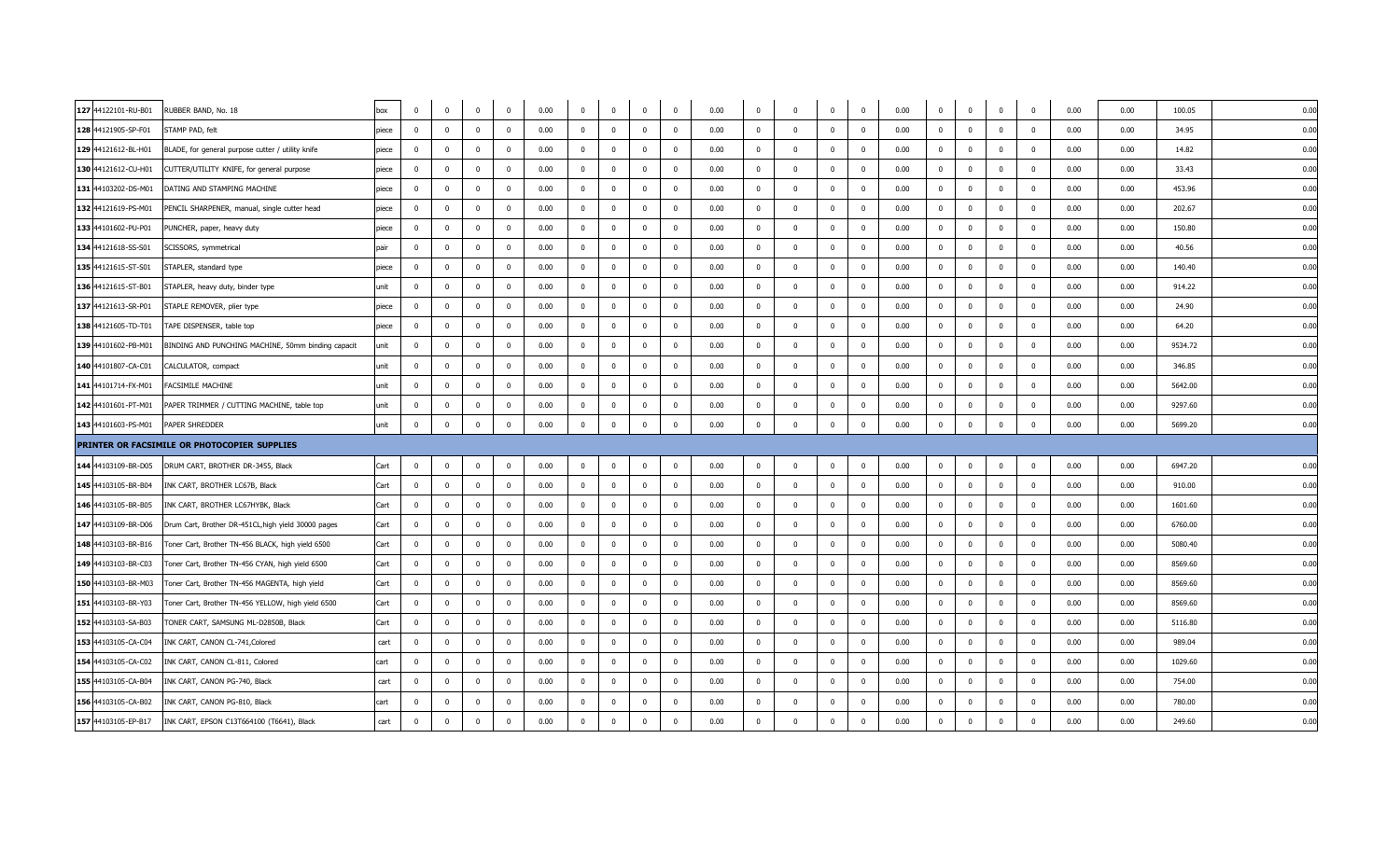| 127 44122101-RU-B01 | RUBBER BAND, No. 18                                 | box   | $\mathbf 0$             | $\mathbf{0}$   | $\overline{0}$          | $\overline{0}$ | 0.00 | $\overline{0}$ | $\mathbf{0}$   | $\overline{0}$          | $\overline{0}$          | 0.00 | $\mathbf{0}$   | $\Omega$     | $\mathbf 0$    | $\overline{0}$          | 0.00 | $\overline{0}$ | $\overline{0}$           | $\bf{0}$<br>$\mathbf 0$                            | 0.00 | 0.00 | 100.05  | 0.00 |  |
|---------------------|-----------------------------------------------------|-------|-------------------------|----------------|-------------------------|----------------|------|----------------|----------------|-------------------------|-------------------------|------|----------------|--------------|----------------|-------------------------|------|----------------|--------------------------|----------------------------------------------------|------|------|---------|------|--|
| 128 44121905-SP-F01 | STAMP PAD, felt                                     | piece | $\overline{0}$          | $\mathbf 0$    | $\overline{0}$          | $\overline{0}$ | 0.00 | $\mathbf 0$    | $\mathbf 0$    | $\overline{0}$          | $\overline{0}$          | 0.00 | $\mathbf{0}$   | $\mathbf{0}$ | $\mathbf 0$    | $\overline{\mathbf{0}}$ | 0.00 | $\overline{0}$ | $\overline{\mathbf{0}}$  | $\overline{0}$<br>$\mathbf 0$                      | 0.00 | 0.00 | 34.95   | 0.00 |  |
| 129 44121612-BL-H01 | BLADE, for general purpose cutter / utility knife   | piece | $\mathbf 0$             | $\mathbf 0$    | $\Omega$                | $\overline{0}$ | 0.00 | $\mathbf 0$    | $\mathbf{0}$   | $\Omega$                | $\overline{0}$          | 0.00 | $^{\circ}$     | $\Omega$     | $\Omega$       | $\overline{0}$          | 0.00 | $\overline{0}$ | $\overline{0}$           | $\mathbf 0$<br>$\overline{0}$                      | 0.00 | 0.00 | 14.82   | 0.00 |  |
| 130 44121612-CU-H01 | CUTTER/UTILITY KNIFE, for general purpose           | piece | $\overline{0}$          | $\mathbf{0}$   | $\Omega$                | $\Omega$       | 0.00 | $^{\circ}$     | $\mathbf{0}$   | $\overline{0}$          | $\Omega$                | 0.00 | $\mathbf{0}$   | $\Omega$     | $^{\circ}$     | $\overline{0}$          | 0.00 | $\overline{0}$ | $\overline{0}$           | $\overline{0}$<br>$\overline{0}$                   | 0.00 | 0.00 | 33.43   | 0.00 |  |
| 131 44103202-DS-M01 | DATING AND STAMPING MACHINE                         | piece | $\overline{\mathbf{0}}$ | $\mathbf 0$    | $\overline{0}$          | $\overline{0}$ | 0.00 | $\mathbf 0$    | $\mathbf 0$    | $\overline{0}$          | $\overline{0}$          | 0.00 | $\mathbf{0}$   | $^{\circ}$   | $\mathbf 0$    | $\overline{\mathbf{0}}$ | 0.00 | $\overline{0}$ | $\overline{\mathbf{0}}$  | $\overline{\mathbf{0}}$<br>$\mathbf 0$             | 0.00 | 0.00 | 453.96  | 0.00 |  |
| 132 44121619-PS-M01 | PENCIL SHARPENER, manual, single cutter head        | piece | $\mathbf 0$             | $\mathbf 0$    | $\mathbf{0}$            | $\mathbf{0}$   | 0.00 | $\mathbf 0$    | $\mathbf 0$    | $\overline{0}$          | $\overline{0}$          | 0.00 | $\mathbf{0}$   | $\Omega$     | $\mathbf{0}$   | $\overline{\mathbf{0}}$ | 0.00 | $\mathbf 0$    | $\overline{0}$           | $\overline{\mathbf{0}}$<br>$\overline{\mathbf{0}}$ | 0.00 | 0.00 | 202.67  | 0.00 |  |
| 133 44101602-PU-P01 | PUNCHER, paper, heavy duty                          | piece | $\overline{0}$          | $\mathbf 0$    | $\Omega$                | $\mathbf{0}$   | 0.00 | $\mathbf 0$    | $\mathbf 0$    | $\mathbf{0}$            | $\mathbf{0}$            | 0.00 | $\mathbf{0}$   | $\Omega$     | $\Omega$       | $\overline{0}$          | 0.00 | $\mathbf 0$    | $\overline{\mathbf{0}}$  | $^{\circ}$<br>$\overline{\mathbf{0}}$              | 0.00 | 0.00 | 150.80  | 0.00 |  |
| 134 44121618-SS-S01 | SCISSORS, symmetrical                               | pair  | $\mathbf 0$             | $\mathbf 0$    | $\overline{0}$          | $\mathbf 0$    | 0.00 | $\mathbf 0$    | $\overline{0}$ | $\overline{0}$          | $\mathbf 0$             | 0.00 | $\mathbf{0}$   | $^{\circ}$   | $^{\circ}$     | $\overline{\mathbf{0}}$ | 0.00 | $\mathbf 0$    | $\overline{0}$           | $\mathbf 0$<br>$\mathbf 0$                         | 0.00 | 0.00 | 40.56   | 0.00 |  |
| 135 44121615-ST-S01 | STAPLER, standard type                              | piece | $\overline{0}$          | $^{\circ}$     | $\Omega$                | $\overline{0}$ | 0.00 | $\overline{0}$ | $\mathbf{0}$   | $\overline{0}$          | $\overline{0}$          | 0.00 | $\mathbf{0}$   | $\Omega$     | $\mathbf{0}$   | $\overline{\mathbf{0}}$ | 0.00 | $\overline{0}$ | $\Omega$                 | $\overline{\mathbf{0}}$<br>$\overline{0}$          | 0.00 | 0.00 | 140.40  | 0.00 |  |
| 136 44121615-ST-B01 | STAPLER, heavy duty, binder type                    | unit  | $\overline{0}$          | $\mathbf 0$    | $\overline{0}$          | $\mathbf{0}$   | 0.00 | $\mathbf 0$    | $\mathbf 0$    | $\overline{0}$          | $\mathbf{0}$            | 0.00 | $\mathbf{0}$   | $^{\circ}$   | $\mathbf{0}$   | $\overline{0}$          | 0.00 | $\mathbf 0$    | $\overline{\phantom{0}}$ | $\overline{\mathbf{0}}$<br>$\overline{\mathbf{0}}$ | 0.00 | 0.00 | 914.22  | 0.00 |  |
| 137 44121613-SR-P01 | STAPLE REMOVER, plier type                          | piece | $\mathbf 0$             | $\mathbf 0$    | $\overline{0}$          | $\overline{0}$ | 0.00 | $\mathbf 0$    | $\mathbf 0$    | $\overline{0}$          | $\mathbf{0}$            | 0.00 | $\mathbf{0}$   | $\Omega$     | $^{\circ}$     | $\overline{0}$          | 0.00 | $\mathbf 0$    | $\overline{0}$           | $\mathbf{0}$<br>$\overline{\mathbf{0}}$            | 0.00 | 0.00 | 24.90   | 0.00 |  |
| 138 44121605-TD-T01 | TAPE DISPENSER, table top                           | piece | $\mathbf 0$             | $\mathbf{0}$   | $\overline{0}$          | $\overline{0}$ | 0.00 | $\mathbf 0$    | $\mathbf{0}$   | $\overline{0}$          | $\overline{0}$          | 0.00 | $\mathbf{0}$   | $^{\circ}$   | $\mathbf{0}$   | $\overline{\mathbf{0}}$ | 0.00 | $\mathbf 0$    | $\overline{0}$           | $\overline{\mathbf{0}}$<br>$\mathbf 0$             | 0.00 | 0.00 | 64.20   | 0.00 |  |
| 139 44101602-PB-M01 | BINDING AND PUNCHING MACHINE, 50mm binding capacit  | unit  | $\mathbf 0$             | $\mathbf{0}$   | $\Omega$                | $\Omega$       | 0.00 | $\mathbf 0$    | $\mathbf{0}$   | $\overline{0}$          | $\mathbf{0}$            | 0.00 | $\mathbf{0}$   | $\Omega$     | $^{\circ}$     | $\overline{\mathbf{0}}$ | 0.00 | $\mathbf 0$    | $\overline{\mathbf{0}}$  | $\overline{\mathbf{0}}$<br>$\mathbf 0$             | 0.00 | 0.00 | 9534.72 | 0.00 |  |
| 140 44101807-CA-C01 | CALCULATOR, compact                                 | unit  | $\overline{\mathbf{0}}$ | $^{\circ}$     | $\overline{\mathbf{0}}$ | $\overline{0}$ | 0.00 | $\overline{0}$ | $\mathbf{0}$   | $\overline{0}$          | $\overline{0}$          | 0.00 | $\mathbf{0}$   | $\Omega$     | $\mathbf{0}$   | $\overline{\mathbf{0}}$ | 0.00 | $\mathbf 0$    | $\overline{0}$           | $\overline{\mathbf{0}}$<br>$\mathbf 0$             | 0.00 | 0.00 | 346.85  | 0.00 |  |
| 141 44101714-FX-M01 | FACSIMILE MACHINE                                   | unit  | $\mathbf{0}$            | $\mathbf 0$    | $\mathbf{0}$            | $\mathbf{0}$   | 0.00 | $\mathbf 0$    | $\mathbf 0$    | $\mathbf{0}$            | $\mathbf{0}$            | 0.00 | $\mathbf{0}$   | $\mathbf{0}$ | $^{\circ}$     | $\overline{\mathbf{0}}$ | 0.00 | $\mathbf 0$    | $\overline{\mathbf{0}}$  | $\overline{\mathbf{0}}$<br>$\overline{\mathbf{0}}$ | 0.00 | 0.00 | 5642.00 | 0.00 |  |
| 142 44101601-PT-M01 | PAPER TRIMMER / CUTTING MACHINE, table top          | unit  | $\overline{0}$          | $\mathbf{0}$   | $\Omega$                | $\overline{0}$ | 0.00 | $\overline{0}$ | $\mathbf 0$    | $\mathbf{0}$            | $\overline{0}$          | 0.00 | $^{\circ}$     | $\Omega$     |                | $\overline{\mathbf{0}}$ | 0.00 | $\overline{0}$ | $\overline{0}$           | $\mathbf 0$<br>$^{\circ}$                          | 0.00 | 0.00 | 9297.60 | 0.00 |  |
| 143 44101603-PS-M01 | PAPER SHREDDER                                      | unit  | $\overline{0}$          | $\overline{0}$ | $\overline{0}$          | $\Omega$       | 0.00 | $\bf{0}$       | $\overline{0}$ | $\overline{0}$          | $\mathbf{0}$            | 0.00 | $\overline{0}$ | $\Omega$     | $\overline{0}$ | $\overline{\mathbf{0}}$ | 0.00 | $\mathbf{0}$   | $\overline{0}$           | $\overline{0}$<br>$\mathbf 0$                      | 0.00 | 0.00 | 5699.20 | 0.00 |  |
|                     | PRINTER OR FACSIMILE OR PHOTOCOPIER SUPPLIES        |       |                         |                |                         |                |      |                |                |                         |                         |      |                |              |                |                         |      |                |                          |                                                    |      |      |         |      |  |
| 144 44103109-BR-D05 | DRUM CART, BROTHER DR-3455, Black                   | Cart  | $\overline{0}$          | $\mathbf 0$    | $\overline{0}$          | $\mathbf{0}$   | 0.00 | $\mathbf 0$    | $\mathbf 0$    | $\overline{0}$          | $\mathbf{0}$            | 0.00 | $\mathbf{0}$   | $^{\circ}$   | $\mathbf{0}$   | $\overline{\mathbf{0}}$ | 0.00 | $\mathbf 0$    | $\overline{\mathbf{0}}$  | $\overline{0}$<br>$\mathbf 0$                      | 0.00 | 0.00 | 6947.20 | 0.00 |  |
| 145 44103105-BR-B04 | INK CART, BROTHER LC67B, Black                      | Cart  | $\overline{0}$          | $^{\circ}$     | $\Omega$                | $\overline{0}$ | 0.00 | $\overline{0}$ | $\mathbf 0$    | $\Omega$                | $\overline{0}$          | 0.00 | $\mathbf{0}$   | $\Omega$     | $\Omega$       | $\overline{0}$          | 0.00 | $\mathbf 0$    | $\overline{0}$           | $\mathbf{0}$<br>$\overline{0}$                     | 0.00 | 0.00 | 910.00  | 0.00 |  |
| 146 44103105-BR-B05 | INK CART, BROTHER LC67HYBK, Black                   | Cart  | $\mathbf 0$             | $\mathbf 0$    | $\overline{0}$          | $\overline{0}$ | 0.00 | $\mathbf 0$    | $\mathbf 0$    | $\overline{0}$          | $\mathbf 0$             | 0.00 | $\mathbf{0}$   | $\mathbf 0$  | $\mathbf 0$    | $\overline{\mathbf{0}}$ | 0.00 | $\mathbf 0$    | $\overline{0}$           | $\overline{\mathbf{0}}$<br>$\mathbf 0$             | 0.00 | 0.00 | 1601.60 | 0.00 |  |
| 147 44103109-BR-D06 | Drum Cart, Brother DR-451CL, high yield 30000 pages | Cart  | $\overline{0}$          | $\mathbf 0$    | $\Omega$                | $\Omega$       | 0.00 | $\mathbf{0}$   | $\mathbf 0$    | $\Omega$                | $\mathbf{0}$            | 0.00 | $\mathbf{0}$   | $\Omega$     | $\Omega$       | $\overline{0}$          | 0.00 | $\mathbf 0$    | $\Omega$                 | $\overline{0}$<br>$\mathbf 0$                      | 0.00 | 0.00 | 6760.00 | 0.00 |  |
| 148 44103103-BR-B16 | Toner Cart, Brother TN-456 BLACK, high yield 6500   | Cart  | $\overline{0}$          | $\mathbf{0}$   | $\Omega$                | $\overline{0}$ | 0.00 | $\mathbf 0$    | $\mathbf 0$    | $\overline{0}$          | $\overline{0}$          | 0.00 | $\mathbf{0}$   | $\Omega$     | $\mathbf{0}$   | $\overline{\mathbf{0}}$ | 0.00 | $\mathbf 0$    | $\overline{0}$           | $\mathbf 0$<br>$\mathbf 0$                         | 0.00 | 0.00 | 5080.40 | 0.00 |  |
| 149 44103103-BR-C03 | Toner Cart, Brother TN-456 CYAN, high yield 6500    | Cart  | $\overline{0}$          | $\mathbf 0$    | $\Omega$                | $\mathbf{0}$   | 0.00 | $\mathbf 0$    | $\mathbf 0$    | $\overline{0}$          | $\mathbf{0}$            | 0.00 | $\mathbf{0}$   | $\Omega$     | $\Omega$       | $\overline{\mathbf{0}}$ | 0.00 | $\mathbf 0$    | $\overline{\mathbf{0}}$  | $\mathbf{0}$<br>$\overline{\mathbf{0}}$            | 0.00 | 0.00 | 8569.60 | 0.00 |  |
| 150 44103103-BR-M03 | Toner Cart, Brother TN-456 MAGENTA, high yield      | Cart  | $\overline{0}$          | $\mathbf 0$    | $\mathbf{0}$            | $\overline{0}$ | 0.00 | $\mathbf 0$    | $\mathbf 0$    | $\overline{0}$          | $\overline{0}$          | 0.00 | $\mathbf{0}$   | $^{\circ}$   | $^{\circ}$     | $\overline{0}$          | 0.00 | $\mathbf 0$    | $\overline{0}$           | $\overline{0}$<br>$\overline{0}$                   | 0.00 | 0.00 | 8569.60 | 0.00 |  |
| 151 44103103-BR-Y03 | Toner Cart, Brother TN-456 YELLOW, high yield 6500  | Cart  | $\overline{0}$          | $\Omega$       | $\Omega$                | $\overline{0}$ | 0.00 | $\mathbf{0}$   | $\mathbf{0}$   | $\Omega$                | $\overline{0}$          | 0.00 | $\mathbf{0}$   | $\Omega$     | $\mathbf{0}$   | $\overline{0}$          | 0.00 | $\overline{0}$ | $\overline{0}$           | $\overline{0}$<br>$\overline{0}$                   | 0.00 | 0.00 | 8569.60 | 0.00 |  |
| 152 44103103-SA-B03 | TONER CART, SAMSUNG ML-D2850B, Black                | Cart  | $\overline{\mathbf{0}}$ | $\mathbf 0$    | $\overline{0}$          | $\overline{0}$ | 0.00 | $\mathbf 0$    | $\mathbf 0$    | $\overline{\mathbf{0}}$ | $\overline{0}$          | 0.00 | $\mathbf{0}$   | $\mathbf{0}$ | $\mathbf{0}$   | $\overline{\mathbf{0}}$ | 0.00 | $\mathbf 0$    | $\overline{0}$           | $\overline{\mathbf{0}}$<br>$\mathbf 0$             | 0.00 | 0.00 | 5116.80 | 0.00 |  |
| 153 44103105-CA-C04 | INK CART, CANON CL-741, Colored                     | cart  | $\Omega$                | $^{\circ}$     | $\Omega$                | $\Omega$       | 0.00 | $\mathbf 0$    | $\mathbf 0$    | $\Omega$                | $\mathbf{0}$            | 0.00 | $\Omega$       | $\Omega$     | $\Omega$       | $\overline{0}$          | 0.00 | $\overline{0}$ | $\Omega$                 | $\mathbf{0}$<br>$\Omega$                           | 0.00 | 0.00 | 989.04  | 0.00 |  |
| 154 44103105-CA-C02 | INK CART, CANON CL-811, Colored                     | cart  | $\Omega$                | $^{\circ}$     | $\Omega$                | $\Omega$       | 0.00 | $\mathbf 0$    | $\mathbf 0$    | $\Omega$                | $\mathbf{0}$            | 0.00 | $\mathbf{0}$   | $\Omega$     | $\Omega$       | $\overline{0}$          | 0.00 | $\mathbf 0$    | $\overline{\mathbf{0}}$  | $\mathbf{0}$<br>$\mathbf{0}$                       | 0.00 | 0.00 | 1029.60 | 0.00 |  |
| 155 44103105-CA-B04 | INK CART, CANON PG-740, Black                       | cart  | $\mathbf 0$             | $\overline{0}$ | $\overline{0}$          | $\overline{0}$ | 0.00 | $\bf{0}$       | $\overline{0}$ | $\overline{0}$          | $\overline{0}$          | 0.00 | $\bf{0}$       | $^{\circ}$   | $\overline{0}$ | $\overline{\mathbf{0}}$ | 0.00 | $\mathbf{0}$   | $\overline{\mathbf{0}}$  | $\overline{\mathbf{0}}$<br>$\mathbf 0$             | 0.00 | 0.00 | 754.00  | 0.00 |  |
| 156 44103105-CA-B02 | INK CART, CANON PG-810, Black                       | cart  | $\overline{0}$          | $^{\circ}$     | $\Omega$                | $\Omega$       | 0.00 | $\mathbf 0$    | $\mathbf{0}$   | $\overline{0}$          | $\overline{\mathbf{0}}$ | 0.00 | $\mathbf{0}$   | $\Omega$     | $^{\circ}$     | $\overline{\mathbf{0}}$ | 0.00 | $\mathbf 0$    | $\overline{0}$           | $\overline{\mathbf{0}}$<br>$\mathbf 0$             | 0.00 | 0.00 | 780.00  | 0.00 |  |
| 157 44103105-EP-B17 | INK CART, EPSON C13T664100 (T6641), Black           | cart  | $\overline{0}$          | $\mathbf 0$    | $\overline{0}$          | $\Omega$       | 0.00 | $\overline{0}$ | $\mathbf 0$    | $\overline{0}$          | $\Omega$                | 0.00 | $\mathbf{0}$   | $\Omega$     | $\Omega$       | $\overline{0}$          | 0.00 | $\mathbf 0$    | $\overline{\mathbf{0}}$  | $\mathbf{0}$<br>$\overline{0}$                     | 0.00 | 0.00 | 249.60  | 0.00 |  |
|                     |                                                     |       |                         |                |                         |                |      |                |                |                         |                         |      |                |              |                |                         |      |                |                          |                                                    |      |      |         |      |  |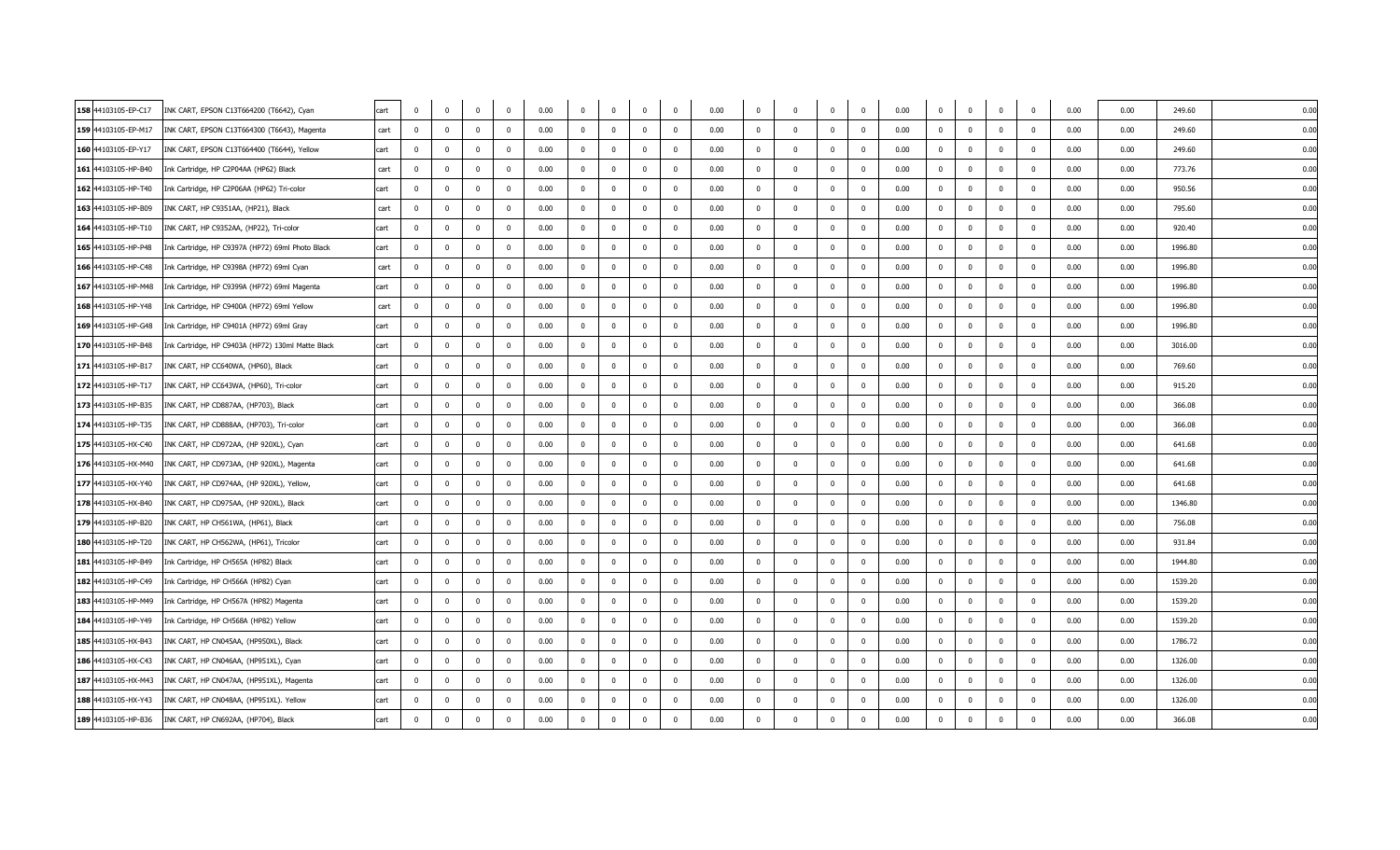| 158 44103105-EP-C17 | INK CART, EPSON C13T664200 (T6642), Cyan          | cart | $\overline{0}$ | $\mathbf 0$  | $\mathbf{0}$            | $\overline{0}$          | 0.00 | $\overline{0}$ | $\overline{\mathbf{0}}$ | $\mathbf 0$             | $\mathbf{0}$   | 0.00 | $\Omega$     | $\Omega$                | $\mathbf{0}$ | $\overline{0}$          | 0.00 | $\mathbf 0$    | $\overline{0}$          | $\mathbf 0$             | $\mathbf 0$             | 0.00 | 0.00 | 249.60  | 0.00 |  |
|---------------------|---------------------------------------------------|------|----------------|--------------|-------------------------|-------------------------|------|----------------|-------------------------|-------------------------|----------------|------|--------------|-------------------------|--------------|-------------------------|------|----------------|-------------------------|-------------------------|-------------------------|------|------|---------|------|--|
| 159 44103105-EP-M17 | INK CART, EPSON C13T664300 (T6643), Magenta       | cart | $\mathbf 0$    | $\mathbf 0$  | $\overline{0}$          | $\Omega$                | 0.00 | $\mathbf 0$    | $\mathbf 0$             | $\overline{\mathbf{0}}$ | $\mathbf 0$    | 0.00 | $\mathbf{0}$ | $\mathbf{0}$            | $\mathbf 0$  | $\overline{\mathbf{0}}$ | 0.00 | $\mathbf 0$    | $\overline{\mathbf{0}}$ | $\overline{0}$          | $\overline{0}$          | 0.00 | 0.00 | 249.60  | 0.00 |  |
| 160 44103105-EP-Y17 | INK CART, EPSON C13T664400 (T6644), Yellow        | cart | $^{\circ}$     | $\mathbf 0$  | $\mathbf{0}$            | $\Omega$                | 0.00 | $^{\circ}$     | $\mathbf 0$             | $\mathbf{0}$            | $^{\circ}$     | 0.00 | $^{\circ}$   | $\mathbf{0}$            | $\Omega$     | $\overline{\mathbf{0}}$ | 0.00 | $\overline{0}$ | $\overline{\mathbf{0}}$ | $\mathbf 0$             | $\Omega$                | 0.00 | 0.00 | 249.60  | 0.00 |  |
| 161 44103105-HP-B40 | Ink Cartridge, HP C2P04AA (HP62) Black            | cart | $^{\circ}$     | $\Omega$     | $\mathbf{0}$            | $^{\circ}$              | 0.00 | $\mathbf 0$    | $\mathbf{0}$            | $\mathbf{0}$            | $\mathbf 0$    | 0.00 | $\Omega$     | $\Omega$                | $\mathbf{0}$ | $\overline{0}$          | 0.00 | $\overline{0}$ | $\overline{0}$          | $\mathbf 0$             | $\Omega$                | 0.00 | 0.00 | 773.76  | 0.00 |  |
| 162 44103105-HP-T40 | Ink Cartridge, HP C2P06AA (HP62) Tri-color        | cart | $\mathbf{0}$   | $\mathbf 0$  | $\overline{0}$          | $^{\circ}$              | 0.00 | $\mathbf{0}$   | $\mathbf{0}$            | $\mathbf 0$             | $\mathbf 0$    | 0.00 | $\mathbf{0}$ | $^{\circ}$              | $\mathbf 0$  | $\mathbf 0$             | 0.00 | $\mathbf 0$    | $\overline{\mathbf{0}}$ | $\mathbf 0$             | $\overline{0}$          | 0.00 | 0.00 | 950.56  | 0.00 |  |
| 163 44103105-HP-B09 | INK CART, HP C9351AA, (HP21), Black               | cart | $\Omega$       | $\Omega$     | $\Omega$                |                         | 0.00 | $\Omega$       | $\mathbf{0}$            | $\Omega$                |                | 0.00 |              |                         |              | $\overline{\mathbf{0}}$ | 0.00 | $\Omega$       | $\Omega$                | $\mathbf{0}$            |                         | 0.00 | 0.00 | 795.60  | 0.00 |  |
| 164 44103105-HP-T10 | INK CART, HP C9352AA, (HP22), Tri-color           | cart | $\mathbf{0}$   | $\Omega$     | $\mathbf{0}$            | $\Omega$                | 0.00 | $\mathbf 0$    | $\mathbf{0}$            | $\mathbf{0}$            | $\mathbf 0$    | 0.00 | $\mathbf{0}$ | $\Omega$                | $\mathbf{0}$ | $\overline{\mathbf{0}}$ | 0.00 | $\overline{0}$ | $\overline{\mathbf{0}}$ | $\mathbf 0$             | $\Omega$                | 0.00 | 0.00 | 920.40  | 0.00 |  |
| 165 44103105-HP-P48 | Ink Cartridge, HP C9397A (HP72) 69ml Photo Black  | cart | $\mathbf 0$    | $\mathbf 0$  | $\overline{0}$          | $\mathbf 0$             | 0.00 | $\bf{0}$       | $\pmb{0}$               | $\overline{0}$          | $\mathbf 0$    | 0.00 | $\mathbf{0}$ | $\overline{\mathbf{0}}$ | $\mathbf 0$  | $\overline{\mathbf{0}}$ | 0.00 | $\overline{0}$ | $\overline{\mathbf{0}}$ | $\mathbf 0$             | $\overline{0}$          | 0.00 | 0.00 | 1996.80 | 0.00 |  |
| 166 44103105-HP-C48 | Ink Cartridge, HP C9398A (HP72) 69ml Cyan         | cart | $\Omega$       | $\Omega$     | $\Omega$                | $\Omega$                | 0.00 | $\Omega$       | $\Omega$                | $\Omega$                | $\Omega$       | 0.00 | $\Omega$     | $\Omega$                | $\Omega$     | $\overline{0}$          | 0.00 | $\Omega$       | $\Omega$                | $\mathbf{0}$            | $\Omega$                | 0.00 | 0.00 | 1996.80 | 0.00 |  |
| 167 44103105-HP-M48 | Ink Cartridge, HP C9399A (HP72) 69ml Magenta      | cart | $\Omega$       | $\Omega$     | $\Omega$                | $\Omega$                | 0.00 | $\mathbf 0$    | $\mathbf 0$             | $\mathbf{0}$            | $\Omega$       | 0.00 | $\mathbf{0}$ | $\Omega$                | $\Omega$     | $\overline{\mathbf{0}}$ | 0.00 | $\overline{0}$ | $\overline{0}$          | $\mathbf{0}$            | $\Omega$                | 0.00 | 0.00 | 1996.80 | 0.00 |  |
| 168 44103105-HP-Y48 | Ink Cartridge, HP C9400A (HP72) 69ml Yellow       | cart | $\mathbf{0}$   | $\mathbf 0$  | $\mathbf{0}$            | $^{\circ}$              | 0.00 | $\overline{0}$ | $\mathbf 0$             | $\mathbf 0$             | $\mathbf 0$    | 0.00 | $\mathbf{0}$ | 0                       | $\mathbf 0$  | $\overline{\mathbf{0}}$ | 0.00 | $\mathbf 0$    | $\overline{\mathbf{0}}$ | $\bf{0}$                | $\Omega$                | 0.00 | 0.00 | 1996.80 | 0.00 |  |
| 169 44103105-HP-G48 | Ink Cartridge, HP C9401A (HP72) 69ml Gray         | cart | $\mathbf{0}$   | $\Omega$     | $\mathbf{0}$            | $\Omega$                | 0.00 | $\mathbf{0}$   | $\Omega$                | $\mathbf{0}$            | $\Omega$       | 0.00 | $\Omega$     | $\Omega$                | $\Omega$     | $\overline{0}$          | 0.00 | $\overline{0}$ | $\Omega$                | $\mathbf 0$             | $\Omega$                | 0.00 | 0.00 | 1996.80 | 0.00 |  |
| 170 44103105-HP-B48 | Ink Cartridge, HP C9403A (HP72) 130ml Matte Black | cart | $\Omega$       | $\mathbf 0$  | $\mathbf{0}$            | $\Omega$                | 0.00 | $\mathbf{0}$   | $\mathbf 0$             | $\mathbf{0}$            | $\Omega$       | 0.00 | $\mathbf{0}$ | $\Omega$                | $\Omega$     | $\overline{0}$          | 0.00 | $\overline{0}$ | $\overline{\mathbf{0}}$ | $\mathbf 0$             | $\Omega$                | 0.00 | 0.00 | 3016.00 | 0.00 |  |
| 171 44103105-HP-B17 | INK CART, HP CC640WA, (HP60), Black               | cart | $\mathbf 0$    | $\Omega$     | $\Omega$                | $\Omega$                | 0.00 | $\overline{0}$ | $\mathbf 0$             | $\mathbf 0$             | $\Omega$       | 0.00 | $\Omega$     | $\Omega$                | $\Omega$     | $\overline{0}$          | 0.00 | $\mathbf 0$    | $\Omega$                | $\mathbf 0$             | $\Omega$                | 0.00 | 0.00 | 769.60  | 0.00 |  |
| 172 44103105-HP-T17 | INK CART, HP CC643WA, (HP60), Tri-color           | cart | $\Omega$       | $\Omega$     | $\Omega$                | $\Omega$                | 0.00 | $\Omega$       | $\Omega$                | $\mathbf{0}$            | $\Omega$       | 0.00 |              | $\Omega$                | $\Omega$     | $\overline{0}$          | 0.00 | $\overline{0}$ | $\Omega$                | $\mathbf 0$             | $\Omega$                | 0.00 | 0.00 | 915.20  | 0.00 |  |
| 173 44103105-HP-B35 | INK CART, HP CD887AA, (HP703), Black              | cart | $^{\circ}$     | $^{\circ}$   | $^{\circ}$              | $\Omega$                | 0.00 | $\mathbf 0$    | $\mathbf 0$             | $\overline{\mathbf{0}}$ | $^{\circ}$     | 0.00 | $\mathbf{0}$ | $^{\circ}$              | $^{\circ}$   | $\mathbf{0}$            | 0.00 | $\overline{0}$ | $\overline{0}$          | $\overline{\mathbf{0}}$ | $\mathbf 0$             | 0.00 | 0.00 | 366.08  | 0.00 |  |
| 174 44103105-HP-T35 | INK CART, HP CD888AA, (HP703), Tri-color          | cart | $\Omega$       | $\Omega$     | $\Omega$                | $\Omega$                | 0.00 | $\mathbf{0}$   | $\mathbf 0$             | $\mathbf{0}$            | $\Omega$       | 0.00 | $\Omega$     | $\Omega$                | $\Omega$     | $\mathbf 0$             | 0.00 | $\overline{0}$ | $\Omega$                | $\mathbf 0$             | $\Omega$                | 0.00 | 0.00 | 366.08  | 0.00 |  |
| 175 44103105-HX-C40 | INK CART, HP CD972AA, (HP 920XL), Cyan            | cart | $\mathbf 0$    | $\Omega$     | $\mathbf{0}$            | $\Omega$                | 0.00 | $\overline{0}$ | $\Omega$                | $\mathbf{0}$            | $\overline{0}$ | 0.00 | $\Omega$     | $\Omega$                | $\Omega$     | $\overline{0}$          | 0.00 | $\overline{0}$ | $\Omega$                | $\mathbf 0$             | $\Omega$                | 0.00 | 0.00 | 641.68  | 0.00 |  |
| 176 44103105-HX-M40 | INK CART, HP CD973AA, (HP 920XL), Magenta         | cart | $\mathbf 0$    | $^{\circ}$   | $^{\circ}$              | $\Omega$                | 0.00 | $^{\circ}$     | $\mathbf 0$             | $\mathbf{0}$            | $\mathbf{0}$   | 0.00 | $^{\circ}$   | $\mathbf 0$             | $\mathbf{0}$ | $\mathbf{0}$            | 0.00 | $\overline{0}$ | $\overline{0}$          | $\overline{\mathbf{0}}$ | $\overline{\mathbf{0}}$ | 0.00 | 0.00 | 641.68  | 0.00 |  |
| 177 44103105-HX-Y40 | INK CART, HP CD974AA, (HP 920XL), Yellow,         | cart | $\mathbf{0}$   | $\Omega$     | $\Omega$                | $\Omega$                | 0.00 | $\mathbf 0$    | $\Omega$                | $\mathbf{0}$            | $\overline{0}$ | 0.00 | $\Omega$     | $\Omega$                | $\mathbf{0}$ | $\overline{0}$          | 0.00 | $\overline{0}$ | $\Omega$                | $\mathbf 0$             | $\Omega$                | 0.00 | 0.00 | 641.68  | 0.00 |  |
| 178 44103105-HX-B40 | INK CART, HP CD975AA, (HP 920XL), Black           | cart | $\Omega$       | $\Omega$     | $\Omega$                | $\Omega$                | 0.00 | $\mathbf{0}$   | $\Omega$                | $\mathbf{0}$            | $\Omega$       | 0.00 | $\Omega$     | $\Omega$                | $\Omega$     | $\overline{0}$          | 0.00 | $\overline{0}$ | $\overline{0}$          | $\overline{\mathbf{0}}$ | $\Omega$                | 0.00 | 0.00 | 1346.80 | 0.00 |  |
| 179 44103105-HP-B20 | INK CART, HP CH561WA, (HP61), Black               | cart | $^{\circ}$     | $^{\circ}$   | $\mathbf 0$             | $\mathbf{0}$            | 0.00 | $^{\circ}$     | $\pmb{0}$               | $\mathbf 0$             | $^{\circ}$     | 0.00 | $^{\circ}$   | $^{\circ}$              | $^{\circ}$   | $\overline{\mathbf{0}}$ | 0.00 | $\mathbf 0$    | $\overline{\mathbf{0}}$ | $\overline{0}$          | $\overline{\mathbf{0}}$ | 0.00 | 0.00 | 756.08  | 0.00 |  |
| 180 44103105-HP-T20 | INK CART, HP CH562WA, (HP61), Tricolor            | cart | $\Omega$       | $\Omega$     | $\Omega$                | $\Omega$                | 0.00 | $\mathbf{0}$   | $\Omega$                | $\Omega$                | $\overline{0}$ | 0.00 | $\Omega$     | $\Omega$                | $\mathbf{0}$ | $\Omega$                | 0.00 | $\overline{0}$ | $\Omega$                | $\overline{0}$          | $\Omega$                | 0.00 | 0.00 | 931.84  | 0.00 |  |
| 181 44103105-HP-B49 | Ink Cartridge, HP CH565A (HP82) Black             | cart | $\Omega$       | $\Omega$     | $\mathbf{0}$            | $\Omega$                | 0.00 | $\mathbf{0}$   | $\mathbf 0$             | $\mathbf{0}$            | $\Omega$       | 0.00 | $\Omega$     | $\Omega$                | $\Omega$     | $\overline{0}$          | 0.00 | $\overline{0}$ | $\overline{0}$          | $\mathbf{0}$            | $\Omega$                | 0.00 | 0.00 | 1944.80 | 0.00 |  |
| 182 44103105-HP-C49 | Ink Cartridge, HP CH566A (HP82) Cyan              | cart | $^{\circ}$     | $\mathbf 0$  | $\mathbf 0$             | $^{\circ}$              | 0.00 | $\mathbf 0$    | $\mathbf 0$             | $\mathbf 0$             | $^{\circ}$     | 0.00 | $^{\circ}$   | $\mathbf{0}$            | $^{\circ}$   | $\overline{0}$          | 0.00 | $\mathbf 0$    | $\overline{0}$          | $\mathbf 0$             | $\overline{0}$          | 0.00 | 0.00 | 1539.20 | 0.00 |  |
| 183 44103105-HP-M49 | Ink Cartridge, HP CH567A (HP82) Magenta           | cart | $\mathbf 0$    | $\Omega$     | $\mathbf{0}$            | $\overline{\mathbf{0}}$ | 0.00 | $\overline{0}$ | $\mathbf 0$             | $\mathbf{0}$            | $\mathbf 0$    | 0.00 | $\mathbf{0}$ | $\Omega$                | $\mathbf{0}$ | $\overline{0}$          | 0.00 | $\mathbf 0$    | $\overline{\mathbf{0}}$ | $\mathbf 0$             | $\overline{0}$          | 0.00 | 0.00 | 1539.20 | 0.00 |  |
| 184 44103105-HP-Y49 | Ink Cartridge, HP CH568A (HP82) Yellow            | cart | $^{\circ}$     | $^{\circ}$   | $\overline{\mathbf{0}}$ | $\Omega$                | 0.00 | $^{\circ}$     | $\mathbf 0$             | $\mathbf{0}$            | $\Omega$       | 0.00 | $\Omega$     | $\overline{0}$          | $\Omega$     | $\overline{\mathbf{0}}$ | 0.00 | $\overline{0}$ | $\overline{0}$          | $\overline{\mathbf{0}}$ | $\Omega$                | 0.00 | 0.00 | 1539.20 | 0.00 |  |
| 185 44103105-HX-B43 | INK CART, HP CN045AA, (HP950XL), Black            | cart | $\mathbf{0}$   | $\mathbf{0}$ | $\mathbf{0}$            | $\Omega$                | 0.00 | $\mathbf{0}$   | $\mathbf 0$             | $\pmb{0}$               | $\mathbf 0$    | 0.00 | $^{\circ}$   | $\mathbf{0}$            | $\Omega$     | $\overline{\mathbf{0}}$ | 0.00 | $\overline{0}$ | $\overline{0}$          | $\mathbf 0$             | $\Omega$                | 0.00 | 0.00 | 1786.72 | 0.00 |  |
| 186 44103105-HX-C43 | INK CART, HP CN046AA, (HP951XL), Cyan             | cart | $^{\circ}$     | $\Omega$     | $\mathbf 0$             | $^{\circ}$              | 0.00 | $\mathbf 0$    | $\overline{0}$          | $\mathbf{0}$            | $\mathbf 0$    | 0.00 | $\mathbf{0}$ | $\Omega$                | $\mathbf{0}$ | $\overline{\mathbf{0}}$ | 0.00 | $\overline{0}$ | $\overline{\mathbf{0}}$ | $\mathbf 0$             | $\mathbf{0}$            | 0.00 | 0.00 | 1326.00 | 0.00 |  |
| 187 44103105-HX-M43 | INK CART, HP CN047AA, (HP951XL), Magenta          | cart | $^{\circ}$     | $^{\circ}$   | $\overline{\mathbf{0}}$ | $\mathbf{0}$            | 0.00 | $^{\circ}$     | $\mathbf 0$             | $\overline{0}$          | $\mathbf{0}$   | 0.00 | $\mathbf{0}$ | $\overline{0}$          | $\mathbf{0}$ | $\overline{\mathbf{0}}$ | 0.00 | $\overline{0}$ | $\overline{0}$          | $\overline{\mathbf{0}}$ | $\overline{0}$          | 0.00 | 0.00 | 1326.00 | 0.00 |  |
| 188 44103105-HX-Y43 | INK CART, HP CN048AA, (HP951XL). Yellow           | cart | $\Omega$       | $\mathbf 0$  | $\mathbf{0}$            | $\Omega$                | 0.00 | $\mathbf{0}$   | $\mathbf 0$             | $\mathbf 0$             | $^{\circ}$     | 0.00 | $^{\circ}$   | $\Omega$                | $\Omega$     | $\overline{\mathbf{0}}$ | 0.00 | $\overline{0}$ | $\mathbf{0}$            | $\mathbf 0$             | $\mathbf 0$             | 0.00 | 0.00 | 1326.00 | 0.00 |  |
| 189 44103105-HP-B36 | INK CART, HP CN692AA, (HP704), Black              | cart | $\mathbf{0}$   | $\mathbf 0$  | $\mathbf{0}$            | $\mathbf 0$             | 0.00 | $\mathbf 0$    | $\mathbf{0}$            | $\mathbf{0}$            | $\Omega$       | 0.00 | $\Omega$     | $\Omega$                | $\Omega$     | $\overline{0}$          | 0.00 | $\mathbf 0$    | $\Omega$                | $\mathbf 0$             | $\overline{0}$          | 0.00 | 0.00 | 366.08  | 0.00 |  |
|                     |                                                   |      |                |              |                         |                         |      |                |                         |                         |                |      |              |                         |              |                         |      |                |                         |                         |                         |      |      |         |      |  |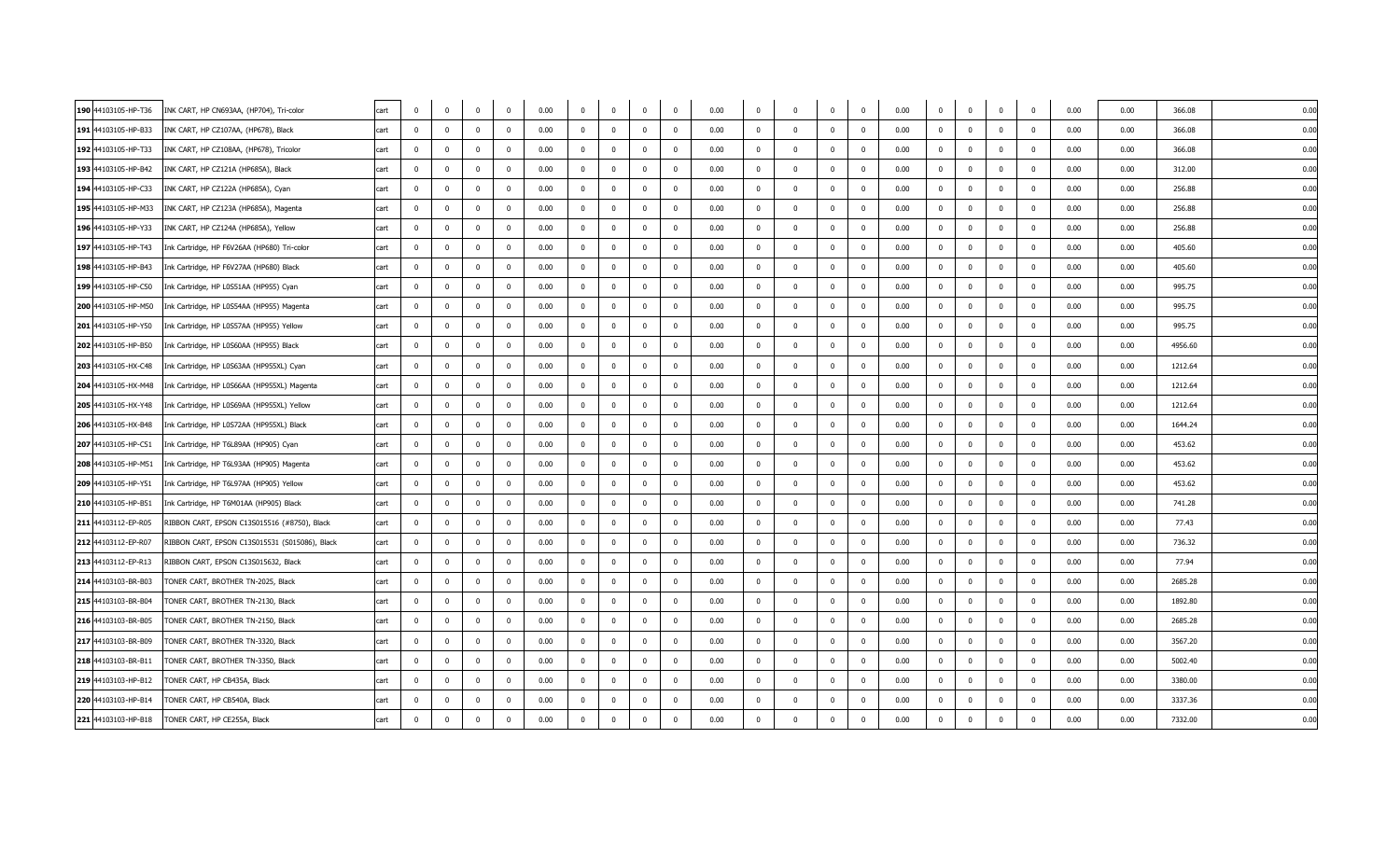| 190 44103105-HP-T36 | INK CART, HP CN693AA, (HP704), Tri-color       | cart | $\overline{0}$ | $\mathbf 0$             | $\overline{0}$          | $\overline{0}$ | 0.00 | $\overline{0}$ | $\mathbf{0}$ | $\mathbf 0$             | $\mathbf{0}$   | 0.00 | $^{\circ}$   | $\Omega$                | $\mathbf{0}$ | $\mathbf{0}$            | 0.00 | $\mathbf 0$    | $\overline{\mathbf{0}}$ | $\mathbf 0$             | $\mathbf 0$             | 0.00 | 0.00 | 366.08  | 0.00 |  |
|---------------------|------------------------------------------------|------|----------------|-------------------------|-------------------------|----------------|------|----------------|--------------|-------------------------|----------------|------|--------------|-------------------------|--------------|-------------------------|------|----------------|-------------------------|-------------------------|-------------------------|------|------|---------|------|--|
| 191 44103105-HP-B33 | INK CART, HP CZ107AA, (HP678), Black           | cart | $\mathbf 0$    | $\mathbf 0$             | $\mathbf{0}$            | $\mathbf 0$    | 0.00 | $\mathbf 0$    | $\mathbf 0$  | $\mathbf 0$             | $\mathbf 0$    | 0.00 | $\mathbf{0}$ | $\overline{0}$          | $\mathbf 0$  | $\overline{\mathbf{0}}$ | 0.00 | $\mathbf 0$    | $\overline{\mathbf{0}}$ | $\mathbf 0$             | $\overline{0}$          | 0.00 | 0.00 | 366.08  | 0.00 |  |
| 192 44103105-HP-T33 | INK CART, HP CZ108AA, (HP678), Tricolor        | cart | $^{\circ}$     | $^{\circ}$              | $\mathbf{0}$            | $\mathbf{0}$   | 0.00 | $^{\circ}$     | $\mathbf 0$  | $\mathbf 0$             | $^{\circ}$     | 0.00 | $^{\circ}$   | $\mathbf 0$             | $^{\circ}$   | $\overline{0}$          | 0.00 | $\overline{0}$ | $\overline{\mathbf{0}}$ | $\mathbf 0$             | $\overline{\mathbf{0}}$ | 0.00 | 0.00 | 366.08  | 0.00 |  |
| 193 44103105-HP-B42 | INK CART, HP CZ121A (HP685A), Black            | cart | $^{\circ}$     | $\Omega$                | $\mathbf{0}$            | $^{\circ}$     | 0.00 | $\mathbf 0$    | $\mathbf{0}$ | $\mathbf{0}$            | $\mathbf 0$    | 0.00 | $\Omega$     | $\Omega$                | $\mathbf{0}$ | $\overline{\mathbf{0}}$ | 0.00 | $\overline{0}$ | $\overline{\mathbf{0}}$ | $\mathbf 0$             | $\mathbf{0}$            | 0.00 | 0.00 | 312.00  | 0.00 |  |
| 194 44103105-HP-C33 | INK CART, HP CZ122A (HP685A), Cyan             | cart | $\Omega$       | $\Omega$                | $\Omega$                | $\Omega$       | 0.00 | $\Omega$       | $\Omega$     | $\mathbf{0}$            | $\Omega$       | 0.00 | $\Omega$     | $\Omega$                | $\Omega$     | $\mathbf 0$             | 0.00 | $\overline{0}$ | $\Omega$                | $\mathbf 0$             | $\Omega$                | 0.00 | 0.00 | 256.88  | 0.00 |  |
| 195 44103105-HP-M33 | INK CART, HP CZ123A (HP685A), Magenta          | cart | $\Omega$       | $^{\circ}$              | $\Omega$                |                | 0.00 | $^{\circ}$     | $\mathbf{0}$ | $\mathbf 0$             | $\Omega$       | 0.00 |              | - 0                     | $\Omega$     | $\overline{\mathbf{0}}$ | 0.00 | $\overline{0}$ | $\Omega$                | $\mathbf 0$             | $\Omega$                | 0.00 | 0.00 | 256.88  | 0.00 |  |
| 196 44103105-HP-Y33 | INK CART, HP CZ124A (HP685A), Yellow           | cart | $\mathbf{0}$   | $\Omega$                | $\mathbf 0$             | $\mathbf 0$    | 0.00 | $\bf{0}$       | $\mathbf{0}$ | $\mathbf 0$             | $\mathbf 0$    | 0.00 | $\Omega$     | - 0                     | $\mathbf{0}$ | $\overline{\mathbf{0}}$ | 0.00 | $\mathbf 0$    | $\overline{0}$          | $\bf{0}$                | $\Omega$                | 0.00 | 0.00 | 256.88  | 0.00 |  |
| 197 44103105-HP-T43 | Ink Cartridge, HP F6V26AA (HP680) Tri-color    | cart | $\mathbf{0}$   | $\mathbf{0}$            | $\overline{\mathbf{0}}$ | $^{\circ}$     | 0.00 | $\mathbf 0$    | $\mathbf 0$  | $\overline{\mathbf{0}}$ | $\mathbf 0$    | 0.00 | $^{\circ}$   | $\overline{0}$          | $\mathbf{0}$ | $\overline{\mathbf{0}}$ | 0.00 | $\mathbf 0$    | $\overline{\mathbf{0}}$ | $\mathbf 0$             | $\Omega$                | 0.00 | 0.00 | 405.60  | 0.00 |  |
| 198 44103105-HP-B43 | Ink Cartridge, HP F6V27AA (HP680) Black        | cart | $\Omega$       | $^{\circ}$              | $\Omega$                | $\Omega$       | 0.00 | $^{\circ}$     | $\mathbf{0}$ | $\mathbf 0$             | $\Omega$       | 0.00 |              | $\Omega$                | $\Omega$     | $\overline{0}$          | 0.00 | $\Omega$       | $\Omega$                | $^{\circ}$              |                         | 0.00 | 0.00 | 405.60  | 0.00 |  |
| 199 44103105-HP-C50 | Ink Cartridge, HP L0S51AA (HP955) Cyan         | cart | $\Omega$       | $\Omega$                | $\Omega$                | $\Omega$       | 0.00 | $\mathbf{0}$   | $\Omega$     | $\Omega$                | $\Omega$       | 0.00 | $\Omega$     | $\Omega$                | $\Omega$     | $\overline{\mathbf{0}}$ | 0.00 | $\Omega$       | $\Omega$                | $\mathbf 0$             | $\Omega$                | 0.00 | 0.00 | 995.75  | 0.00 |  |
| 200 44103105-HP-M50 | Ink Cartridge, HP L0S54AA (HP955) Magenta      | cart | $^{\circ}$     | $^{\circ}$              | $\mathbf{0}$            | $\mathbf{0}$   | 0.00 | $\mathbf{0}$   | $\mathbf{0}$ | $\mathbf{0}$            | $^{\circ}$     | 0.00 | $^{\circ}$   | $\overline{0}$          | $^{\circ}$   | $\overline{\mathbf{0}}$ | 0.00 | $\mathbf 0$    | $\overline{0}$          | $\mathbf 0$             | $\overline{0}$          | 0.00 | 0.00 | 995.75  | 0.00 |  |
| 201 44103105-HP-Y50 | Ink Cartridge, HP L0S57AA (HP955) Yellow       | cart | $\Omega$       | $\Omega$                | $\Omega$                | $\Omega$       | 0.00 | $\Omega$       | $\Omega$     | $\Omega$                | $\Omega$       | 0.00 | $\Omega$     | $\Omega$                | $\Omega$     | $\overline{0}$          | 0.00 | $\Omega$       | $\Omega$                | $\mathbf 0$             | $\Omega$                | 0.00 | 0.00 | 995.75  | 0.00 |  |
| 202 44103105-HP-B50 | Ink Cartridge, HP L0S60AA (HP955) Black        | cart | $\Omega$       | $\Omega$                | $\Omega$                | $\Omega$       | 0.00 | $\mathbf{0}$   | $\Omega$     | $\Omega$                | $\Omega$       | 0.00 | $\mathbf{0}$ | $\Omega$                | $\mathbf{0}$ | $\overline{\mathbf{0}}$ | 0.00 | $\overline{0}$ | $\overline{0}$          | $\mathbf 0$             | $\Omega$                | 0.00 | 0.00 | 4956.60 | 0.00 |  |
| 203 44103105-HX-C48 | Ink Cartridge, HP L0S63AA (HP955XL) Cyan       | cart | $\mathbf{0}$   | $\mathbf 0$             | $\overline{0}$          | $\mathbf 0$    | 0.00 | $\bf{0}$       | $\pmb{0}$    | $\overline{0}$          | $\mathbf 0$    | 0.00 | $\mathbf{0}$ | $\overline{\mathbf{0}}$ | $\mathbf 0$  | $\overline{\mathbf{0}}$ | 0.00 | $\mathbf 0$    | $\overline{\mathbf{0}}$ | $\bf{0}$                | $\overline{0}$          | 0.00 | 0.00 | 1212.64 | 0.00 |  |
| 204 44103105-HX-M48 | Ink Cartridge, HP L0S66AA (HP955XL) Magenta    | cart | $\Omega$       | $\Omega$                | $\Omega$                | $\Omega$       | 0.00 | $\Omega$       | $\Omega$     | $\Omega$                | $\Omega$       | 0.00 | $\Omega$     | $\Omega$                | $\Omega$     | $\overline{0}$          | 0.00 | $\Omega$       | $\Omega$                | $\mathbf{0}$            | $\Omega$                | 0.00 | 0.00 | 1212.64 | 0.00 |  |
| 205 44103105-HX-Y48 | Ink Cartridge, HP L0S69AA (HP955XL) Yellow     | cart | $\Omega$       | $^{\circ}$              | $^{\circ}$              | $\Omega$       | 0.00 | $\mathbf 0$    | $\mathbf 0$  | $^{\circ}$              | $^{\circ}$     | 0.00 | $\mathbf{0}$ | $\Omega$                | $\Omega$     | $\overline{\mathbf{0}}$ | 0.00 | $\overline{0}$ | $\overline{\mathbf{0}}$ | $\overline{\mathbf{0}}$ | $\overline{0}$          | 0.00 | 0.00 | 1212.64 | 0.00 |  |
| 206 44103105-HX-B48 | Ink Cartridge, HP L0S72AA (HP955XL) Black      | cart | $\mathbf{0}$   | $\mathbf{0}$            | $\overline{\mathbf{0}}$ | $\mathbf 0$    | 0.00 | $\mathbf 0$    | $\mathbf 0$  | $\mathbf 0$             | $\mathbf 0$    | 0.00 | $\mathbf{0}$ | $\overline{0}$          | $\mathbf{0}$ | $\overline{0}$          | 0.00 | $\mathbf 0$    | $\overline{\mathbf{0}}$ | $\bf{0}$                | $\overline{0}$          | 0.00 | 0.00 | 1644.24 | 0.00 |  |
| 207 44103105-HP-C51 | Ink Cartridge, HP T6L89AA (HP905) Cyan         | cart | $\overline{0}$ | $\Omega$                | $\mathbf{0}$            | $^{\circ}$     | 0.00 | $\overline{0}$ | $\mathbf 0$  | $\mathbf{0}$            | $\mathbf 0$    | 0.00 | $\Omega$     | $\Omega$                | $\mathbf{0}$ | $\overline{\mathbf{0}}$ | 0.00 | $\overline{0}$ | $\overline{0}$          | $\mathbf 0$             | $\overline{\mathbf{0}}$ | 0.00 | 0.00 | 453.62  | 0.00 |  |
| 208 44103105-HP-M51 | Ink Cartridge, HP T6L93AA (HP905) Magenta      | cart | $\Omega$       | $\mathbf 0$             | $\mathbf{0}$            | $\Omega$       | 0.00 | $\mathbf{0}$   | $\mathbf 0$  | $\mathbf{0}$            | $\mathbf 0$    | 0.00 | $\Omega$     | $\Omega$                | $\Omega$     | $\mathbf 0$             | 0.00 | $\mathbf 0$    | $\overline{\mathbf{0}}$ | $\mathbf{0}$            | $\Omega$                | 0.00 | 0.00 | 453.62  | 0.00 |  |
| 209 44103105-HP-Y51 | Ink Cartridge, HP T6L97AA (HP905) Yellow       | cart | $^{\circ}$     | $\mathbf 0$             | $\Omega$                | $\Omega$       | 0.00 | $\mathbf 0$    | $\mathbf 0$  | $\mathbf{0}$            | $\Omega$       | 0.00 | $\Omega$     | $\Omega$                | $\Omega$     | $\overline{\mathbf{0}}$ | 0.00 | $\overline{0}$ | $\Omega$                | $\mathbf 0$             | $\Omega$                | 0.00 | 0.00 | 453.62  | 0.00 |  |
| 210 44103105-HP-B51 | Ink Cartridge, HP T6M01AA (HP905) Black        | cart | $\overline{0}$ | $\Omega$                | $\mathbf{0}$            | $^{\circ}$     | 0.00 | $\overline{0}$ | $\mathbf 0$  | $\mathbf{0}$            | $\mathbf{0}$   | 0.00 | $\Omega$     | $\Omega$                | $\mathbf{0}$ | $\overline{\mathbf{0}}$ | 0.00 | $\overline{0}$ | $\overline{\mathbf{0}}$ | $\overline{\mathbf{0}}$ | $\Omega$                | 0.00 | 0.00 | 741.28  | 0.00 |  |
| 211 44103112-EP-R05 | RIBBON CART, EPSON C13S015516 (#8750), Black   | cart | $\Omega$       | $\Omega$                | $\Omega$                | $\Omega$       | 0.00 | $\mathbf{0}$   | $\mathbf 0$  | $\Omega$                | $\Omega$       | 0.00 | $\mathbf{0}$ | $\Omega$                | $\Omega$     | $\overline{\mathbf{0}}$ | 0.00 | $\overline{0}$ | $\overline{0}$          | $\mathbf 0$             | $\mathbf{0}$            | 0.00 | 0.00 | 77.43   | 0.00 |  |
| 212 44103112-EP-R07 | RIBBON CART, EPSON C13S015531 (S015086), Black | cart | $\mathbf 0$    | $\mathbf 0$             | $\mathbf{0}$            | $\Omega$       | 0.00 | $\mathbf 0$    | $\mathbf 0$  | $\mathbf{0}$            | $\mathbf 0$    | 0.00 | $^{\circ}$   | $^{\circ}$              | $\mathbf 0$  | $\overline{0}$          | 0.00 | $\overline{0}$ | $\overline{0}$          | $\mathbf 0$             | $\Omega$                | 0.00 | 0.00 | 736.32  | 0.00 |  |
| 213 44103112-EP-R13 | RIBBON CART, EPSON C13S015632, Black           | cart | $\overline{0}$ | $\mathbf 0$             | $\mathbf{0}$            | $\mathbf 0$    | 0.00 | $\overline{0}$ | $\mathbf 0$  | $\mathbf 0$             | $\mathbf 0$    | 0.00 | $\Omega$     | $\Omega$                | $\mathbf{0}$ | $\overline{\mathbf{0}}$ | 0.00 | $\mathbf 0$    | $\overline{0}$          | $\bf{0}$                | $\overline{0}$          | 0.00 | 0.00 | 77.94   | 0.00 |  |
| 214 44103103-BR-B03 | TONER CART, BROTHER TN-2025, Black             | cart | $^{\circ}$     | $^{\circ}$              | $^{\circ}$              | $\Omega$       | 0.00 | $\mathbf 0$    | $\mathbf 0$  | $\mathbf{0}$            | $^{\circ}$     | 0.00 | $\mathbf{0}$ | $^{\circ}$              | $^{\circ}$   | $\overline{0}$          | 0.00 | $\mathbf 0$    | $\overline{0}$          | $\overline{\mathbf{0}}$ | $\overline{0}$          | 0.00 | 0.00 | 2685.28 | 0.00 |  |
| 215 44103103-BR-B04 | TONER CART, BROTHER TN-2130, Black             | cart | $^{\circ}$     | $^{\circ}$              | $\overline{0}$          | $\Omega$       | 0.00 | $\mathbf 0$    | $\mathbf 0$  | $\mathbf{0}$            | $\mathbf 0$    | 0.00 | $\Omega$     | $\overline{0}$          | $^{\circ}$   | $\overline{\mathbf{0}}$ | 0.00 | $\overline{0}$ | $\overline{\mathbf{0}}$ | $\mathbf 0$             | $\Omega$                | 0.00 | 0.00 | 1892.80 | 0.00 |  |
| 216 44103103-BR-B05 | TONER CART, BROTHER TN-2150, Black             | cart | $\overline{0}$ | $\Omega$                | $\mathbf{0}$            | $\Omega$       | 0.00 | $\overline{0}$ | $\mathbf 0$  | $\overline{\mathbf{0}}$ | $\overline{0}$ | 0.00 | $\Omega$     | $\Omega$                | $\mathbf{0}$ | $\overline{\mathbf{0}}$ | 0.00 | $\overline{0}$ | $\overline{0}$          | $\mathbf 0$             | $\Omega$                | 0.00 | 0.00 | 2685.28 | 0.00 |  |
| 217 44103103-BR-B09 | TONER CART, BROTHER TN-3320, Black             | cart | $^{\circ}$     | $^{\circ}$              | $^{\circ}$              | $\mathbf{0}$   | 0.00 | $\mathbf 0$    | $\mathbf 0$  | $\mathbf{0}$            | $^{\circ}$     | 0.00 | $\mathbf{0}$ | $^{\circ}$              | $^{\circ}$   | $\overline{0}$          | 0.00 | $\mathbf 0$    | $\overline{0}$          | $\overline{\mathbf{0}}$ | $\overline{0}$          | 0.00 | 0.00 | 3567.20 | 0.00 |  |
| 218 44103103-BR-B11 | TONER CART, BROTHER TN-3350, Black             | cart | $\Omega$       | $\Omega$                | $\Omega$                | $\Omega$       | 0.00 | $\mathbf{0}$   | $\mathbf 0$  | $\mathbf{0}$            | $\overline{0}$ | 0.00 | $\Omega$     | $\Omega$                | $\mathbf{0}$ | $\overline{0}$          | 0.00 | $\overline{0}$ | $\Omega$                | $\mathbf 0$             | $\Omega$                | 0.00 | 0.00 | 5002.40 | 0.00 |  |
| 219 44103103-HP-B12 | TONER CART, HP CB435A, Black                   | cart | $\Omega$       | $\Omega$                | $\mathbf{0}$            | $\Omega$       | 0.00 | $\overline{0}$ | $\mathbf 0$  | $\mathbf{0}$            | $\overline{0}$ | 0.00 | $\mathbf{0}$ | $\Omega$                | $\mathbf{0}$ | $\overline{0}$          | 0.00 | $\overline{0}$ | $\overline{\mathbf{0}}$ | $\mathbf 0$             | $\overline{\mathbf{0}}$ | 0.00 | 0.00 | 3380.00 | 0.00 |  |
| 220 44103103-HP-B14 | TONER CART, HP CB540A, Black                   | cart | $\Omega$       | $\overline{\mathbf{0}}$ | $\mathbf 0$             | $\mathbf{0}$   | 0.00 | $\mathbf{0}$   | $\pmb{0}$    | $\mathbf 0$             | $\mathbf{0}$   | 0.00 | $\mathbf{0}$ | 0                       | $\mathbf{0}$ | $\overline{\mathbf{0}}$ | 0.00 | $\overline{0}$ | $\overline{\mathbf{0}}$ | $\mathbf 0$             | $\overline{\mathbf{0}}$ | 0.00 | 0.00 | 3337.36 | 0.00 |  |
| 221 44103103-HP-B18 | TONER CART, HP CE255A, Black                   | cart | $\Omega$       | $\mathbf 0$             | $\mathbf{0}$            | $\Omega$       | 0.00 | $\Omega$       | $\mathbf 0$  | $\mathbf{0}$            | $\Omega$       | 0.00 | $\Omega$     | $\Omega$                | $\Omega$     | $\overline{0}$          | 0.00 | $\mathbf 0$    | $\Omega$                | $\mathbf 0$             | $\overline{0}$          | 0.00 | 0.00 | 7332.00 | 0.00 |  |
|                     |                                                |      |                |                         |                         |                |      |                |              |                         |                |      |              |                         |              |                         |      |                |                         |                         |                         |      |      |         |      |  |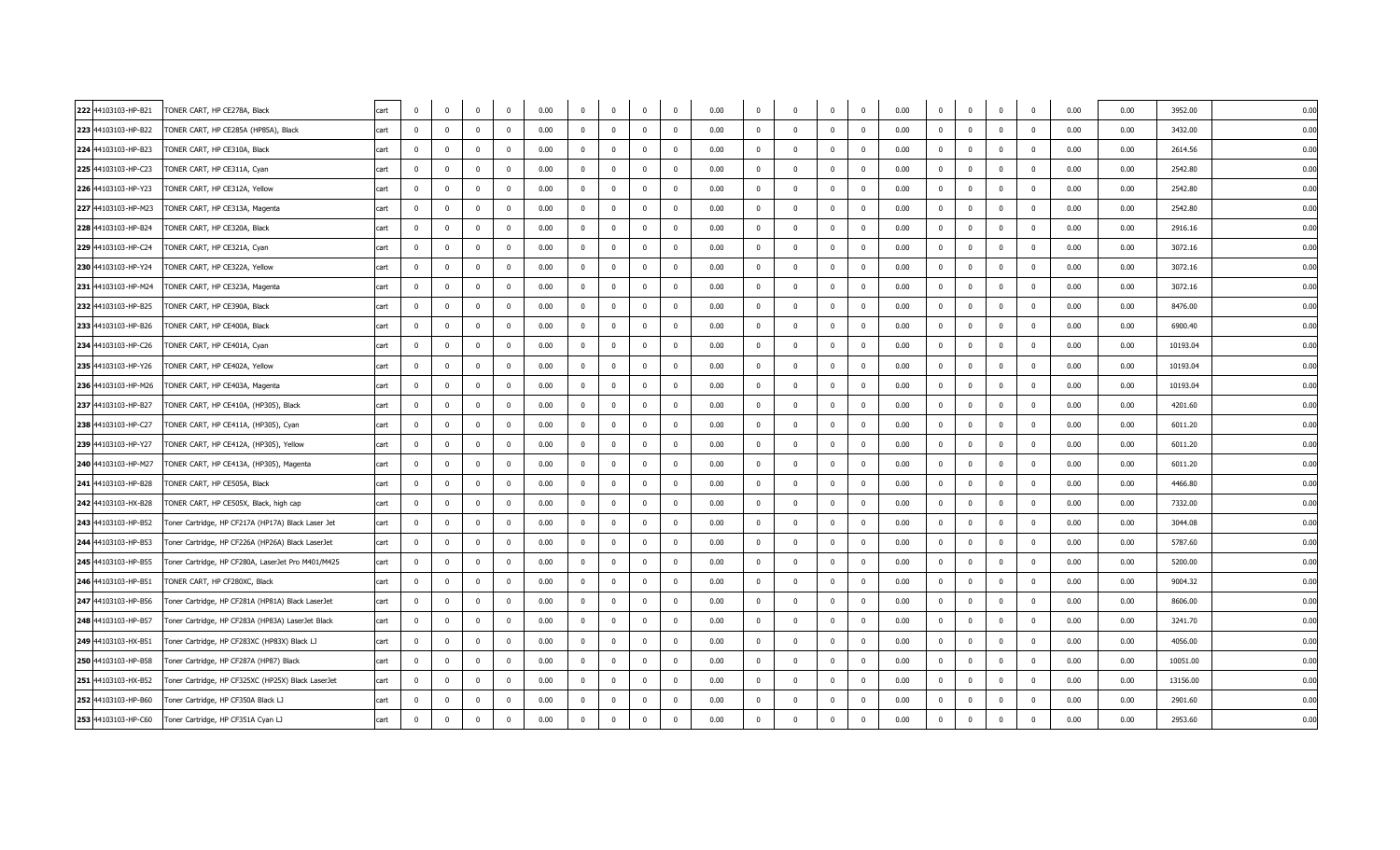| 222 44103103-HP-B21 | TONER CART, HP CE278A, Black                       | cart | $\mathbf{0}$   | $\mathbf 0$    | $\overline{0}$          | $\overline{0}$ | 0.00 | $\overline{0}$ | $\mathbf 0$    | $\overline{\mathbf{0}}$ | $\overline{0}$ | 0.00 | $\mathbf{0}$ | $\Omega$       | $\mathbf{0}$ | $\overline{0}$          | 0.00 | $\mathbf 0$    | $\overline{0}$          | $\overline{\mathbf{0}}$<br>$\mathbf 0$    | 0.00 | 0.00 | 3952.00  | 0.00 |  |
|---------------------|----------------------------------------------------|------|----------------|----------------|-------------------------|----------------|------|----------------|----------------|-------------------------|----------------|------|--------------|----------------|--------------|-------------------------|------|----------------|-------------------------|-------------------------------------------|------|------|----------|------|--|
| 223 44103103-HP-B22 | TONER CART, HP CE285A (HP85A), Black               | cart | $\mathbf 0$    | $\mathbf{0}$   | $\Omega$                | $\mathbf{0}$   | 0.00 | $\mathbf 0$    | $\mathbf 0$    | $\overline{0}$          | $\mathbf 0$    | 0.00 | $\mathbf{0}$ | $\overline{0}$ | $\mathbf 0$  | $\overline{\mathbf{0}}$ | 0.00 | $\mathbf 0$    | $\overline{0}$          | $\overline{0}$<br>$\mathbf 0$             | 0.00 | 0.00 | 3432.00  | 0.00 |  |
| 224 44103103-HP-B23 | TONER CART, HP CE310A, Black                       | cart | $\overline{0}$ | $\mathbf 0$    | $\Omega$                | $\Omega$       | 0.00 | $\Omega$       | $\mathbf 0$    | $\mathbf{0}$            | $\mathbf{0}$   | 0.00 | $\mathbf{0}$ | $\Omega$       | $\Omega$     | $\overline{\mathbf{0}}$ | 0.00 | $\mathbf 0$    | $\overline{\mathbf{0}}$ | $\mathbf{0}$<br>$\mathbf 0$               | 0.00 | 0.00 | 2614.56  | 0.00 |  |
| 225 44103103-HP-C23 | TONER CART, HP CE311A, Cyan                        | cart | $\mathbf 0$    | $\mathbf 0$    | $\overline{0}$          | $\overline{0}$ | 0.00 | $\mathbf 0$    | $\mathbf 0$    | $\overline{0}$          | $\overline{0}$ | 0.00 | $\mathbf{0}$ | $\Omega$       | $\mathbf 0$  | $\overline{\mathbf{0}}$ | 0.00 | $\mathbf 0$    | $\overline{0}$          | $\mathbf{0}$<br>$\mathbf 0$               | 0.00 | 0.00 | 2542.80  | 0.00 |  |
| 226 44103103-HP-Y23 | TONER CART, HP CE312A, Yellow                      | cart | $\mathbf 0$    | $\mathbf 0$    | $\overline{\mathbf{0}}$ | $\mathbf{0}$   | 0.00 | $\mathbf 0$    | $\mathbf 0$    | $\overline{\mathbf{0}}$ | $\mathbf{0}$   | 0.00 | $\mathbf{0}$ | $^{\circ}$     | $\mathbf{0}$ | $\overline{\mathbf{0}}$ | 0.00 | $\mathbf 0$    | $\overline{\mathbf{0}}$ | $\mathbf{0}$<br>$\overline{\mathbf{0}}$   | 0.00 | 0.00 | 2542.80  | 0.00 |  |
| 227 44103103-HP-M23 | TONER CART, HP CE313A, Magenta                     | cart | $\Omega$       | $\overline{0}$ | $\Omega$                | $\Omega$       | 0.00 | $\Omega$       | $\overline{0}$ | $\mathbf 0$             | $\mathbf 0$    | 0.00 | $\bf{0}$     | $\Omega$       | $\mathbf 0$  | $\overline{\mathbf{0}}$ | 0.00 | $\mathbf{0}$   | $\Omega$                | $\overline{\mathbf{0}}$<br>$\overline{0}$ | 0.00 | 0.00 | 2542.80  | 0.00 |  |
| 228 44103103-HP-B24 | TONER CART, HP CE320A, Black                       | cart | $\mathbf 0$    | $^{\circ}$     | $\overline{0}$          | $\overline{0}$ | 0.00 | $\mathbf 0$    | $\mathbf 0$    | $\overline{0}$          | $\overline{0}$ | 0.00 | $\mathbf{0}$ | $\Omega$       | $\mathbf 0$  | $\overline{\mathbf{0}}$ | 0.00 | $\mathbf 0$    | $\overline{0}$          | $\overline{\mathbf{0}}$<br>$\mathbf 0$    | 0.00 | 0.00 | 2916.16  | 0.00 |  |
| 229 44103103-HP-C24 | TONER CART, HP CE321A, Cyan                        | cart | $\overline{0}$ | $\mathbf 0$    | $\overline{0}$          | $\mathbf{0}$   | 0.00 | $\overline{0}$ | $\mathbf 0$    | $\overline{0}$          | $\mathbf{0}$   | 0.00 | $\mathbf{0}$ | $^{\circ}$     | $^{\circ}$   | $\overline{\mathbf{0}}$ | 0.00 | $\mathbf 0$    | $\overline{\mathbf{0}}$ | $\overline{0}$<br>$\overline{\mathbf{0}}$ | 0.00 | 0.00 | 3072.16  | 0.00 |  |
| 230 44103103-HP-Y24 | TONER CART, HP CE322A, Yellow                      | cart | $\overline{0}$ | $\mathbf 0$    | $\Omega$                | $\overline{0}$ | 0.00 | $\overline{0}$ | $\overline{0}$ | $\mathbf{0}$            | $\overline{0}$ | 0.00 | $^{\circ}$   | $\Omega$       |              | $\overline{\mathbf{0}}$ | 0.00 | $\overline{0}$ | $\overline{0}$          | $\mathbf 0$<br>$\mathbf 0$                | 0.00 | 0.00 | 3072.16  | 0.00 |  |
| 231 44103103-HP-M24 | TONER CART, HP CE323A, Magenta                     | cart | $\overline{0}$ | $^{\circ}$     | $\Omega$                | $\Omega$       | 0.00 | $\mathbf 0$    | $\mathbf 0$    | $\overline{0}$          | $\mathbf 0$    | 0.00 | $\mathbf{0}$ | $\Omega$       | $\mathbf{0}$ | $\overline{\mathbf{0}}$ | 0.00 | $\mathbf 0$    | $\overline{0}$          | $\overline{\mathbf{0}}$<br>$\mathbf 0$    | 0.00 | 0.00 | 3072.16  | 0.00 |  |
| 232 44103103-HP-B25 | TONER CART, HP CE390A, Black                       | cart | $\overline{0}$ | $\mathbf 0$    | $\overline{0}$          | $\mathbf{0}$   | 0.00 | $\overline{0}$ | $\mathbf 0$    | $\overline{0}$          | $\mathbf{0}$   | 0.00 | $\mathbf{0}$ | $^{\circ}$     | $^{\circ}$   | $\overline{\mathbf{0}}$ | 0.00 | $\mathbf 0$    | $\overline{\mathbf{0}}$ | $\mathbf 0$<br>$\overline{\mathbf{0}}$    | 0.00 | 0.00 | 8476.00  | 0.00 |  |
| 233 44103103-HP-B26 | TONER CART, HP CE400A, Black                       | cart | $\overline{0}$ | $\mathbf{0}$   | $\Omega$                | $\overline{0}$ | 0.00 | $\overline{0}$ | $\mathbf{0}$   | $\mathbf{0}$            | $\overline{0}$ | 0.00 | $^{\circ}$   | $\Omega$       | $^{\circ}$   | $\overline{\mathbf{0}}$ | 0.00 | $\mathbf 0$    | $\overline{0}$          | $\mathbf 0$<br>$\overline{0}$             | 0.00 | 0.00 | 6900.40  | 0.00 |  |
| 234 44103103-HP-C26 | TONER CART, HP CE401A, Cyan                        | cart | $\Omega$       | $\mathbf{0}$   | $\Omega$                | $\Omega$       | 0.00 | $\Omega$       | $\mathbf{0}$   | $\Omega$                | $\Omega$       | 0.00 | $\mathbf{0}$ | $\Omega$       | $\Omega$     | $\overline{\mathbf{0}}$ | 0.00 | $\mathbf 0$    | $\overline{0}$          | $\mathbf{0}$<br>$\overline{0}$            | 0.00 | 0.00 | 10193.04 | 0.00 |  |
| 235 44103103-HP-Y26 | TONER CART, HP CE402A, Yellow                      | cart | $\mathbf 0$    | $\mathbf 0$    | $\overline{0}$          | $\mathbf{0}$   | 0.00 | $\mathbf 0$    | $\overline{0}$ | $\overline{0}$          | $\mathbf{0}$   | 0.00 | $\mathbf{0}$ | $^{\circ}$     | $^{\circ}$   | $\overline{\mathbf{0}}$ | 0.00 | $\mathbf 0$    | $\overline{\mathbf{0}}$ | $\mathbf 0$<br>$\overline{0}$             | 0.00 | 0.00 | 10193.04 | 0.00 |  |
| 236 44103103-HP-M26 | TONER CART, HP CE403A, Magenta                     | cart | $\overline{0}$ | $^{\circ}$     | $\mathbf 0$             | $\overline{0}$ | 0.00 | $\overline{0}$ | $\mathbf{0}$   | $\mathbf{0}$            | $\overline{0}$ | 0.00 | $\mathbf{0}$ | $\Omega$       | $^{\circ}$   | $\overline{0}$          | 0.00 | $\mathbf 0$    | $\overline{\mathbf{0}}$ | $\mathbf 0$<br>$\overline{0}$             | 0.00 | 0.00 | 10193.04 | 0.00 |  |
| 237 44103103-HP-B27 | TONER CART, HP CE410A, (HP305), Black              | cart | $\overline{0}$ | $^{\circ}$     | $\Omega$                | $\Omega$       | 0.00 | $\Omega$       | $\mathbf{0}$   | $\Omega$                | $\Omega$       | 0.00 | $\mathbf{0}$ | $\Omega$       | $\Omega$     | $\overline{0}$          | 0.00 | $\mathbf 0$    | $\overline{0}$          | $\overline{\mathbf{0}}$<br>$\overline{0}$ | 0.00 | 0.00 | 4201.60  | 0.00 |  |
| 238 44103103-HP-C27 | TONER CART, HP CE411A, (HP305), Cyan               | cart | $\mathbf 0$    | $\mathbf 0$    | $\Omega$                | $\mathbf{0}$   | 0.00 | $\mathbf 0$    | $\overline{0}$ | $\mathbf{0}$            | $\overline{0}$ | 0.00 | $\mathbf{0}$ | $\Omega$       | $^{\circ}$   | $\overline{\mathbf{0}}$ | 0.00 | $\mathbf 0$    | $\overline{\mathbf{0}}$ | $\mathbf 0$<br>$\overline{\mathbf{0}}$    | 0.00 | 0.00 | 6011.20  | 0.00 |  |
| 239 44103103-HP-Y27 | TONER CART, HP CE412A, (HP305), Yellow             | cart | $\mathbf 0$    | $\mathbf{0}$   | $\Omega$                | $\overline{0}$ | 0.00 | $\mathbf 0$    | $\mathbf{0}$   | $\mathbf{0}$            | $\overline{0}$ | 0.00 | $\mathbf{0}$ | $\Omega$       | $\Omega$     | $\overline{\mathbf{0}}$ | 0.00 | $\mathbf 0$    | $\overline{0}$          | $\mathbf 0$<br>$\overline{0}$             | 0.00 | 0.00 | 6011.20  | 0.00 |  |
| 240 44103103-HP-M27 | TONER CART, HP CE413A, (HP305), Magenta            | cart | $\Omega$       | $\Omega$       | $\Omega$                | $\Omega$       | 0.00 | $\Omega$       | $\mathbf{0}$   | $\Omega$                | $\Omega$       | 0.00 | $\mathbf{0}$ | $\Omega$       |              | $\overline{0}$          | 0.00 | $\mathbf 0$    | $\overline{0}$          | $\mathbf{0}$<br>$\mathbf{0}$              | 0.00 | 0.00 | 6011.20  | 0.00 |  |
| 241 44103103-HP-B28 | TONER CART, HP CE505A, Black                       | cart | $\overline{0}$ | $\mathbf 0$    | $\Omega$                | $\overline{0}$ | 0.00 | $\overline{0}$ | $\mathbf{0}$   | $\overline{0}$          | $\overline{0}$ | 0.00 | $\mathbf{0}$ | $\Omega$       | $^{\circ}$   | $\overline{\mathbf{0}}$ | 0.00 | $\mathbf 0$    | $\overline{0}$          | $\mathbf{0}$<br>$\overline{0}$            | 0.00 | 0.00 | 4466.80  | 0.00 |  |
| 242 44103103-HX-B28 | TONER CART, HP CE505X, Black, high cap             | cart | $\mathbf{0}$   | $\mathbf{0}$   | $\Omega$                | $\Omega$       | 0.00 | $\mathbf{0}$   | $\mathbf{0}$   | $\overline{0}$          | $\Omega$       | 0.00 | $\mathbf{0}$ | $\Omega$       | $\Omega$     | $\overline{\mathbf{0}}$ | 0.00 | $\mathbf 0$    | $\Omega$                | $\overline{\mathbf{0}}$<br>$\overline{0}$ | 0.00 | 0.00 | 7332.00  | 0.00 |  |
| 243 44103103-HP-B52 | Toner Cartridge, HP CF217A (HP17A) Black Laser Jet | cart | $\Omega$       | $\mathbf 0$    | $\Omega$                | $\Omega$       | 0.00 | $\Omega$       | $\mathbf 0$    | $\Omega$                | $\Omega$       | 0.00 | $\mathbf{0}$ | $\Omega$       | $\Omega$     | $\overline{\mathbf{0}}$ | 0.00 | $\mathbf 0$    | $\overline{\mathbf{0}}$ | $\overline{\mathbf{0}}$<br>$\mathbf 0$    | 0.00 | 0.00 | 3044.08  | 0.00 |  |
| 244 44103103-HP-B53 | Toner Cartridge, HP CF226A (HP26A) Black LaserJet  | cart | $\mathbf 0$    | $^{\circ}$     | $\Omega$                | $\Omega$       | 0.00 | $\Omega$       | $\mathbf 0$    | $\Omega$                | $\Omega$       | 0.00 | $\mathbf{0}$ | - 0            | $\Omega$     | $\overline{\mathbf{0}}$ | 0.00 | $\mathbf{0}$   | $\Omega$                | $\mathbf{0}$<br>$\overline{0}$            | 0.00 | 0.00 | 5787.60  | 0.00 |  |
| 245 44103103-HP-B55 | Toner Cartridge, HP CF280A, LaserJet Pro M401/M425 | cart | $\mathbf 0$    | $^{\circ}$     | $\Omega$                | $\overline{0}$ | 0.00 | $\mathbf 0$    | $\mathbf{0}$   | $\mathbf{0}$            | $\overline{0}$ | 0.00 | $\mathbf{0}$ | $\Omega$       | $\Omega$     | $\overline{0}$          | 0.00 | $\mathbf 0$    | $\overline{0}$          | $\mathbf 0$<br>$\overline{\mathbf{0}}$    | 0.00 | 0.00 | 5200.00  | 0.00 |  |
| 246 44103103-HP-B51 | TONER CART, HP CF280XC, Black                      | cart | $\Omega$       | $\mathbf 0$    | $\Omega$                | $\Omega$       | 0.00 | $^{\circ}$     | $\mathbf 0$    | $\overline{0}$          | $\mathbf{0}$   | 0.00 | $\mathbf{0}$ | $\Omega$       | $\Omega$     | $\overline{0}$          | 0.00 | $\mathbf 0$    | $\Omega$                | $\mathbf 0$<br>$\overline{0}$             | 0.00 | 0.00 | 9004.32  | 0.00 |  |
| 247 44103103-HP-B56 | Toner Cartridge, HP CF281A (HP81A) Black LaserJet  | cart | $\overline{0}$ | $^{\circ}$     | $\overline{0}$          | $\overline{0}$ | 0.00 | $\mathbf 0$    | $\mathbf 0$    | $\overline{0}$          | $\overline{0}$ | 0.00 | $\mathbf{0}$ | $\Omega$       | $\mathbf 0$  | $\overline{\mathbf{0}}$ | 0.00 | $\mathbf 0$    | $\overline{0}$          | $\overline{\mathbf{0}}$<br>$\mathbf 0$    | 0.00 | 0.00 | 8606.00  | 0.00 |  |
| 248 44103103-HP-B57 | Toner Cartridge, HP CF283A (HP83A) LaserJet Black  | cart | $\overline{0}$ | $\mathbf 0$    | $\overline{0}$          | $\mathbf{0}$   | 0.00 | $\mathbf 0$    | $\mathbf 0$    | $\overline{0}$          | $\mathbf{0}$   | 0.00 | $\Omega$     | $\Omega$       | $\Omega$     | $\overline{0}$          | 0.00 | $\mathbf 0$    | $\overline{\mathbf{0}}$ | $^{\circ}$<br>$\overline{\mathbf{0}}$     | 0.00 | 0.00 | 3241.70  | 0.00 |  |
| 249 44103103-HX-B51 | Toner Cartridge, HP CF283XC (HP83X) Black LJ       | cart | $\Omega$       | $\mathbf 0$    | $\Omega$                | $\Omega$       | 0.00 | $\Omega$       | $\mathbf 0$    | $\Omega$                | $\Omega$       | 0.00 | $\Omega$     | $\Omega$       | $\Omega$     | $\overline{\mathbf{0}}$ | 0.00 | $\mathbf{0}$   | $\Omega$                | $\mathbf{0}$<br>$\Omega$                  | 0.00 | 0.00 | 4056.00  | 0.00 |  |
| 250 44103103-HP-B58 | Toner Cartridge, HP CF287A (HP87) Black            | cart | $\mathbf 0$    | $^{\circ}$     | $\overline{0}$          | $\overline{0}$ | 0.00 | $\mathbf 0$    | $\mathbf{0}$   | $\overline{0}$          | $\overline{0}$ | 0.00 | $\mathbf{0}$ | $\Omega$       | $\mathbf 0$  | $\overline{\mathbf{0}}$ | 0.00 | $\mathbf 0$    | $\overline{\mathbf{0}}$ | $\overline{\mathbf{0}}$<br>$\mathbf 0$    | 0.00 | 0.00 | 10051.00 | 0.00 |  |
| 251 44103103-HX-B52 | Toner Cartridge, HP CF325XC (HP25X) Black LaserJet | cart | $\overline{0}$ | $\mathbf 0$    | $\overline{\mathbf{0}}$ | $\mathbf{0}$   | 0.00 | $\overline{0}$ | $\mathbf 0$    | $\overline{0}$          | $\mathbf{0}$   | 0.00 | $\mathbf{0}$ | $\mathbf 0$    | $^{\circ}$   | $\overline{\mathbf{0}}$ | 0.00 | $\mathbf 0$    | $\overline{\mathbf{0}}$ | $\overline{0}$<br>$\overline{\mathbf{0}}$ | 0.00 | 0.00 | 13156.00 | 0.00 |  |
| 252 44103103-HP-B60 | Toner Cartridge, HP CF350A Black LJ                | cart | $\Omega$       | $\Omega$       | $\Omega$                | $\Omega$       | 0.00 | $\Omega$       | $\Omega$       | $\Omega$                | $\Omega$       | 0.00 | $\Omega$     | $\Omega$       | $\Omega$     | $\overline{\mathbf{0}}$ | 0.00 | $\Omega$       | $\Omega$                | $\mathbf 0$<br>$\Omega$                   | 0.00 | 0.00 | 2901.60  | 0.00 |  |
| 253 44103103-HP-C60 | Toner Cartridge, HP CF351A Cyan LJ                 | cart | $\Omega$       | $\mathbf{0}$   | $\overline{0}$          | $\overline{0}$ | 0.00 | $\mathbf 0$    | $\mathbf 0$    | $\mathbf 0$             | $\Omega$       | 0.00 | $\mathbf{0}$ | $\Omega$       | $\Omega$     | $\overline{0}$          | 0.00 | $\mathbf 0$    | $\overline{0}$          | $\mathbf 0$<br>$\overline{0}$             | 0.00 | 0.00 | 2953.60  | 0.00 |  |
|                     |                                                    |      |                |                |                         |                |      |                |                |                         |                |      |              |                |              |                         |      |                |                         |                                           |      |      |          |      |  |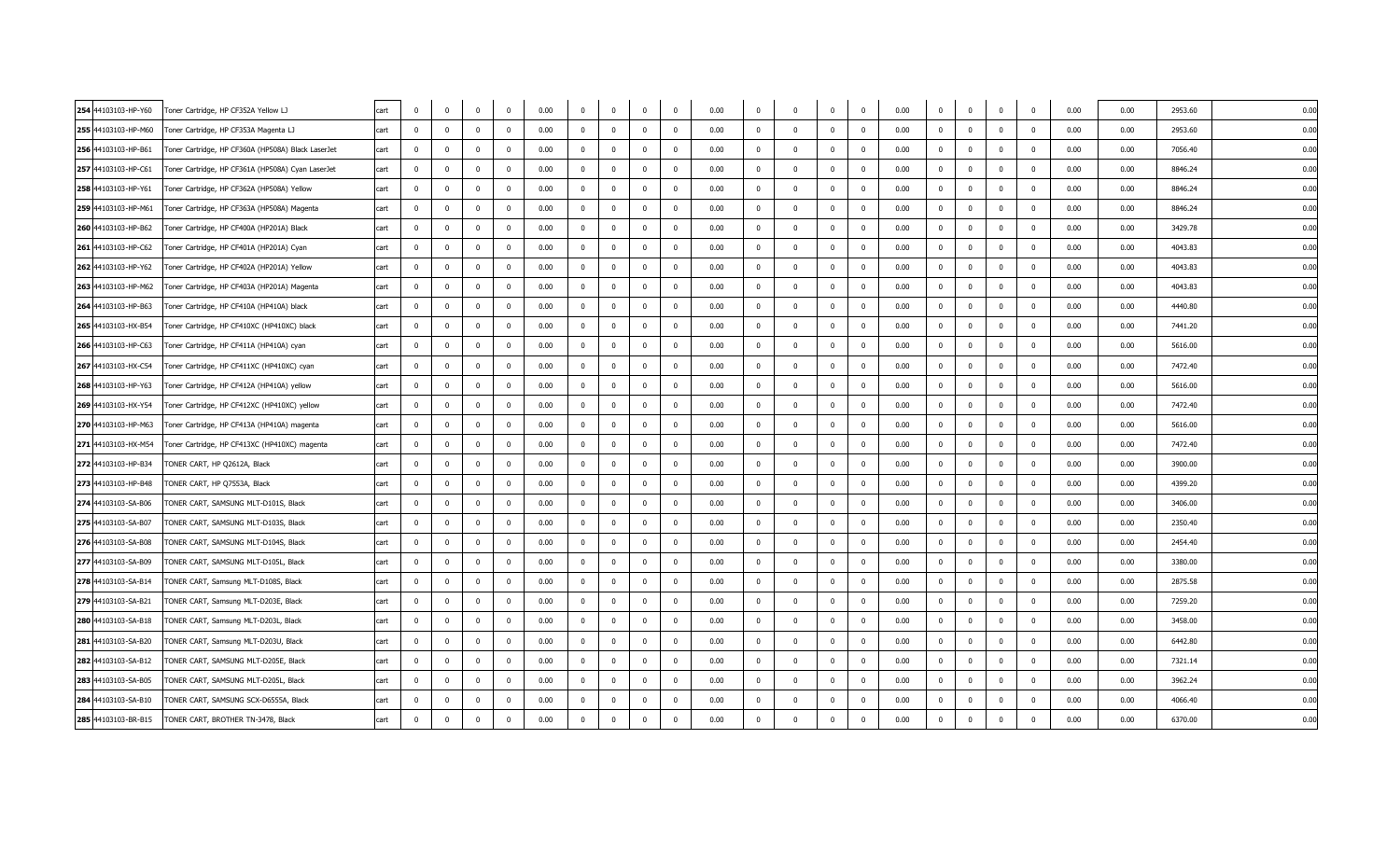| 254 44103103-HP-Y60 | Toner Cartridge, HP CF352A Yellow LJ               | cart | $\overline{0}$ | $\mathbf 0$             | $\overline{0}$ | $\overline{0}$ | 0.00 | $\overline{0}$ | $\mathbf{0}$ | $\overline{\mathbf{0}}$ | $\mathbf{0}$   | 0.00 | $^{\circ}$     | $\Omega$                | $\mathbf{0}$ | $\overline{0}$          | 0.00 | $\overline{0}$ | $\overline{\mathbf{0}}$ | $\mathbf 0$             | $\mathbf 0$             | 0.00 | 0.00 | 2953.60 | 0.00 |  |
|---------------------|----------------------------------------------------|------|----------------|-------------------------|----------------|----------------|------|----------------|--------------|-------------------------|----------------|------|----------------|-------------------------|--------------|-------------------------|------|----------------|-------------------------|-------------------------|-------------------------|------|------|---------|------|--|
| 255 44103103-HP-M60 | Toner Cartridge, HP CF353A Magenta LJ              | cart | $\mathbf 0$    | $\mathbf 0$             | $\mathbf{0}$   | $\Omega$       | 0.00 | $\mathbf 0$    | $\mathbf{0}$ | $\overline{\mathbf{0}}$ | $\mathbf 0$    | 0.00 | $\mathbf{0}$   | $\overline{0}$          | $\mathbf{0}$ | $\overline{\mathbf{0}}$ | 0.00 | $\overline{0}$ | $\overline{\mathbf{0}}$ | $\bf{0}$                | $\mathbf 0$             | 0.00 | 0.00 | 2953.60 | 0.00 |  |
| 256 44103103-HP-B61 | Toner Cartridge, HP CF360A (HP508A) Black LaserJet | cart | $\Omega$       | $\mathbf 0$             | $\overline{0}$ | $\Omega$       | 0.00 | $\mathbf{0}$   | $\mathbf 0$  | $\overline{0}$          | $^{\circ}$     | 0.00 | $^{\circ}$     | $\mathbf 0$             | $\Omega$     | $\overline{0}$          | 0.00 | $\mathbf 0$    | $\overline{0}$          | $\mathbf 0$             | $\overline{0}$          | 0.00 | 0.00 | 7056.40 | 0.00 |  |
| 257 44103103-HP-C61 | Toner Cartridge, HP CF361A (HP508A) Cyan LaserJet  | cart | $\mathbf 0$    | $^{\circ}$              | $\overline{0}$ | $^{\circ}$     | 0.00 | $\mathbf 0$    | $\mathbf 0$  | $\overline{0}$          | $\mathbf{0}$   | 0.00 | $^{\circ}$     | $\mathbf 0$             | $\mathbf{0}$ | $\overline{0}$          | 0.00 | $\overline{0}$ | $\overline{\mathbf{0}}$ | $\mathbf 0$             | $\overline{\mathbf{0}}$ | 0.00 | 0.00 | 8846.24 | 0.00 |  |
| 258 44103103-HP-Y61 | Toner Cartridge, HP CF362A (HP508A) Yellow         | cart | $\mathbf 0$    | $\mathbf 0$             | $\overline{0}$ | $\mathbf 0$    | 0.00 | $\mathbf 0$    | $\mathbf 0$  | $\mathbf 0$             | $\mathbf 0$    | 0.00 | $\mathbf{0}$   | $\overline{0}$          | $\mathbf{0}$ | $\overline{0}$          | 0.00 | $\mathbf 0$    | $\overline{0}$          | $\mathbf 0$             | $\mathbf 0$             | 0.00 | 0.00 | 8846.24 | 0.00 |  |
| 259 44103103-HP-M61 | Toner Cartridge, HP CF363A (HP508A) Magenta        | cart | $\mathbf{0}$   | $\mathbf 0$             | $\overline{0}$ | $\Omega$       | 0.00 | $\mathbf{0}$   | $\mathbf 0$  | $\overline{0}$          | $^{\circ}$     | 0.00 | $^{\circ}$     | $^{\circ}$              | $^{\circ}$   | $\overline{\mathbf{0}}$ | 0.00 | $\overline{0}$ | $\overline{0}$          | $\mathbf 0$             | $\Omega$                | 0.00 | 0.00 | 8846.24 | 0.00 |  |
| 260 44103103-HP-B62 | Toner Cartridge, HP CF400A (HP201A) Black          | cart | $\mathbf{0}$   | $\Omega$                | $\overline{0}$ | $^{\circ}$     | 0.00 | $\overline{0}$ | $\mathbf 0$  | $\overline{0}$          | $\mathbf 0$    | 0.00 | $\Omega$       | $\mathbf 0$             | $\mathbf{0}$ | $\overline{\mathbf{0}}$ | 0.00 | $\overline{0}$ | $\overline{0}$          | $\mathbf 0$             | $\Omega$                | 0.00 | 0.00 | 3429.78 | 0.00 |  |
| 261 44103103-HP-C62 | Toner Cartridge, HP CF401A (HP201A) Cyan           | cart | $\Omega$       | $\Omega$                | $\overline{0}$ | $\Omega$       | 0.00 | $\mathbf 0$    | $\mathbf 0$  | $\overline{\mathbf{0}}$ | $\overline{0}$ | 0.00 | $\Omega$       | $\Omega$                | $\Omega$     | $\overline{0}$          | 0.00 | $\mathbf 0$    | $\overline{0}$          | $\mathbf 0$             | $\Omega$                | 0.00 | 0.00 | 4043.83 | 0.00 |  |
| 262 44103103-HP-Y62 | Toner Cartridge, HP CF402A (HP201A) Yellow         | cart | $^{\circ}$     | $^{\circ}$              | $^{\circ}$     | $\Omega$       | 0.00 | $^{\circ}$     | $\mathbf 0$  | $\mathbf{0}$            | $^{\circ}$     | 0.00 | $^{\circ}$     | $\mathbf 0$             | $\Omega$     | $\overline{\mathbf{0}}$ | 0.00 | $\overline{0}$ | $\overline{\mathbf{0}}$ | $\overline{0}$          | $\overline{\mathbf{0}}$ | 0.00 | 0.00 | 4043.83 | 0.00 |  |
| 263 44103103-HP-M62 | Toner Cartridge, HP CF403A (HP201A) Magenta        | cart | $\mathbf{0}$   | $\mathbf 0$             | $\mathbf{0}$   | $\mathbf 0$    | 0.00 | $\mathbf 0$    | $\mathbf 0$  | $\mathbf{0}$            | $\mathbf 0$    | 0.00 | $\mathbf{0}$   | $\mathbf{0}$            | $\mathbf{0}$ | $\overline{0}$          | 0.00 | $\mathbf 0$    | $\overline{\mathbf{0}}$ | $\bf{0}$                | $\mathbf 0$             | 0.00 | 0.00 | 4043.83 | 0.00 |  |
| 264 44103103-HP-B63 | Toner Cartridge, HP CF410A (HP410A) black          | cart | $\Omega$       | $\mathbf 0$             | $\overline{0}$ | $\Omega$       | 0.00 | $\mathbf 0$    | $\mathbf 0$  | $\overline{\mathbf{0}}$ | $\overline{0}$ | 0.00 | $\mathbf{0}$   | $\Omega$                | $\Omega$     | $\overline{0}$          | 0.00 | $\mathbf 0$    | $\overline{\mathbf{0}}$ | $\mathbf 0$             | $\overline{0}$          | 0.00 | 0.00 | 4440.80 | 0.00 |  |
| 265 44103103-HX-B54 | Toner Cartridge, HP CF410XC (HP410XC) black        | cart | $^{\circ}$     | $^{\circ}$              | $^{\circ}$     | $\Omega$       | 0.00 | $^{\circ}$     | $\mathbf 0$  | $\mathbf{0}$            | $^{\circ}$     | 0.00 | $^{\circ}$     | $\mathbf 0$             | $^{\circ}$   | $\overline{\mathbf{0}}$ | 0.00 | $\overline{0}$ | $\overline{\mathbf{0}}$ | $\mathbf 0$             | $\overline{\mathbf{0}}$ | 0.00 | 0.00 | 7441.20 | 0.00 |  |
| 266 44103103-HP-C63 | Toner Cartridge, HP CF411A (HP410A) cyan           | cart | $\Omega$       | $\Omega$                | $\Omega$       | $\Omega$       | 0.00 | $\bf{0}$       | $\Omega$     | $\mathbf{0}$            | $\overline{0}$ | 0.00 | $\mathbf{0}$   | $\Omega$                | $\mathbf{0}$ | $\overline{0}$          | 0.00 | $\overline{0}$ | $\Omega$                | $\mathbf 0$             | $\overline{0}$          | 0.00 | 0.00 | 5616.00 | 0.00 |  |
| 267 44103103-HX-C54 | Toner Cartridge, HP CF411XC (HP410XC) cyan         | cart | $^{\circ}$     | $^{\circ}$              | $\overline{0}$ | $^{\circ}$     | 0.00 | $\overline{0}$ | $\mathbf 0$  | $\overline{\mathbf{0}}$ | $\mathbf{0}$   | 0.00 | $\mathbf{0}$   | $\overline{0}$          | $\mathbf 0$  | $\overline{0}$          | 0.00 | $\mathbf 0$    | $\overline{\mathbf{0}}$ | $\mathbf 0$             | $\overline{\mathbf{0}}$ | 0.00 | 0.00 | 7472.40 | 0.00 |  |
| 268 44103103-HP-Y63 | Toner Cartridge, HP CF412A (HP410A) yellow         | cart | $^{\circ}$     | $^{\circ}$              | $^{\circ}$     | $\Omega$       | 0.00 | $^{\circ}$     | $^{\circ}$   | $\mathbf 0$             | $\Omega$       | 0.00 | $\Omega$       | $\Omega$                | $\Omega$     | $\overline{\mathbf{0}}$ | 0.00 | $\overline{0}$ | $\overline{\mathbf{0}}$ | $^{\circ}$              | $\Omega$                | 0.00 | 0.00 | 5616.00 | 0.00 |  |
| 269 44103103-HX-Y54 | Toner Cartridge, HP CF412XC (HP410XC) yellow       | cart | $\Omega$       | $\Omega$                | $\Omega$       | $\Omega$       | 0.00 | $\mathbf{0}$   | $\mathbf 0$  | $\Omega$                | $\Omega$       | 0.00 | $\mathbf{0}$   | $\Omega$                | $\Omega$     | $\overline{0}$          | 0.00 | $\overline{0}$ | $\Omega$                | $\mathbf 0$             | $\mathbf{0}$            | 0.00 | 0.00 | 7472.40 | 0.00 |  |
| 270 44103103-HP-M63 | Toner Cartridge, HP CF413A (HP410A) magenta        | cart | $\overline{0}$ | $^{\circ}$              | $\overline{0}$ | $^{\circ}$     | 0.00 | $\overline{0}$ | $\mathbf 0$  | $\overline{0}$          | $\mathbf{0}$   | 0.00 | $\overline{0}$ | $\overline{\mathbf{0}}$ | $\mathbf{0}$ | $\overline{0}$          | 0.00 | $\overline{0}$ | $\overline{\mathbf{0}}$ | $\mathbf 0$             | $\overline{\mathbf{0}}$ | 0.00 | 0.00 | 5616.00 | 0.00 |  |
| 271 44103103-HX-M54 | Toner Cartridge, HP CF413XC (HP410XC) magenta      | cart | $\mathbf{0}$   | $\mathbf 0$             | $\mathbf{0}$   | $^{\circ}$     | 0.00 | $\overline{0}$ | $\mathbf 0$  | $\mathbf{0}$            | $\mathbf 0$    | 0.00 | $\mathbf{0}$   | $^{\circ}$              | $^{\circ}$   | $\overline{\mathbf{0}}$ | 0.00 | $\mathbf 0$    | $\overline{0}$          | $\mathbf 0$             | $\overline{0}$          | 0.00 | 0.00 | 7472.40 | 0.00 |  |
| 272 44103103-HP-B34 | TONER CART, HP Q2612A, Black                       | cart | $\Omega$       | $\Omega$                | $\Omega$       | $\Omega$       | 0.00 | $\mathbf{0}$   | $\mathbf 0$  | $\Omega$                | $\Omega$       | 0.00 | $\mathbf{0}$   | $\Omega$                | $\mathbf{0}$ | $\overline{\mathbf{0}}$ | 0.00 | $\overline{0}$ | $\overline{0}$          | $\mathbf 0$             | $\mathbf{0}$            | 0.00 | 0.00 | 3900.00 | 0.00 |  |
| 273 44103103-HP-B48 | TONER CART, HP Q7553A, Black                       | cart | $\mathbf 0$    | $^{\circ}$              | $\mathbf{0}$   | $^{\circ}$     | 0.00 | $\mathbf{0}$   | $\mathbf 0$  | $\mathbf 0$             | $^{\circ}$     | 0.00 | $^{\circ}$     | $^{\circ}$              | $^{\circ}$   | $\overline{0}$          | 0.00 | $\overline{0}$ | $\overline{\mathbf{0}}$ | $\mathbf 0$             | $\Omega$                | 0.00 | 0.00 | 4399.20 | 0.00 |  |
| 274 44103103-SA-B06 | TONER CART, SAMSUNG MLT-D101S, Black               | cart | $\mathbf{0}$   | $\Omega$                | $\mathbf{0}$   | $\Omega$       | 0.00 | $\overline{0}$ | $\mathbf{0}$ | $\mathbf{0}$            | $\Omega$       | 0.00 | $\Omega$       | $\Omega$                | $\Omega$     | $\overline{0}$          | 0.00 | $\overline{0}$ | $\overline{\mathbf{0}}$ | $\mathbf 0$             | $\Omega$                | 0.00 | 0.00 | 3406.00 | 0.00 |  |
| 275 44103103-SA-B07 | TONER CART, SAMSUNG MLT-D103S, Black               | cart | $\Omega$       | $^{\circ}$              | $^{\circ}$     | $\Omega$       | 0.00 | $^{\circ}$     | $\mathbf 0$  | $\mathbf{0}$            | $\Omega$       | 0.00 | $\mathbf{0}$   | $\Omega$                | $\Omega$     | $\overline{\mathbf{0}}$ | 0.00 | $\overline{0}$ | $\overline{0}$          | $\overline{\mathbf{0}}$ | $\overline{\mathbf{0}}$ | 0.00 | 0.00 | 2350.40 | 0.00 |  |
| 276 44103103-SA-B08 | TONER CART, SAMSUNG MLT-D104S, Black               | cart | $\mathbf{0}$   | $\mathbf 0$             | $\mathbf{0}$   | $\mathbf 0$    | 0.00 | $\mathbf{0}$   | $\mathbf 0$  | $\mathbf 0$             | $\mathbf 0$    | 0.00 | $\mathbf{0}$   | $\mathbf{0}$            | $\mathbf 0$  | $\overline{0}$          | 0.00 | $\mathbf 0$    | $\overline{\mathbf{0}}$ | $\bf{0}$                | $\overline{\mathbf{0}}$ | 0.00 | 0.00 | 2454.40 | 0.00 |  |
| 277 44103103-SA-B09 | TONER CART, SAMSUNG MLT-D105L, Black               | cart | $\mathbf{0}$   | $\Omega$                | $\mathbf{0}$   | $\Omega$       | 0.00 | $\overline{0}$ | $\mathbf 0$  | $\mathbf{0}$            | $\overline{0}$ | 0.00 | $\Omega$       | $\Omega$                | $\mathbf{0}$ | $\overline{0}$          | 0.00 | $\overline{0}$ | $\Omega$                | $\mathbf 0$             | $\Omega$                | 0.00 | 0.00 | 3380.00 | 0.00 |  |
| 278 44103103-SA-B14 | TONER CART, Samsung MLT-D108S, Black               | cart | $\mathbf 0$    | $^{\circ}$              | $^{\circ}$     | $\mathbf{0}$   | 0.00 | $^{\circ}$     | $\mathbf 0$  | $^{\circ}$              | $\mathbf{0}$   | 0.00 | $^{\circ}$     | $\mathbf 0$             | $^{\circ}$   | $\overline{0}$          | 0.00 | $\overline{0}$ | $\overline{0}$          | $\overline{0}$          | $\overline{\mathbf{0}}$ | 0.00 | 0.00 | 2875.58 | 0.00 |  |
| 279 44103103-SA-B21 | TONER CART, Samsung MLT-D203E, Black               | cart | $\mathbf{0}$   | $\mathbf 0$             | $\mathbf{0}$   | $\mathbf 0$    | 0.00 | $\mathbf 0$    | $\mathbf 0$  | $\mathbf 0$             | $\mathbf 0$    | 0.00 | $\mathbf{0}$   | $\overline{0}$          | $\mathbf 0$  | $\overline{0}$          | 0.00 | $\overline{0}$ | $\overline{\mathbf{0}}$ | $\mathbf 0$             | $\Omega$                | 0.00 | 0.00 | 7259.20 | 0.00 |  |
| 280 44103103-SA-B18 | TONER CART, Samsung MLT-D203L, Black               | cart | $\overline{0}$ | $\Omega$                | $\mathbf{0}$   | $^{\circ}$     | 0.00 | $\overline{0}$ | $\mathbf 0$  | $\overline{\mathbf{0}}$ | $\overline{0}$ | 0.00 | $\Omega$       | $\Omega$                | $\mathbf{0}$ | $\overline{0}$          | 0.00 | $\overline{0}$ | $\overline{0}$          | $\mathbf 0$             | $\Omega$                | 0.00 | 0.00 | 3458.00 | 0.00 |  |
| 281 44103103-SA-B20 | TONER CART, Samsung MLT-D203U, Black               | cart | $\mathbf 0$    | $^{\circ}$              | $^{\circ}$     | $\mathbf{0}$   | 0.00 | $\mathbf 0$    | $\mathbf 0$  | $\mathbf{0}$            | $\mathbf{0}$   | 0.00 | $\mathbf{0}$   | $\mathbf 0$             | $^{\circ}$   | $\overline{0}$          | 0.00 | $\overline{0}$ | $\overline{0}$          | $\overline{0}$          | $\overline{\mathbf{0}}$ | 0.00 | 0.00 | 6442.80 | 0.00 |  |
| 282 44103103-SA-B12 | TONER CART, SAMSUNG MLT-D205E, Black               | cart | $\Omega$       | $\Omega$                | $\mathbf{0}$   | $\Omega$       | 0.00 | $\mathbf{0}$   | $\mathbf{0}$ | $\mathbf{0}$            | $\Omega$       | 0.00 | $\Omega$       | $\Omega$                | $\Omega$     | $\overline{0}$          | 0.00 | $\overline{0}$ | $\Omega$                | $\mathbf 0$             | $\Omega$                | 0.00 | 0.00 | 7321.14 | 0.00 |  |
| 283 44103103-SA-B05 | TONER CART, SAMSUNG MLT-D205L, Black               | cart | $^{\circ}$     | $^{\circ}$              | $\mathbf{0}$   | $\Omega$       | 0.00 | $\overline{0}$ | $\mathbf 0$  | $\mathbf 0$             | $\mathbf{0}$   | 0.00 | $\mathbf{0}$   | $\Omega$                | $\mathbf{0}$ | $\overline{0}$          | 0.00 | $\overline{0}$ | $\overline{0}$          | $\mathbf 0$             | $\overline{\mathbf{0}}$ | 0.00 | 0.00 | 3962.24 | 0.00 |  |
| 284 44103103-SA-B10 | TONER CART, SAMSUNG SCX-D6555A, Black              | cart | $^{\circ}$     | $\overline{\mathbf{0}}$ | $\mathbf 0$    | $\mathbf{0}$   | 0.00 | $\mathbf 0$    | $\mathbf 0$  | $\mathbf 0$             | $^{\circ}$     | 0.00 | $\mathbf 0$    | 0                       | $^{\circ}$   | $\overline{\mathbf{0}}$ | 0.00 | $\overline{0}$ | $\overline{\mathbf{0}}$ | $\mathbf 0$             | $\overline{0}$          | 0.00 | 0.00 | 4066.40 | 0.00 |  |
| 285 44103103-BR-B15 | TONER CART, BROTHER TN-3478, Black                 | cart | $\Omega$       | $\mathbf 0$             | $\mathbf{0}$   | $\Omega$       | 0.00 | $\Omega$       | $\mathbf{0}$ | $\Omega$                | $\Omega$       | 0.00 | $\Omega$       | $\Omega$                | $\Omega$     | $\overline{\mathbf{0}}$ | 0.00 | $\mathbf 0$    | $\Omega$                | $\mathbf 0$             | $\overline{0}$          | 0.00 | 0.00 | 6370.00 | 0.00 |  |
|                     |                                                    |      |                |                         |                |                |      |                |              |                         |                |      |                |                         |              |                         |      |                |                         |                         |                         |      |      |         |      |  |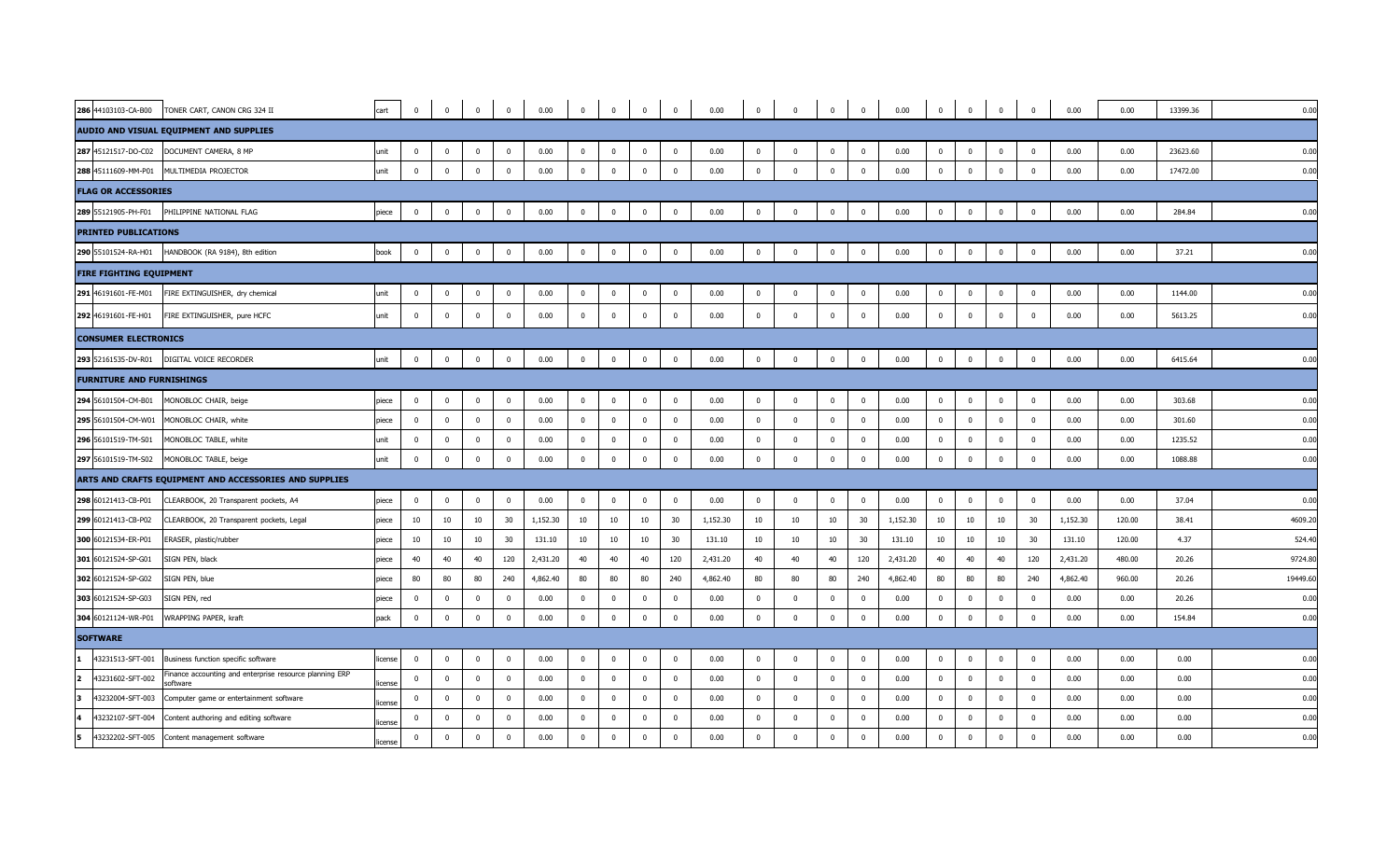| 286 44103103-CA-B00                | TONER CART, CANON CRG 324 II                                        | cart    | $\overline{0}$          | $\mathbf 0$    | $\mathbf 0$    | $\mathbf 0$             | 0.00     |                         |                | $^{\circ}$              | $\mathbf{0}$            | 0.00     | $\overline{0}$ |                | $\mathbf{0}$ | $\mathbf 0$    | 0.00     | $\mathbf{0}$            | $\mathbf 0$    | $\overline{0}$          | $\mathbf{0}$            | 0.00     | 0.00   | 13399.36 | 0.00     |
|------------------------------------|---------------------------------------------------------------------|---------|-------------------------|----------------|----------------|-------------------------|----------|-------------------------|----------------|-------------------------|-------------------------|----------|----------------|----------------|--------------|----------------|----------|-------------------------|----------------|-------------------------|-------------------------|----------|--------|----------|----------|
|                                    | AUDIO AND VISUAL EQUIPMENT AND SUPPLIES                             |         |                         |                |                |                         |          |                         |                |                         |                         |          |                |                |              |                |          |                         |                |                         |                         |          |        |          |          |
| 287 45121517-DO-C02                | DOCUMENT CAMERA, 8 MP                                               | unit    | $\overline{\mathbf{0}}$ | $\mathbf{0}$   | $\mathbf{0}$   | $\mathbf 0$             | 0.00     | $\overline{\mathbf{0}}$ | $\mathbf{0}$   | $\overline{\mathbf{0}}$ | $\overline{\mathbf{0}}$ | 0.00     | $\mathbf{0}$   | $\overline{0}$ | $\mathbf{0}$ | $\mathbf 0$    | 0.00     | $\overline{\mathbf{0}}$ | $\mathbf 0$    | $\bf{0}$                | $\overline{\mathbf{0}}$ | 0.00     | 0.00   | 23623.60 | 0.00     |
| 288 45111609-MM-P01                | MULTIMEDIA PROJECTOR                                                | unit    | $\overline{\mathbf{0}}$ | $\mathbf{0}$   | $\overline{0}$ | $\overline{0}$          | 0.00     | $\mathbf{0}$            | $\mathbf 0$    | $\overline{0}$          | $\overline{0}$          | 0.00     | $\bf{0}$       | $\mathbf 0$    | $\bf{0}$     | $\mathbf 0$    | 0.00     | $\mathbf 0$             | $\mathbf 0$    | $\mathbf 0$             | $\overline{\mathbf{0}}$ | 0.00     | 0.00   | 17472.00 | 0.00     |
| <b>FLAG OR ACCESSORIES</b>         |                                                                     |         |                         |                |                |                         |          |                         |                |                         |                         |          |                |                |              |                |          |                         |                |                         |                         |          |        |          |          |
| 289 55121905-PH-F01                | PHILIPPINE NATIONAL FLAG                                            | piece   | $\overline{\mathbf{0}}$ | $\mathbf 0$    | $\mathbf{0}$   | $\overline{0}$          | 0.00     | $\overline{0}$          | $\mathbf 0$    | $\overline{0}$          | $\overline{\mathbf{0}}$ | 0.00     | $\mathbf{0}$   | $\overline{0}$ | $\mathbf{0}$ | $\mathbf 0$    | 0.00     | $\overline{\mathbf{0}}$ | $\mathbf 0$    | $\overline{\mathbf{0}}$ | $\overline{\mathbf{0}}$ | 0.00     | 0.00   | 284.84   | 0.00     |
| <b>PRINTED PUBLICATIONS</b>        |                                                                     |         |                         |                |                |                         |          |                         |                |                         |                         |          |                |                |              |                |          |                         |                |                         |                         |          |        |          |          |
| 290 55101524-RA-H01                | HANDBOOK (RA 9184), 8th edition                                     | book    | $\overline{\mathbf{0}}$ | $\Omega$       | $\mathbf 0$    | $\mathbf 0$             | 0.00     | $\mathbf{0}$            | $\Omega$       | $\mathbf 0$             | $\overline{0}$          | 0.00     | $\overline{0}$ | $\overline{0}$ | $\mathbf 0$  | $\mathbf 0$    | 0.00     | $\mathbf 0$             | $\mathbf{0}$   | $\mathbf{0}$            | $\mathbf{0}$            | 0.00     | 0.00   | 37.21    | 0.00     |
| <b>FIRE FIGHTING EQUIPMENT</b>     |                                                                     |         |                         |                |                |                         |          |                         |                |                         |                         |          |                |                |              |                |          |                         |                |                         |                         |          |        |          |          |
| 291 46191601-FE-M01                | FIRE EXTINGUISHER, dry chemical                                     | unit    | $\overline{0}$          | $\mathbf 0$    | $\mathbf 0$    | $\mathbf{0}$            | 0.00     | $\mathbf{0}$            | $\mathbf{0}$   | $\overline{0}$          | $\overline{0}$          | 0.00     | $\mathbf{0}$   | $\overline{0}$ | $\mathbf 0$  | $\overline{0}$ | 0.00     | $\mathbf 0$             | $\mathbf 0$    | $\mathbf 0$             | $\overline{\mathbf{0}}$ | 0.00     | 0.00   | 1144.00  | 0.00     |
| 292 46191601-FE-H01                | FIRE EXTINGUISHER, pure HCFC                                        | unit    | $\overline{0}$          | $\mathbf 0$    | $\mathbf{0}$   | $\mathbf{0}$            | 0.00     | $\mathbf 0$             | $\mathbf{0}$   | $\mathbf{0}$            | $\overline{0}$          | 0.00     | $\mathbf{0}$   | $\Omega$       | $\mathbf{0}$ | $\overline{0}$ | 0.00     | $\mathbf 0$             | $\Omega$       | $\mathbf 0$             | $\overline{0}$          | 0.00     | 0.00   | 5613.25  | 0.00     |
| <b>CONSUMER ELECTRONICS</b>        |                                                                     |         |                         |                |                |                         |          |                         |                |                         |                         |          |                |                |              |                |          |                         |                |                         |                         |          |        |          |          |
| 293 52161535-DV-R01                | DIGITAL VOICE RECORDER                                              | unit    | $\overline{\mathbf{0}}$ | $\mathbf{0}$   | $\overline{0}$ | $\overline{\mathbf{0}}$ | 0.00     | $\overline{\mathbf{0}}$ | $\mathbf{0}$   | $\overline{0}$          | $\overline{0}$          | 0.00     | $\bf{0}$       | $\mathbf{0}$   | $\mathbf{0}$ | $\mathbf 0$    | 0.00     | $\overline{0}$          | $\bf{0}$       | $\overline{\mathbf{0}}$ | $\overline{\mathbf{0}}$ | 0.00     | 0.00   | 6415.64  | 0.00     |
| <b>FURNITURE AND FURNISHINGS</b>   |                                                                     |         |                         |                |                |                         |          |                         |                |                         |                         |          |                |                |              |                |          |                         |                |                         |                         |          |        |          |          |
| 294 56101504-CM-B01                | MONOBLOC CHAIR, beige                                               | piece   | $\overline{\mathbf{0}}$ | $\mathbf 0$    | $\mathbf 0$    | $\overline{0}$          | 0.00     | $\overline{0}$          | $\mathbf 0$    | $\overline{0}$          | $\overline{0}$          | 0.00     | $\overline{0}$ | $\Omega$       | $\mathbf 0$  | $\mathbf 0$    | 0.00     | $\overline{\mathbf{0}}$ | $\mathbf 0$    | $\mathbf{0}$            | $\overline{\mathbf{0}}$ | 0.00     | 0.00   | 303.68   | 0.00     |
| 295 56101504-CM-W01                | MONOBLOC CHAIR, white                                               | piece   | $\overline{0}$          | $\overline{0}$ | $\mathbf 0$    | $\overline{0}$          | 0.00     | $\overline{\mathbf{0}}$ | $\mathbf{0}$   | $\mathbf 0$             | $\overline{0}$          | 0.00     | $\mathbf 0$    | $\mathbf 0$    | $\mathbf 0$  | $\overline{0}$ | 0.00     | $\overline{0}$          | $\mathbf 0$    | $\mathbf{0}$            | $\overline{0}$          | 0.00     | 0.00   | 301.60   | 0.00     |
| 296 56101519-TM-S01                | MONOBLOC TABLE, white                                               | unit    | $\overline{\mathbf{0}}$ | $\mathbf 0$    | $\mathbf 0$    | $\overline{\mathbf{0}}$ | 0.00     | $\overline{0}$          | $\mathbf 0$    | $\mathbf{0}$            | $\overline{0}$          | 0.00     | $\mathbf{0}$   | $\overline{0}$ | $\mathbf 0$  | $\mathbf 0$    | 0.00     | $\overline{\mathbf{0}}$ | $\mathbf 0$    | $\mathbf 0$             | $\overline{0}$          | 0.00     | 0.00   | 1235.52  | 0.00     |
| 297 56101519-TM-S02                | MONOBLOC TABLE, beige                                               | unit    | $\overline{\mathbf{0}}$ | $\mathbf 0$    | $\overline{0}$ | $\overline{\mathbf{0}}$ | 0.00     | $\overline{0}$          | $\overline{0}$ | $\overline{0}$          | $\overline{\mathbf{0}}$ | 0.00     | $\overline{0}$ | $\mathbf 0$    | $\bf{0}$     | $\bf{0}$       | 0.00     | $\overline{0}$          | $\bf{0}$       | $\bf{0}$                | $\overline{\mathbf{0}}$ | 0.00     | 0.00   | 1088.88  | 0.00     |
|                                    | ARTS AND CRAFTS EQUIPMENT AND ACCESSORIES AND SUPPLIES              |         |                         |                |                |                         |          |                         |                |                         |                         |          |                |                |              |                |          |                         |                |                         |                         |          |        |          |          |
| 298 60121413-CB-P01                | CLEARBOOK, 20 Transparent pockets, A4                               | piece   | $\overline{\mathbf{0}}$ | $\mathbf 0$    | $\mathbf{0}$   | $\overline{\mathbf{0}}$ | 0.00     | $\overline{\mathbf{0}}$ | $\mathbf 0$    | $\mathbf{0}$            | $\overline{0}$          | 0.00     | $\mathbf{0}$   | $\overline{0}$ | $\mathbf 0$  | $\mathbf 0$    | 0.00     | $\overline{\mathbf{0}}$ | $\mathbf 0$    | $\mathbf 0$             | $\overline{0}$          | 0.00     | 0.00   | 37.04    | 0.00     |
| 299 60121413-CB-P02                | CLEARBOOK, 20 Transparent pockets, Legal                            | piece   | 10                      | $10\,$         | 10             | 30                      | 1,152.30 | 10                      | 10             | 10                      | 30                      | 1,152.30 | 10             | 10             | 10           | 30             | 1,152.30 | 10                      | 10             | 10                      | 30                      | 1,152.30 | 120.00 | 38.41    | 4609.20  |
| 300 60121534-ER-P01                | ERASER, plastic/rubber                                              | piece   | 10                      | 10             | 10             | 30                      | 131.10   | 10                      | 10             | 10                      | 30                      | 131.10   | 10             | 10             | 10           | 30             | 131.10   | 10                      | 10             | 10                      | 30                      | 131.10   | 120.00 | 4.37     | 524.40   |
| 301 60121524-SP-G01                | SIGN PEN, black                                                     | piece   | 40                      | 40             | 40             | 120                     | 2,431.20 | 40                      | 40             | 40                      | 120                     | 2,431.20 | 40             | 40             | $40\,$       | 120            | 2,431.20 | 40                      | 40             | 40                      | 120                     | 2,431.20 | 480.00 | 20.26    | 9724.80  |
| 302 60121524-SP-G02                | SIGN PEN, blue                                                      | piece   | 80                      | 80             | 80             | 240                     | 4,862.40 | 80                      | 80             | 80                      | 240                     | 4,862.40 | 80             | 80             | 80           | 240            | 4,862.40 | 80                      | 80             | 80                      | 240                     | 4,862.40 | 960.00 | 20.26    | 19449.60 |
| 303 60121524-SP-G03                | SIGN PEN, red                                                       | piece   | $\overline{0}$          | $\mathbf{0}$   | $\mathbf 0$    | $\mathbf 0$             | 0.00     | $\mathbf{0}$            | $\mathbf{0}$   | $\mathbf 0$             | $\overline{0}$          | 0.00     | $\mathbf 0$    | $\Omega$       | $\mathbf 0$  | $\Omega$       | 0.00     | $\mathbf 0$             | $\mathbf 0$    | $\mathbf 0$             | $\Omega$                | 0.00     | 0.00   | 20.26    | 0.00     |
| 304 60121124-WR-P01                | WRAPPING PAPER, kraft                                               | pack    | $\overline{\mathbf{0}}$ | $\mathbf 0$    | $\mathbf 0$    | $\overline{\mathbf{0}}$ | 0.00     | $\overline{\mathbf{0}}$ | $\overline{0}$ | $\mathbf 0$             | $\overline{\mathbf{0}}$ | 0.00     | $\overline{0}$ | $\mathbf 0$    | $\mathbf 0$  | $\mathbf 0$    | 0.00     | $\overline{0}$          | $\mathbf 0$    | $\overline{\mathbf{0}}$ | $\overline{0}$          | 0.00     | 0.00   | 154.84   | 0.00     |
| <b>SOFTWARE</b>                    |                                                                     |         |                         |                |                |                         |          |                         |                |                         |                         |          |                |                |              |                |          |                         |                |                         |                         |          |        |          |          |
| 43231513-SFT-001<br>1              | Business function specific software                                 | license | $\overline{\mathbf{0}}$ | $\mathbf{0}$   | $\mathbf 0$    | $\Omega$                | 0.00     | $\Omega$                | $\mathbf 0$    | $\mathbf{0}$            | $\overline{\mathbf{0}}$ | 0.00     | $\mathbf{0}$   | $\overline{0}$ | $\mathbf{0}$ | $\mathbf 0$    | 0.00     | $\overline{0}$          | $\mathbf 0$    | $\mathbf 0$             | $\overline{0}$          | 0.00     | 0.00   | 0.00     | 0.00     |
| $\overline{2}$<br>43231602-SFT-002 | Finance accounting and enterprise resource planning ERP<br>software | license | $\mathbf 0$             | $\mathbf 0$    | $\mathbf 0$    | $\overline{0}$          | 0.00     | $\overline{0}$          | $\mathbf{0}$   | $\mathbf 0$             | $\overline{0}$          | 0.00     | $\mathbf{0}$   | $\overline{0}$ | $\mathbf 0$  | $\mathbf 0$    | 0.00     | $\overline{0}$          | $\mathbf 0$    | $\mathbf 0$             | $\overline{0}$          | 0.00     | 0.00   | 0.00     | 0.00     |
| lз<br>13232004-SFT-003             | Computer game or entertainment software                             | license | $\mathbf 0$             | $\Omega$       | $\mathbf 0$    | $\overline{0}$          | 0.00     | $\overline{\mathbf{0}}$ | $\mathbf{0}$   | $\mathbf 0$             | $\overline{\mathbf{0}}$ | 0.00     | $\mathbf 0$    | $\overline{0}$ | $\mathbf 0$  | $\Omega$       | 0.00     | $\mathbf 0$             | $\mathbf{0}$   | $\mathbf{0}$            | $\mathbf{0}$            | 0.00     | 0.00   | 0.00     | 0.00     |
| 4<br>13232107-SFT-004              | Content authoring and editing software                              | license | $\mathbf 0$             | $\mathbf 0$    | $\mathbf{0}$   | $\mathbf 0$             | 0.00     | $\mathbf 0$             | $\Omega$       | $\mathbf{0}$            | $\overline{0}$          | 0.00     | $\mathbf 0$    | $\Omega$       | $\mathbf 0$  | $\overline{0}$ | 0.00     | $\mathbf 0$             | $\overline{0}$ | $\mathbf 0$             | $\mathbf 0$             | 0.00     | 0.00   | 0.00     | 0.00     |
| 5<br>43232202-SFT-005              | Content management software                                         | license | $\mathbf 0$             | $\mathbf 0$    | $\mathbf 0$    | $\overline{0}$          | 0.00     | $\overline{\mathbf{0}}$ | $\mathbf 0$    | $\overline{0}$          | $\overline{0}$          | 0.00     | $\bf{0}$       | $\overline{0}$ | $\mathbf 0$  | $\mathbf 0$    | 0.00     | $\overline{0}$          | $\mathbf 0$    | $\mathbf 0$             | $\overline{0}$          | 0.00     | 0.00   | 0.00     | 0.00     |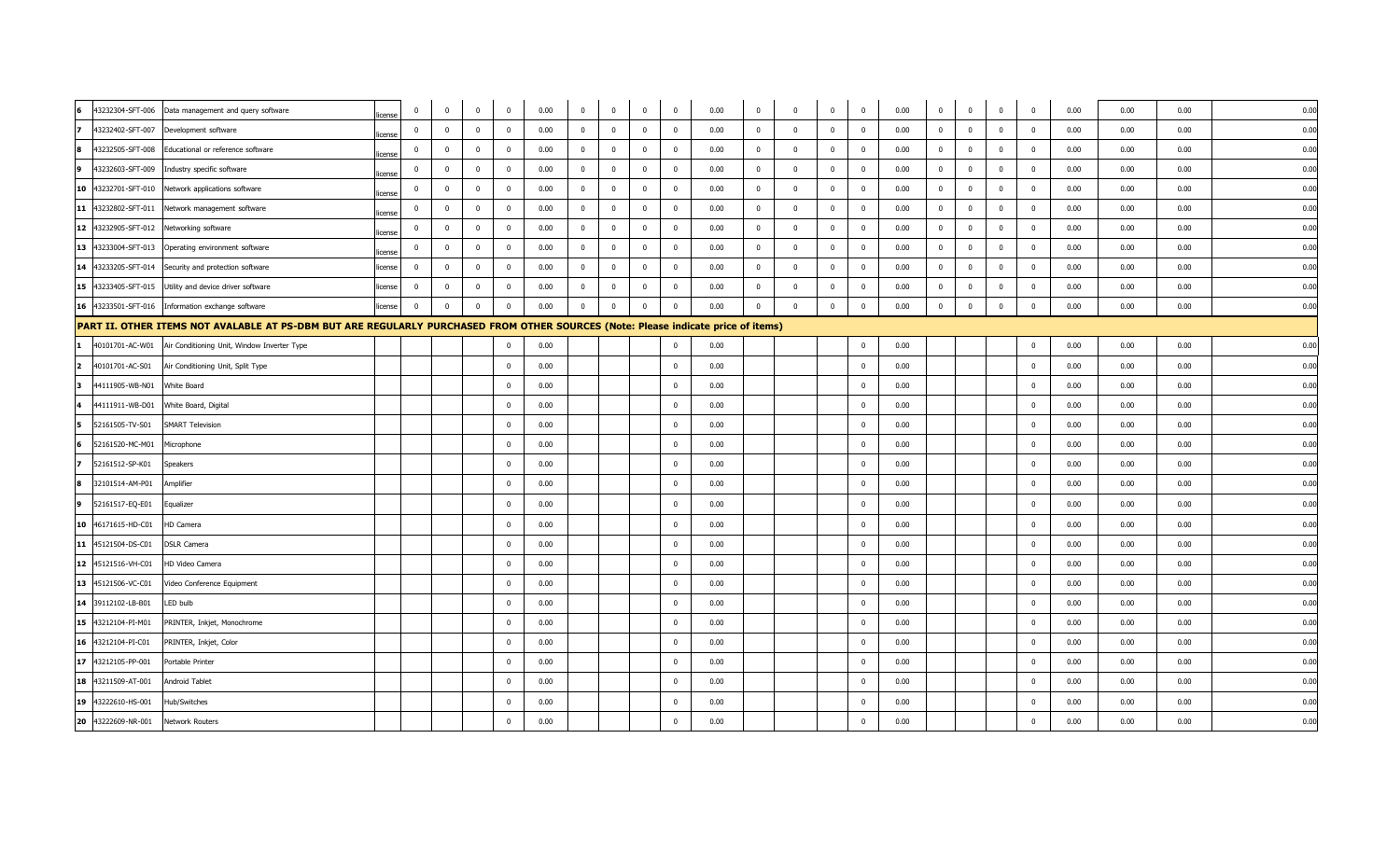| 6                                       | 43232304-SFT-006 Data management and query software                                                                               | icense       | $\mathbf 0$             | $\overline{0}$ | $\overline{0}$ | $\overline{0}$          | 0.00 | $\overline{\mathbf{0}}$ | $\overline{0}$ | $\overline{0}$          | $\overline{0}$          | 0.00 | $\overline{0}$ | $\overline{0}$          | $\overline{0}$ | $\overline{0}$ | 0.00 | $\overline{0}$          | $\mathbf 0$    | $\overline{\mathbf{0}}$ | $\overline{\mathbf{0}}$ | 0.00 | 0.00 | 0.00 | 0.00 |
|-----------------------------------------|-----------------------------------------------------------------------------------------------------------------------------------|--------------|-------------------------|----------------|----------------|-------------------------|------|-------------------------|----------------|-------------------------|-------------------------|------|----------------|-------------------------|----------------|----------------|------|-------------------------|----------------|-------------------------|-------------------------|------|------|------|------|
| 7<br>43232402-SFT-007                   | Development software                                                                                                              | icense       | $\mathbf 0$             | $\mathbf 0$    | $\overline{0}$ | $\overline{0}$          | 0.00 | $\overline{\mathbf{0}}$ | $\mathbf{0}$   | $\overline{0}$          | $\mathbf 0$             | 0.00 | $\mathbf 0$    | $\Omega$                | $\mathbf 0$    | $\overline{0}$ | 0.00 | $\overline{0}$          | $\mathbf 0$    | $\overline{0}$          | $\overline{\mathbf{0}}$ | 0.00 | 0.00 | 0.00 | 0.00 |
| 43232505-SFT-008<br>8                   | Educational or reference software                                                                                                 | icense       | $\mathbf 0$             | $\overline{0}$ | $\mathbf 0$    | $\overline{\mathbf{0}}$ | 0.00 | $\overline{\mathbf{0}}$ | $\mathbf{0}$   | $\overline{\mathbf{0}}$ | $\overline{\mathbf{0}}$ | 0.00 | $\overline{0}$ | $\mathbf{0}$            | $\bf{0}$       | $\mathbf{0}$   | 0.00 | $\overline{\mathbf{0}}$ | $\mathbf 0$    | $\mathbf 0$             | $\mathbf 0$             | 0.00 | 0.00 | 0.00 | 0.00 |
| 9                                       | 43232603-SFT-009 Industry specific software                                                                                       | icense       | $\Omega$                | $\Omega$       | $\mathbf{0}$   | $\overline{0}$          | 0.00 | $\overline{0}$          | $\overline{0}$ | $\overline{0}$          | $\overline{0}$          | 0.00 | $\mathbf{0}$   | $\Omega$                | $\overline{0}$ | $\mathbf{0}$   | 0.00 | $\overline{0}$          | $\mathbf{0}$   | $\Omega$                | $\overline{0}$          | 0.00 | 0.00 | 0.00 | 0.00 |
|                                         | 10 43232701-SFT-010 Network applications software                                                                                 | cense        | $\overline{0}$          | $\mathbf 0$    | $\mathbf 0$    | $\overline{0}$          | 0.00 | $\overline{0}$          | $\mathbf 0$    | $\overline{0}$          | $\mathbf 0$             | 0.00 | $\mathbf 0$    | $\overline{0}$          | $\mathbf{0}$   | $\overline{0}$ | 0.00 | $\overline{0}$          | $\mathbf 0$    | $\mathbf 0$             | $\overline{\mathbf{0}}$ | 0.00 | 0.00 | 0.00 | 0.00 |
| 11 43232802-SFT-011                     | Network management software                                                                                                       | icense       | $\mathbf 0$             | $\Omega$       | $\Omega$       | $\Omega$                | 0.00 | $\overline{0}$          | $\Omega$       | $\Omega$                | $\overline{\mathbf{0}}$ | 0.00 | $\mathbf{0}$   | $\Omega$                | $\overline{0}$ | $\mathbf 0$    | 0.00 | $\Omega$                | $\mathbf{0}$   | $\Omega$                | $\Omega$                | 0.00 | 0.00 | 0.00 | 0.00 |
| 12 43232905-SFT-012 Networking software |                                                                                                                                   | icense       | $\mathbf 0$             | $\overline{0}$ | $\mathbf 0$    | $\overline{0}$          | 0.00 | $\overline{0}$          | $\mathbf{0}$   | $\overline{0}$          | $\overline{\mathbf{0}}$ | 0.00 | $\mathbf 0$    | $\Omega$                | $\overline{0}$ | $\mathbf 0$    | 0.00 | $\overline{0}$          | $\mathbf 0$    | $\overline{0}$          | $\Omega$                | 0.00 | 0.00 | 0.00 | 0.00 |
|                                         | 13 43233004-SFT-013 Operating environment software                                                                                | <b>Cense</b> | $\bf{0}$                | $\mathbf 0$    | $\bf{0}$       | $\overline{\mathbf{0}}$ | 0.00 | $\overline{\mathbf{0}}$ | $\mathbf 0$    | $\overline{\mathbf{0}}$ | $\overline{\mathbf{0}}$ | 0.00 | $\mathbf 0$    | $\overline{\mathbf{0}}$ | $\mathbf 0$    | $\overline{0}$ | 0.00 | $\overline{\mathbf{0}}$ | $\overline{0}$ | $\bf{0}$                | $\overline{\mathbf{0}}$ | 0.00 | 0.00 | 0.00 | 0.00 |
|                                         | 14 43233205-SFT-014 Security and protection software                                                                              | icense       | $\overline{\mathbf{0}}$ | $\overline{0}$ | $\mathbf{0}$   | $\overline{0}$          | 0.00 | $\overline{\mathbf{0}}$ | $\overline{0}$ | $\mathbf 0$             | $\overline{0}$          | 0.00 | $\overline{0}$ | $\overline{0}$          | $\overline{0}$ | $\mathbf 0$    | 0.00 | $\Omega$                | $\mathbf 0$    | $\mathbf 0$             | $\overline{0}$          | 0.00 | 0.00 | 0.00 | 0.00 |
|                                         | 15 43233405-SFT-015 Utility and device driver software                                                                            | icense       | $\overline{\mathbf{0}}$ | $\mathbf 0$    | $\overline{0}$ | $\overline{0}$          | 0.00 | $\overline{0}$          | $\overline{0}$ | $\overline{0}$          | $\overline{0}$          | 0.00 | $\mathbf 0$    | $\Omega$                | $\mathbf 0$    | $\mathbf 0$    | 0.00 | $\overline{0}$          | $\mathbf 0$    | $\overline{0}$          | $\overline{0}$          | 0.00 | 0.00 | 0.00 | 0.00 |
|                                         | 16 43233501-SFT-016 Information exchange software                                                                                 | license      | $\overline{\mathbf{0}}$ | $\mathbf 0$    | $\mathbf 0$    | $\overline{0}$          | 0.00 | $\overline{0}$          | $\Omega$       | $\overline{0}$          | $\mathbf 0$             | 0.00 | $\mathbf{0}$   | $\Omega$                | $\mathbf 0$    | $\mathbf 0$    | 0.00 | $\overline{0}$          | $\mathbf 0$    | $\mathbf{0}$            | $\overline{0}$          | 0.00 | 0.00 | 0.00 | 0.00 |
|                                         | PART II. OTHER ITEMS NOT AVALABLE AT PS-DBM BUT ARE REGULARLY PURCHASED FROM OTHER SOURCES (Note: Please indicate price of items) |              |                         |                |                |                         |      |                         |                |                         |                         |      |                |                         |                |                |      |                         |                |                         |                         |      |      |      |      |
| 40101701-AC-W01                         | Air Conditioning Unit, Window Inverter Type                                                                                       |              |                         |                |                | $\overline{0}$          | 0.00 |                         |                |                         | $\overline{0}$          | 0.00 |                |                         |                | $\overline{0}$ | 0.00 |                         |                |                         | $\overline{\mathbf{0}}$ | 0.00 | 0.00 | 0.00 | 0.00 |
| $\overline{2}$<br>40101701-AC-S01       | Air Conditioning Unit, Split Type                                                                                                 |              |                         |                |                | $\Omega$                | 0.00 |                         |                |                         | $\mathbf 0$             | 0.00 |                |                         |                | $\mathbf 0$    | 0.00 |                         |                |                         | $\overline{0}$          | 0.00 | 0.00 | 0.00 | 0.00 |
| 3<br>44111905-WB-N01                    | White Board                                                                                                                       |              |                         |                |                | $\Omega$                | 0.00 |                         |                |                         | $\mathbf 0$             | 0.00 |                |                         |                | $\mathbf{0}$   | 0.00 |                         |                |                         | $\Omega$                | 0.00 | 0.00 | 0.00 | 0.00 |
| 44111911-WB-D01                         | White Board, Digital                                                                                                              |              |                         |                |                | $\overline{\mathbf{0}}$ | 0.00 |                         |                |                         | $\overline{0}$          | 0.00 |                |                         |                | $\mathbf{0}$   | 0.00 |                         |                |                         | $\mathbf 0$             | 0.00 | 0.00 | 0.00 | 0.00 |
| 52161505-TV-S01<br>15.                  | <b>SMART Television</b>                                                                                                           |              |                         |                |                | $\Omega$                | 0.00 |                         |                |                         | $\overline{0}$          | 0.00 |                |                         |                | $\mathbf{0}$   | 0.00 |                         |                |                         | $\overline{0}$          | 0.00 | 0.00 | 0.00 | 0.00 |
| 52161520-MC-M01                         | Microphone                                                                                                                        |              |                         |                |                | $\overline{0}$          | 0.00 |                         |                |                         | $\overline{0}$          | 0.00 |                |                         |                | $\mathbf 0$    | 0.00 |                         |                |                         | $\overline{\mathbf{0}}$ | 0.00 | 0.00 | 0.00 | 0.00 |
| 52161512-SP-K01                         | Speakers                                                                                                                          |              |                         |                |                | $\mathbf 0$             | 0.00 |                         |                |                         | $\overline{0}$          | 0.00 |                |                         |                | $\mathbf 0$    | 0.00 |                         |                |                         | $\mathbf 0$             | 0.00 | 0.00 | 0.00 | 0.00 |
| 32101514-AM-P01<br>8                    | Amplifier                                                                                                                         |              |                         |                |                | $\Omega$                | 0.00 |                         |                |                         | $\overline{0}$          | 0.00 |                |                         |                | $\mathbf 0$    | 0.00 |                         |                |                         | $\Omega$                | 0.00 | 0.00 | 0.00 | 0.00 |
| 52161517-EQ-E01<br>9                    | Equalizer                                                                                                                         |              |                         |                |                | $\overline{0}$          | 0.00 |                         |                |                         | $\mathbf 0$             | 0.00 |                |                         |                | $\mathbf 0$    | 0.00 |                         |                |                         | $\mathbf 0$             | 0.00 | 0.00 | 0.00 | 0.00 |
| 10 46171615-HD-C01                      | <b>HD Camera</b>                                                                                                                  |              |                         |                |                | $\overline{0}$          | 0.00 |                         |                |                         | $\overline{0}$          | 0.00 |                |                         |                | $\mathbf 0$    | 0.00 |                         |                |                         | $\overline{\mathbf{0}}$ | 0.00 | 0.00 | 0.00 | 0.00 |
| 11 45121504-DS-C01                      | <b>DSLR Camera</b>                                                                                                                |              |                         |                |                | $\overline{0}$          | 0.00 |                         |                |                         | $\mathbf 0$             | 0.00 |                |                         |                | $\mathbf 0$    | 0.00 |                         |                |                         | $\overline{0}$          | 0.00 | 0.00 | 0.00 | 0.00 |
| 12 45121516-VH-C01                      | HD Video Camera                                                                                                                   |              |                         |                |                | $\overline{0}$          | 0.00 |                         |                |                         | $\mathbf 0$             | 0.00 |                |                         |                | $\mathbf 0$    | 0.00 |                         |                |                         | $\Omega$                | 0.00 | 0.00 | 0.00 | 0.00 |
| 13 45121506-VC-C01                      | Video Conference Equipment                                                                                                        |              |                         |                |                | $\overline{\mathbf{0}}$ | 0.00 |                         |                |                         | $\overline{0}$          | 0.00 |                |                         |                | $\mathbf{0}$   | 0.00 |                         |                |                         | $\mathbf 0$             | 0.00 | 0.00 | 0.00 | 0.00 |
| 14 39112102-LB-B01                      | LED bulb                                                                                                                          |              |                         |                |                | $\Omega$                | 0.00 |                         |                |                         | $\overline{0}$          | 0.00 |                |                         |                | $\mathbf{0}$   | 0.00 |                         |                |                         | $\overline{0}$          | 0.00 | 0.00 | 0.00 | 0.00 |
| 15 43212104-PI-M01                      | PRINTER, Inkjet, Monochrome                                                                                                       |              |                         |                |                | $\overline{0}$          | 0.00 |                         |                |                         | $\overline{\mathbf{0}}$ | 0.00 |                |                         |                | $\mathbf 0$    | 0.00 |                         |                |                         | $\overline{\mathbf{0}}$ | 0.00 | 0.00 | 0.00 | 0.00 |
| 16 43212104-PI-C01                      | PRINTER, Inkjet, Color                                                                                                            |              |                         |                |                | $\mathbf 0$             | 0.00 |                         |                |                         | $\overline{0}$          | 0.00 |                |                         |                | $\mathbf 0$    | 0.00 |                         |                |                         | $\Omega$                | 0.00 | 0.00 | 0.00 | 0.00 |
| 17 43212105-PP-001                      | Portable Printer                                                                                                                  |              |                         |                |                | $\overline{0}$          | 0.00 |                         |                |                         | $\overline{\mathbf{0}}$ | 0.00 |                |                         |                | $\mathbf 0$    | 0.00 |                         |                |                         | $\overline{0}$          | 0.00 | 0.00 | 0.00 | 0.00 |
| 18 43211509-AT-001                      | Android Tablet                                                                                                                    |              |                         |                |                | $\overline{\mathbf{0}}$ | 0.00 |                         |                |                         | $\overline{0}$          | 0.00 |                |                         |                | $\mathbf{0}$   | 0.00 |                         |                |                         | $\overline{\mathbf{0}}$ | 0.00 | 0.00 | 0.00 | 0.00 |
| 19 43222610-HS-001                      | Hub/Switches                                                                                                                      |              |                         |                |                | $\Omega$                | 0.00 |                         |                |                         | $\overline{\mathbf{0}}$ | 0.00 |                |                         |                | $\Omega$       | 0.00 |                         |                |                         | $\Omega$                | 0.00 | 0.00 | 0.00 | 0.00 |
| 20 43222609-NR-001                      | Network Routers                                                                                                                   |              |                         |                |                | $\Omega$                | 0.00 |                         |                |                         | $\overline{0}$          | 0.00 |                |                         |                | $\mathbf 0$    | 0.00 |                         |                |                         | $\Omega$                | 0.00 | 0.00 | 0.00 | 0.00 |
|                                         |                                                                                                                                   |              |                         |                |                |                         |      |                         |                |                         |                         |      |                |                         |                |                |      |                         |                |                         |                         |      |      |      |      |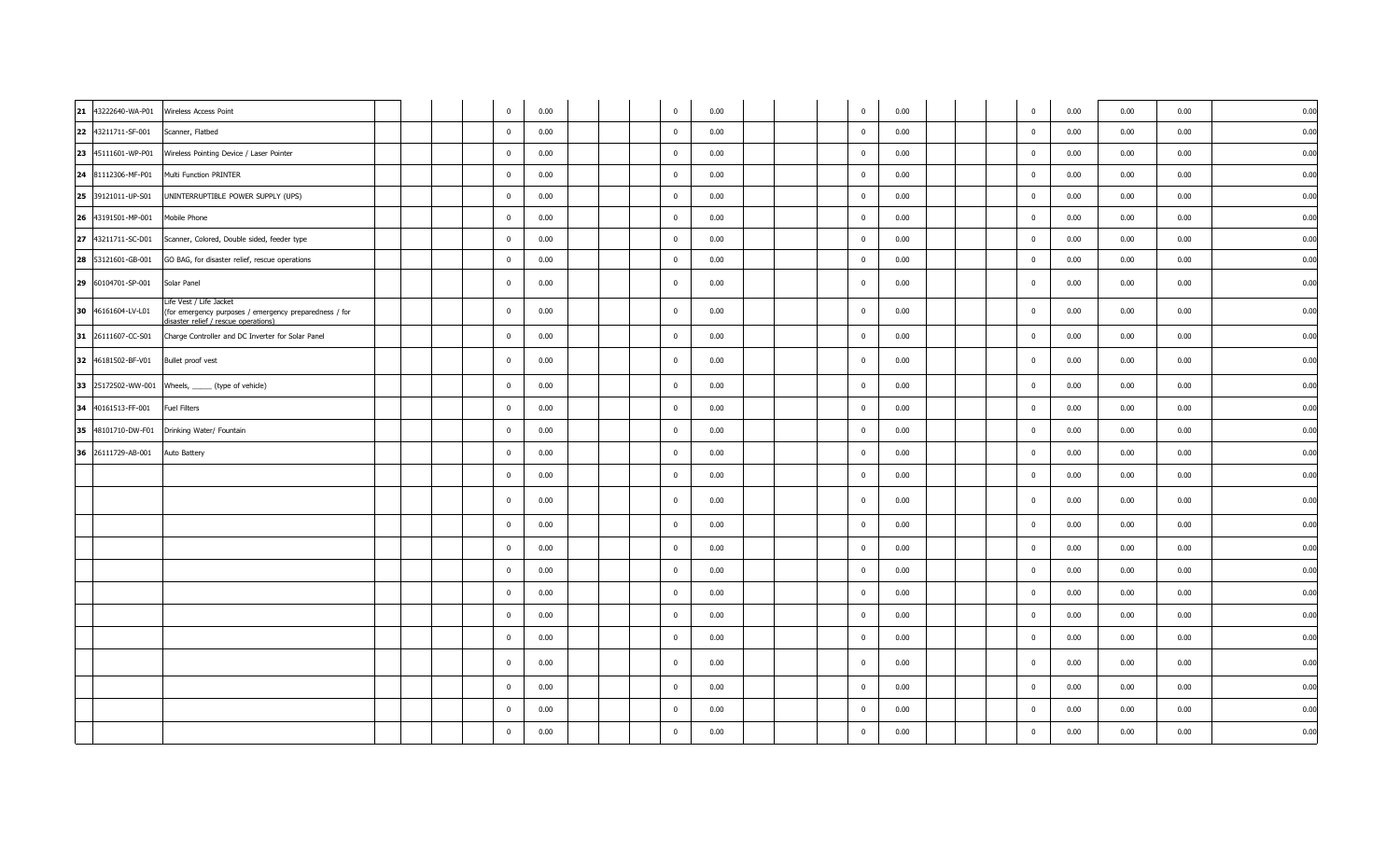| 21 | 43222640-WA-P01    | Wireless Access Point                                                                                                     |  | $\mathbf 0$             | 0.00 | $\mathbf 0$             | 0.00 |  | $\overline{0}$ | 0.00 |  | $\mathbf 0$             | 0.00 | 0.00 | 0.00 | 0.00 |
|----|--------------------|---------------------------------------------------------------------------------------------------------------------------|--|-------------------------|------|-------------------------|------|--|----------------|------|--|-------------------------|------|------|------|------|
|    | 22 43211711-SF-001 | Scanner, Flatbed                                                                                                          |  | $\mathbf{0}$            | 0.00 | $\overline{0}$          | 0.00 |  | $\mathbf 0$    | 0.00 |  | $\mathbf{0}$            | 0.00 | 0.00 | 0.00 | 0.00 |
|    | 23 45111601-WP-P01 | Wireless Pointing Device / Laser Pointer                                                                                  |  | $\mathbf 0$             | 0.00 | $\overline{\mathbf{0}}$ | 0.00 |  | $\mathbf 0$    | 0.00 |  | $\mathbf{0}$            | 0.00 | 0.00 | 0.00 | 0.00 |
|    | 24 81112306-MF-P01 | Multi Function PRINTER                                                                                                    |  | $\mathbf 0$             | 0.00 | $\overline{0}$          | 0.00 |  | $\mathbf 0$    | 0.00 |  | $\mathbf 0$             | 0.00 | 0.00 | 0.00 | 0.00 |
|    | 25 39121011-UP-S01 | UNINTERRUPTIBLE POWER SUPPLY (UPS)                                                                                        |  | $\mathbf 0$             | 0.00 | $\overline{0}$          | 0.00 |  | $\mathbf 0$    | 0.00 |  | $\Omega$                | 0.00 | 0.00 | 0.00 | 0.00 |
|    | 26 43191501-MP-001 | Mobile Phone                                                                                                              |  | $\mathbf 0$             | 0.00 | $\overline{0}$          | 0.00 |  | $\mathbf 0$    | 0.00 |  | $\overline{0}$          | 0.00 | 0.00 | 0.00 | 0.00 |
|    | 27 43211711-SC-D01 | Scanner, Colored, Double sided, feeder type                                                                               |  | $\mathbf 0$             | 0.00 | $\overline{0}$          | 0.00 |  | $\mathbf 0$    | 0.00 |  | $\mathbf{0}$            | 0.00 | 0.00 | 0.00 | 0.00 |
|    | 28 53121601-GB-001 | GO BAG, for disaster relief, rescue operations                                                                            |  | $\overline{0}$          | 0.00 | $\overline{0}$          | 0.00 |  | $\overline{0}$ | 0.00 |  | $\overline{\mathbf{0}}$ | 0.00 | 0.00 | 0.00 | 0.00 |
|    | 29 60104701-SP-001 | Solar Panel                                                                                                               |  | $\mathbf{0}$            | 0.00 | $\overline{0}$          | 0.00 |  | $\mathbf 0$    | 0.00 |  | $\overline{\mathbf{0}}$ | 0.00 | 0.00 | 0.00 | 0.00 |
|    | 30 46161604-LV-L01 | Life Vest / Life Jacket<br>(for emergency purposes / emergency preparedness / for<br>lisaster relief / rescue operations) |  | $\mathbf{0}$            | 0.00 | $\overline{0}$          | 0.00 |  | $\mathbf 0$    | 0.00 |  | $\overline{0}$          | 0.00 | 0.00 | 0.00 | 0.00 |
|    | 31 26111607-CC-S01 | Charge Controller and DC Inverter for Solar Panel                                                                         |  | $\mathbf{0}$            | 0.00 | $\overline{\mathbf{0}}$ | 0.00 |  | $\mathbf 0$    | 0.00 |  | $\overline{\mathbf{0}}$ | 0.00 | 0.00 | 0.00 | 0.00 |
|    | 32 46181502-BF-V01 | Bullet proof vest                                                                                                         |  | $\mathbf 0$             | 0.00 | $\overline{\mathbf{0}}$ | 0.00 |  | $\mathbf{0}$   | 0.00 |  | $\Omega$                | 0.00 | 0.00 | 0.00 | 0.00 |
|    |                    | 33 25172502-WW-001 Wheels, ______ (type of vehicle)                                                                       |  | $\mathbf{0}$            | 0.00 | $\mathbf{0}$            | 0.00 |  | $\mathbf 0$    | 0.00 |  | $\overline{\mathbf{0}}$ | 0.00 | 0.00 | 0.00 | 0.00 |
|    | 34 40161513-FF-001 | <b>Fuel Filters</b>                                                                                                       |  | $\mathbf 0$             | 0.00 | $\overline{\mathbf{0}}$ | 0.00 |  | $\mathbf 0$    | 0.00 |  | $\overline{0}$          | 0.00 | 0.00 | 0.00 | 0.00 |
|    | 35 48101710-DW-F01 | Drinking Water/ Fountain                                                                                                  |  | $\mathbf 0$             | 0.00 | $\overline{\mathbf{0}}$ | 0.00 |  | $\mathbf 0$    | 0.00 |  | $\Omega$                | 0.00 | 0.00 | 0.00 | 0.00 |
|    | 36 26111729-AB-001 | Auto Battery                                                                                                              |  | $\mathbf{0}$            | 0.00 | $\overline{0}$          | 0.00 |  | $\mathbf 0$    | 0.00 |  | $\mathbf{0}$            | 0.00 | 0.00 | 0.00 | 0.00 |
|    |                    |                                                                                                                           |  | $\mathbf{0}$            | 0.00 | $\overline{\mathbf{0}}$ | 0.00 |  | $\bf{0}$       | 0.00 |  | $\mathbf 0$             | 0.00 | 0.00 | 0.00 | 0.00 |
|    |                    |                                                                                                                           |  | $\mathbf 0$             | 0.00 | $\overline{0}$          | 0.00 |  | $\mathbf{0}$   | 0.00 |  | $\mathbf 0$             | 0.00 | 0.00 | 0.00 | 0.00 |
|    |                    |                                                                                                                           |  | $\mathbf 0$             | 0.00 | $\overline{\mathbf{0}}$ | 0.00 |  | $\mathbf{0}$   | 0.00 |  | $\overline{0}$          | 0.00 | 0.00 | 0.00 | 0.00 |
|    |                    |                                                                                                                           |  | $\overline{\mathbf{0}}$ | 0.00 | $\overline{0}$          | 0.00 |  | $\mathbf 0$    | 0.00 |  | $\mathbf{0}$            | 0.00 | 0.00 | 0.00 | 0.00 |
|    |                    |                                                                                                                           |  | $\mathbf 0$             | 0.00 | $\overline{\mathbf{0}}$ | 0.00 |  | $\mathbf 0$    | 0.00 |  | $\mathbf{0}$            | 0.00 | 0.00 | 0.00 | 0.00 |
|    |                    |                                                                                                                           |  | $\mathbf 0$             | 0.00 | $\overline{\mathbf{0}}$ | 0.00 |  | $\bf{0}$       | 0.00 |  | $\mathbf{0}$            | 0.00 | 0.00 | 0.00 | 0.00 |
|    |                    |                                                                                                                           |  | $\mathbf 0$             | 0.00 | $\overline{0}$          | 0.00 |  | $\mathbf{0}$   | 0.00 |  | $\overline{\mathbf{0}}$ | 0.00 | 0.00 | 0.00 | 0.00 |
|    |                    |                                                                                                                           |  | $\mathbf 0$             | 0.00 | $\overline{\mathbf{0}}$ | 0.00 |  | $\mathbf 0$    | 0.00 |  | $\overline{0}$          | 0.00 | 0.00 | 0.00 | 0.00 |
|    |                    |                                                                                                                           |  | $\mathbf{0}$            | 0.00 | $\mathbf{0}$            | 0.00 |  | $\mathbf 0$    | 0.00 |  | $\overline{\mathbf{0}}$ | 0.00 | 0.00 | 0.00 | 0.00 |
|    |                    |                                                                                                                           |  | $\mathbf{0}$            | 0.00 | $\overline{0}$          | 0.00 |  | $\mathbf 0$    | 0.00 |  | $\mathbf{0}$            | 0.00 | 0.00 | 0.00 | 0.00 |
|    |                    |                                                                                                                           |  | $\mathbf 0$             | 0.00 | $\overline{0}$          | 0.00 |  | $\mathbf 0$    | 0.00 |  | $\overline{\mathbf{0}}$ | 0.00 | 0.00 | 0.00 | 0.00 |
|    |                    |                                                                                                                           |  | $\mathbf 0$             | 0.00 | $\overline{0}$          | 0.00 |  | $\bf{0}$       | 0.00 |  | $\overline{\mathbf{0}}$ | 0.00 | 0.00 | 0.00 | 0.00 |
|    |                    |                                                                                                                           |  |                         |      |                         |      |  |                |      |  |                         |      |      |      |      |